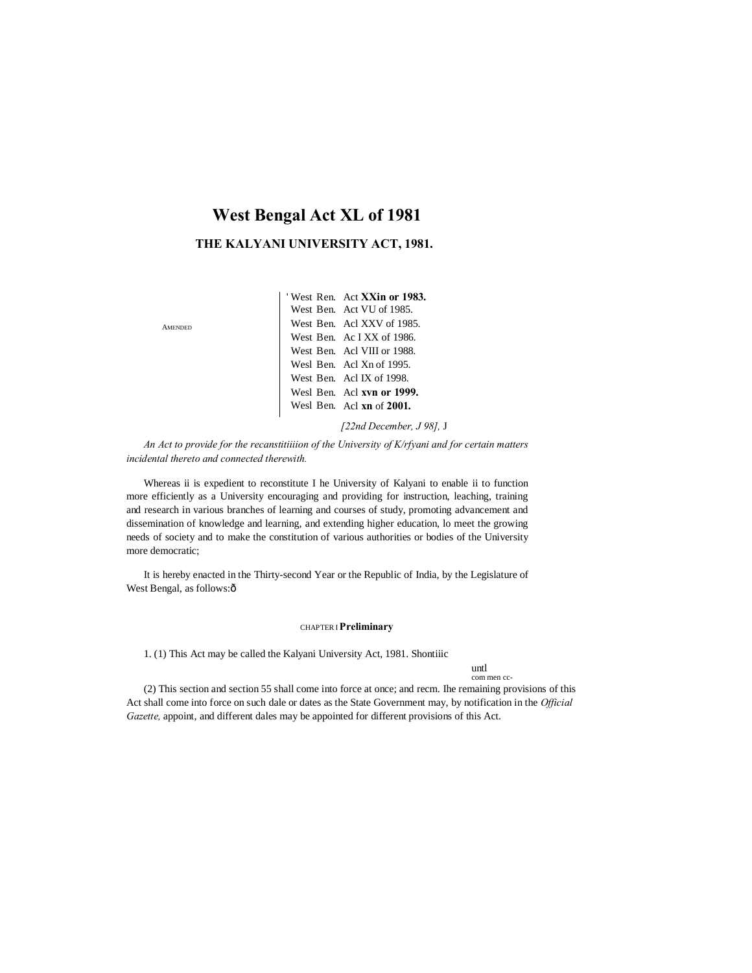# **West Bengal Act XL of 1981**

## **THE KALYANI UNIVERSITY ACT, 1981.**

AMENDED

| 'West Ren. Act XXin or 1983. |
|------------------------------|
| West Ben. Act VU of 1985.    |
| West Ben. Acl XXV of 1985.   |
| West Ben. Ac I XX of 1986.   |
| West Ben. Acl VIII or 1988.  |
| Wesl Ben. Acl Xn of 1995.    |
| West Ben. Acl IX of 1998.    |
| Wesl Ben. Acl xvn or 1999.   |
| Wesl Ben. Acl xn of 2001.    |

*[22nd December, J 98],* J

*An Act to provide for the recanstitiiiion of the University of K/rfyani and for certain matters incidental thereto and connected therewith.*

Whereas ii is expedient to reconstitute I he University of Kalyani to enable ii to function more efficiently as a University encouraging and providing for instruction, leaching, training and research in various branches of learning and courses of study, promoting advancement and dissemination of knowledge and learning, and extending higher education, lo meet the growing needs of society and to make the constitution of various authorities or bodies of the University more democratic;

It is hereby enacted in the Thirty-second Year or the Republic of India, by the Legislature of West Bengal, as follows:ô

#### CHAPTER I**Preliminary**

1. (1) This Act may be called the Kalyani University Act, 1981. Shontiiic

untl com men cc-

(2) This section and section 55 shall come into force at once; and recm. Ihe remaining provisions of this Act shall come into force on such dale or dates as the State Government may, by notification in the *Official Gazette,* appoint, and different dales may be appointed for different provisions of this Act.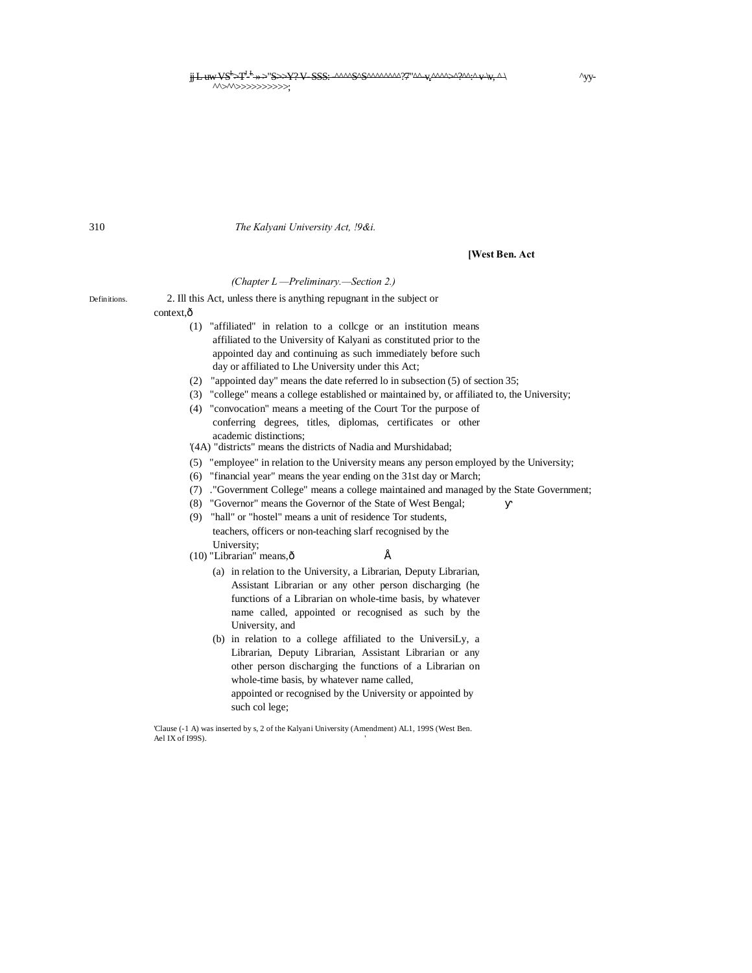<del>jj L uw VS<sup>t</sup>>T<sup>1, t</sup>-»>"S>>Y?V-SSS:-^^^^Q</del>SQS^^^^^^?7"^^+vr^q^^^^^^^^+vr^+<br>^^>^^>>>>>>>>>>>;

310 *The Kalyani University Act, !9&i.*

**[West Ben. Act**

#### *(Chapter L —Preliminary.—Section 2.)*

Definitions. 2. Ill this Act, unless there is anything repugnant in the subject or context ô

- (1) "affiliated" in relation to a collcge or an institution means affiliated to the University of Kalyani as constituted prior to the appointed day and continuing as such immediately before such day or affiliated to Lhe University under this Act;
- (2) "appointed day" means the date referred lo in subsection (5) of section 35;
- (3) "college" means a college established or maintained by, or affiliated to, the University;
- (4) "convocation" means a meeting of the Court Tor the purpose of conferring degrees, titles, diplomas, certificates or other academic distinctions;

'(4A) "districts" means the districts of Nadia and Murshidabad;

- (5) "employee" in relation to the University means any person employed by the University;
- (6) "financial year" means the year ending on the 31st day or March;
- (7) ."Government College" means a college maintained and managed by the State Government;
- (8) "Governor" means the Governor of the State of West Bengal;
- (9) "hall" or "hostel" means a unit of residence Tor students, teachers, officers or non-teaching slarf recognised by the University;
- (10) "Librarian" means, $\hat{\text{o}}$   $\hat{\text{E}}$ 
	- (a) in relation to the University, a Librarian, Deputy Librarian, Assistant Librarian or any other person discharging (he functions of a Librarian on whole-time basis, by whatever name called, appointed or recognised as such by the University, and
	- (b) in relation to a college affiliated to the UniversiLy, a Librarian, Deputy Librarian, Assistant Librarian or any other person discharging the functions of a Librarian on whole-time basis, by whatever name called, appointed or recognised by the University or appointed by such col lege;

'Clause (-1 A) was inserted by s, 2 of the Kalyani University (Amendment) AL1, 199S (West Ben. Ael IX of I99S).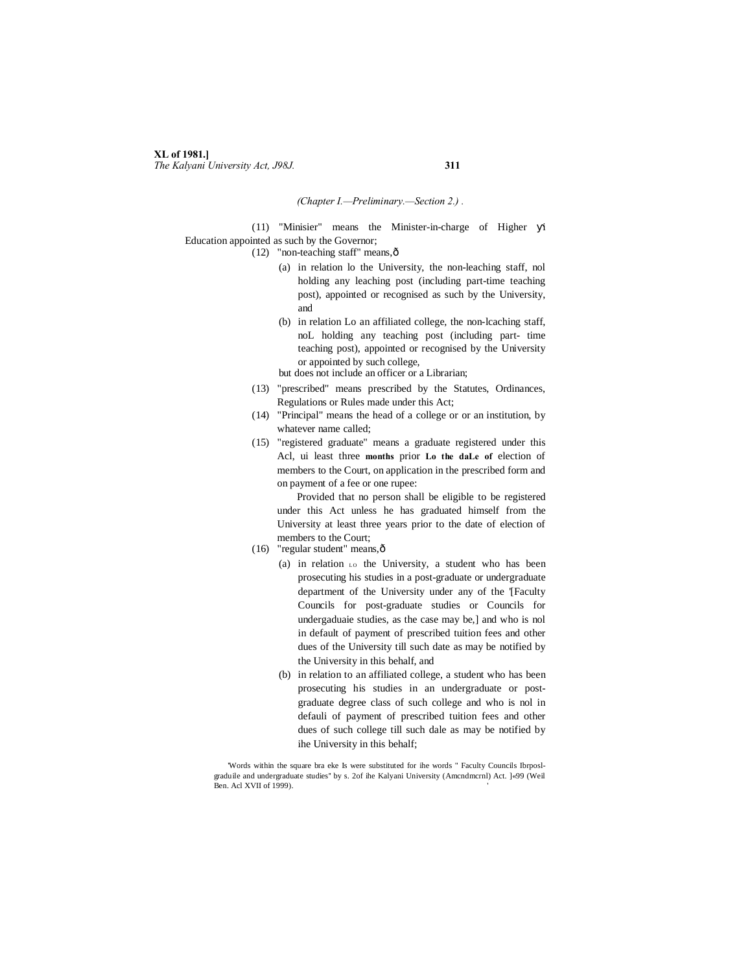### **XL of 1981.]** *The Kalyani University Act, J98J.* **311**

#### *(Chapter I.—Preliminary.—Section 2.) .*

(11) "Minisier" means the Minister-in-charge of Higher i Education appointed as such by the Governor;

 $(12)$  "non-teaching staff" means, $\hat{\text{o}}$ 

- (a) in relation lo the University, the non-leaching staff, nol holding any leaching post (including part-time teaching post), appointed or recognised as such by the University, and
- (b) in relation Lo an affiliated college, the non-lcaching staff, noL holding any teaching post (including part- time teaching post), appointed or recognised by the University or appointed by such college,
- but does not include an officer or a Librarian;
- (13) "prescribed" means prescribed by the Statutes, Ordinances, Regulations or Rules made under this Act;
- (14) "Principal" means the head of a college or or an institution, by whatever name called;
- (15) "registered graduate" means a graduate registered under this Acl, ui least three **months** prior **Lo the daLe of** election of members to the Court, on application in the prescribed form and on payment of a fee or one rupee:

Provided that no person shall be eligible to be registered under this Act unless he has graduated himself from the University at least three years prior to the date of election of members to the Court;

- (16) "regular student" means, $\hat{\text{o}}$ 
	- (a) in relation  $\text{LO}$  the University, a student who has been prosecuting his studies in a post-graduate or undergraduate department of the University under any of the '[Faculty Councils for post-graduate studies or Councils for undergaduaie studies, as the case may be,] and who is nol in default of payment of prescribed tuition fees and other dues of the University till such date as may be notified by the University in this behalf, and
	- (b) in relation to an affiliated college, a student who has been prosecuting his studies in an undergraduate or postgraduate degree class of such college and who is nol in defauli of payment of prescribed tuition fees and other dues of such college till such dale as may be notified by ihe University in this behalf;

'Words within the square bra eke Is were substituted for ihe words " Faculty Councils Ibrposlgraduile and undergraduate studies'' by s. 2of ihe Kalyani University (Amcndmcrnl) Act. ]«99 (Weil Ben. Acl XVII of 1999).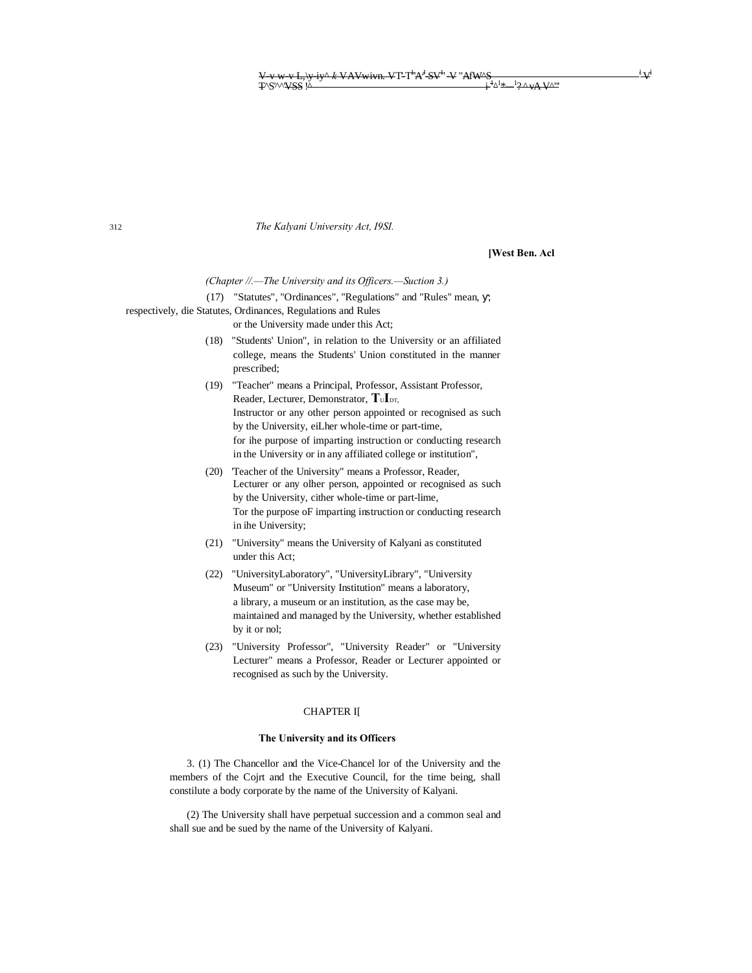312 *The Kalyani University Act, I9SI.*

**[West Ben. Acl**

 $V^{\text{AM}}$ 

*(Chapter //.—The University and its Officers.—Suction 3.)*

(17) "Statutes", "Ordinances", "Regulations" and "Rules" mean, , respectively, die Statutes, Ordinances, Regulations and Rules

or the University made under this Act;

- (18) "Students' Union", in relation to the University or an affiliated college, means the Students' Union constituted in the manner prescribed;
- (19) "Teacher" means a Principal, Professor, Assistant Professor, Reader, Lecturer, Demonstrator,  $T_{\text{U}}$ <sub>DT,</sub> Instructor or any other person appointed or recognised as such by the University, eiLher whole-time or part-time, for ihe purpose of imparting instruction or conducting research in the University or in any affiliated college or institution",
- (20) 'Teacher of the University" means a Professor, Reader, Lecturer or any olher person, appointed or recognised as such by the University, cither whole-time or part-lime, Tor the purpose oF imparting instruction or conducting research in ihe University;
- (21) "University" means the University of Kalyani as constituted under this Act;
- (22) "UniversityLaboratory", "UniversityLibrary", "University Museum" or "University Institution" means a laboratory, a library, a museum or an institution, as the case may be, maintained and managed by the University, whether established by it or nol;
- (23) "University Professor", "University Reader" or "University Lecturer" means a Professor, Reader or Lecturer appointed or recognised as such by the University.

#### CHAPTER I[

#### **The University and its Officers**

3. (1) The Chancellor and the Vice-Chancel lor of the University and the members of the Cojrt and the Executive Council, for the time being, shall constilute a body corporate by the name of the University of Kalyani.

(2) The University shall have perpetual succession and a common seal and shall sue and be sued by the name of the University of Kalyani.

 $\mathbf{u}^{\dagger}$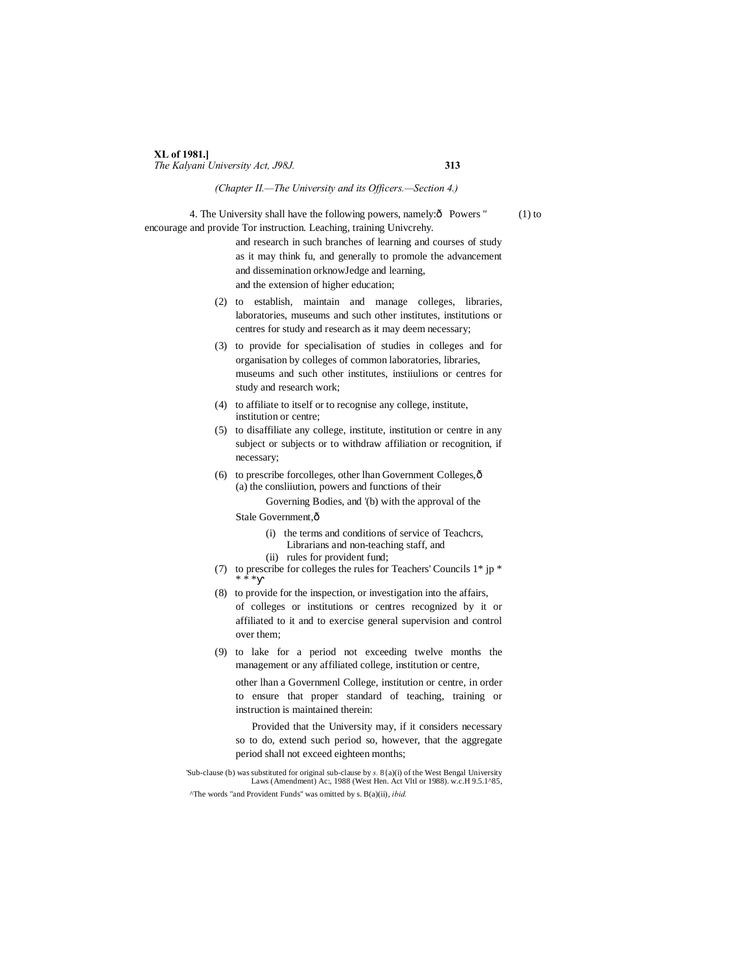#### **XL of 1981.]**

*The Kalyani University Act, J98J.* **313**

#### *(Chapter II.—The University and its Officers.—Section 4.)*

4. The University shall have the following powers, namely: $\hat{O}$  Powers " (1) to encourage and provide Tor instruction. Leaching, training Univcrehy.

> and research in such branches of learning and courses of study as it may think fu, and generally to promole the advancement and dissemination orknowJedge and learning, and the extension of higher education;

- (2) to establish, maintain and manage colleges, libraries, laboratories, museums and such other institutes, institutions or centres for study and research as it may deem necessary;
- (3) to provide for specialisation of studies in colleges and for organisation by colleges of common laboratories, libraries, museums and such other institutes, instiiulions or centres for study and research work;
- (4) to affiliate to itself or to recognise any college, institute, institution or centre;
- (5) to disaffiliate any college, institute, institution or centre in any subject or subjects or to withdraw affiliation or recognition, if necessary;
- (6) to prescribe forcolleges, other lhan Government Colleges, $\hat{o}$ (a) the consliiution, powers and functions of their

Governing Bodies, and '(b) with the approval of the Stale Government, ô

- (i) the terms and conditions of service of Teachcrs,
- Librarians and non-teaching staff, and
- (ii) rules for provident fund;
- (7) to prescribe for colleges the rules for Teachers' Councils  $1^*$  jp  $^*$ \* \* \*
- (8) to provide for the inspection, or investigation into the affairs, of colleges or institutions or centres recognized by it or affiliated to it and to exercise general supervision and control over them;
- (9) to lake for a period not exceeding twelve months the management or any affiliated college, institution or centre,

other lhan a Governmenl College, institution or centre, in order to ensure that proper standard of teaching, training or instruction is maintained therein:

Provided that the University may, if it considers necessary so to do, extend such period so, however, that the aggregate period shall not exceed eighteen months;

'Sub-clause (b) was substituted for original sub-clause by *s.* 8{a)(i) of the West Bengal University Laws (Amendment) Ac:, 1988 (West Hen. Act Vltl or 1988). w.c.H 9.5.1^85,

^The words "and Provident Funds" was omitted by s. B(a)(ii), *ibid.*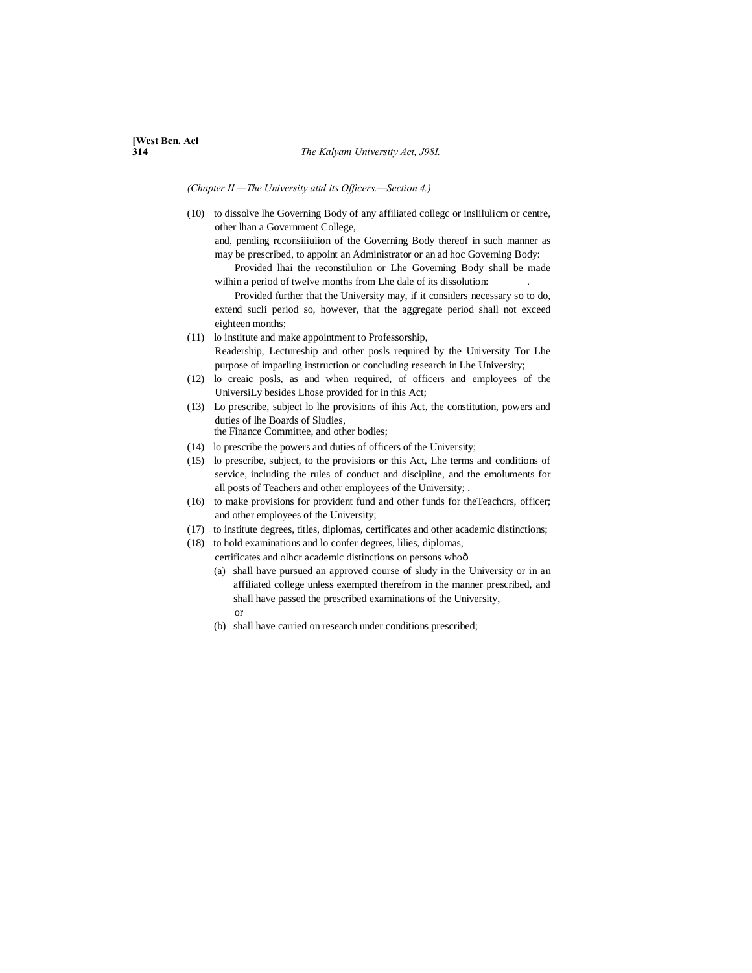*(Chapter II.—The University attd its Officers.—Section 4.)*

(10) to dissolve lhe Governing Body of any affiliated collegc or inslilulicm or centre, other lhan a Government College,

and, pending rcconsiiiuiion of the Governing Body thereof in such manner as may be prescribed, to appoint an Administrator or an ad hoc Governing Body:

Provided lhai the reconstilulion or Lhe Governing Body shall be made wilhin a period of twelve months from Lhe dale of its dissolution:

Provided further that the University may, if it considers necessary so to do, extend sucli period so, however, that the aggregate period shall not exceed eighteen months;

- (11) lo institute and make appointment to Professorship, Readership, Lectureship and other posls required by the University Tor Lhe purpose of imparling instruction or concluding research in Lhe University;
- (12) lo creaic posls, as and when required, of officers and employees of the UniversiLy besides Lhose provided for in this Act;
- (13) Lo prescribe, subject lo lhe provisions of ihis Act, the constitution, powers and duties of lhe Boards of Sludies, the Finance Committee, and other bodies;
- (14) lo prescribe the powers and duties of officers of the University;
- (15) lo prescribe, subject, to the provisions or this Act, Lhe terms and conditions of service, including the rules of conduct and discipline, and the emoluments for all posts of Teachers and other employees of the University; .
- (16) to make provisions for provident fund and other funds for theTeachcrs, officer; and other employees of the University;
- (17) to institute degrees, titles, diplomas, certificates and other academic distinctions;
- (18) to hold examinations and lo confer degrees, lilies, diplomas, certificates and olhcr academic distinctions on persons whoô
	- (a) shall have pursued an approved course of sludy in the University or in an affiliated college unless exempted therefrom in the manner prescribed, and shall have passed the prescribed examinations of the University, or
	- (b) shall have carried on research under conditions prescribed;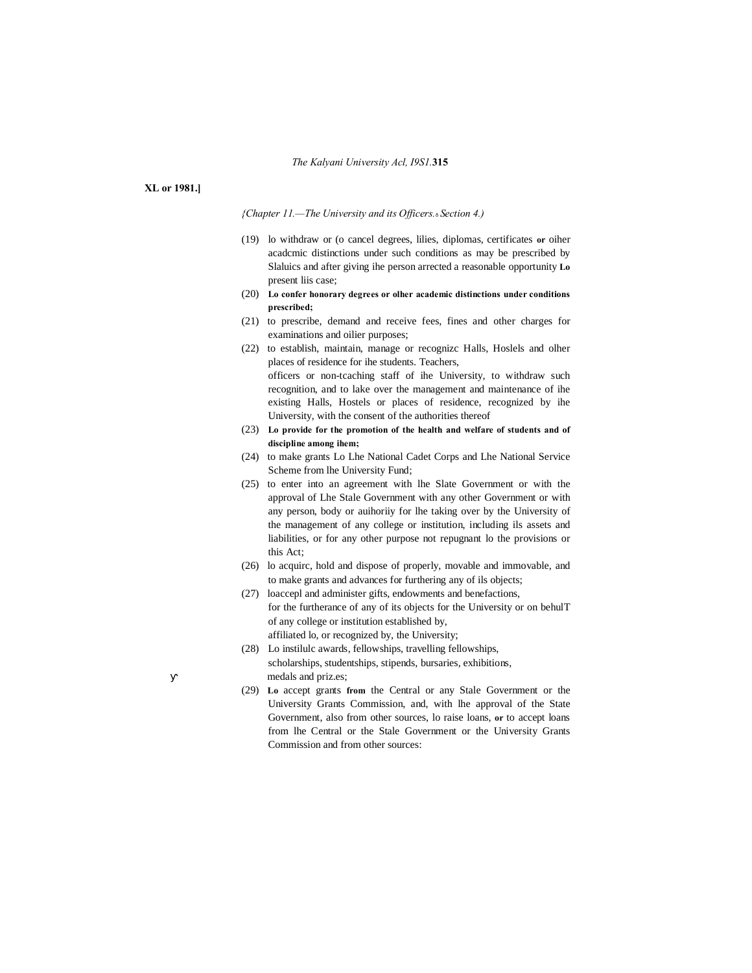#### *The Kalyani University Acl, I9S1.***315**

#### **XL or 1981.]**

*{Chapter 11.—The University and its Officers.*—*Section 4.)*

- (19) lo withdraw or (o cancel degrees, lilies, diplomas, certificates **or** oiher acadcmic distinctions under such conditions as may be prescribed by Slaluics and after giving ihe person arrected a reasonable opportunity **Lo** present liis case;
- (20) **Lo confer honorary degrees or olher academic distinctions under conditions prescribed;**
- (21) to prescribe, demand and receive fees, fines and other charges for examinations and oilier purposes;
- (22) to establish, maintain, manage or recognizc Halls, Hoslels and olher places of residence for ihe students. Teachers, officers or non-tcaching staff of ihe University, to withdraw such recognition, and to lake over the management and maintenance of ihe existing Halls, Hostels or places of residence, recognized by ihe University, with the consent of the authorities thereof
- (23) **Lo provide for the promotion of the health and welfare of students and of discipline among ihem;**
- (24) to make grants Lo Lhe National Cadet Corps and Lhe National Service Scheme from lhe University Fund;
- (25) to enter into an agreement with lhe Slate Government or with the approval of Lhe Stale Government with any other Government or with any person, body or auihoriiy for lhe taking over by the University of the management of any college or institution, including ils assets and liabilities, or for any other purpose not repugnant lo the provisions or this Act;
- (26) lo acquirc, hold and dispose of properly, movable and immovable, and to make grants and advances for furthering any of ils objects;
- (27) loaccepl and administer gifts, endowments and benefactions, for the furtherance of any of its objects for the University or on behulT of any college or institution established by, affiliated lo, or recognized by, the University;
- (28) Lo instilulc awards, fellowships, travelling fellowships, scholarships, studentships, stipends, bursaries, exhibitions, medals and priz.es;
- (29) **Lo** accept grants **from** the Central or any Stale Government or the University Grants Commission, and, with lhe approval of the State Government, also from other sources, lo raise loans, **or** to accept loans from lhe Central or the Stale Government or the University Grants Commission and from other sources: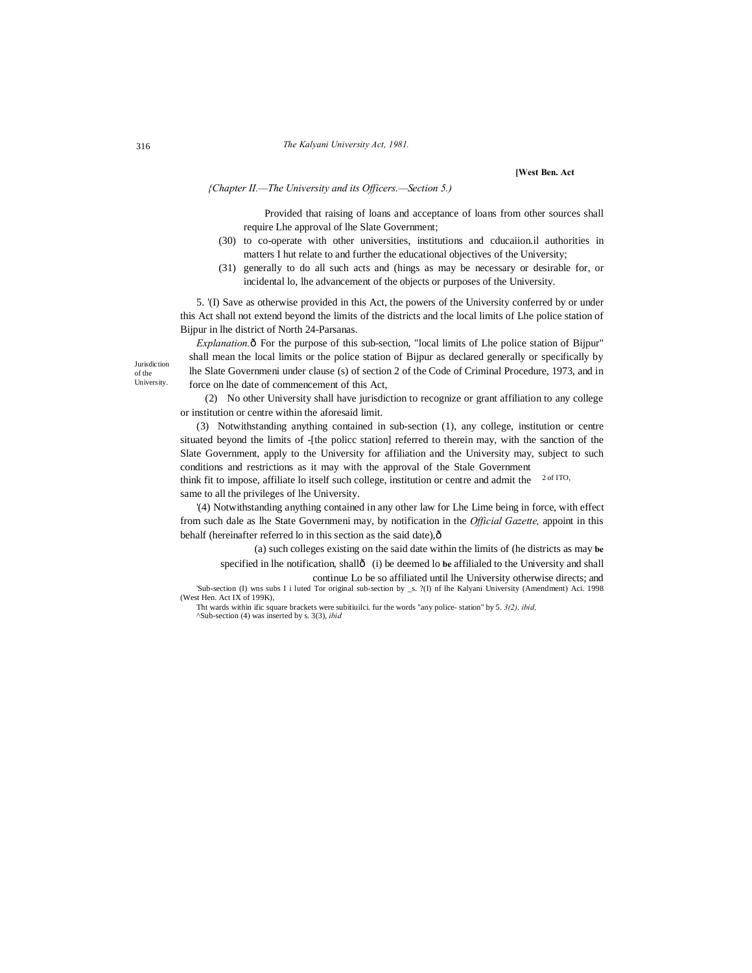**[West Ben. Act**

*{Chapter II.—The University and its Officers.—Section 5.)*

Provided that raising of loans and acceptance of loans from other sources shall require Lhe approval of lhe Slate Government;

- (30) to co-operate with other universities, institutions and cducaiion.il authorities in matters I hut relate to and further the educational objectives of the University;
- (31) generally to do all such acts and (hings as may be necessary or desirable for, or incidental lo, lhe advancement of the objects or purposes of the University.

5. '(I) Save as otherwise provided in this Act, the powers of the University conferred by or under this Act shall not extend beyond the limits of the districts and the local limits of Lhe police station of Bijpur in lhe district of North 24-Parsanas.

*Explanation.*  $\hat{o}$  For the purpose of this sub-section, "local limits of Lhe police station of Bijpur" shall mean the local limits or the police station of Bijpur as declared generally or specifically by lhe Slate Governmeni under clause (s) of section 2 of the Code of Criminal Procedure, 1973, and in force on lhe date of commencement of this Act,

(2) No other University shall have jurisdiction to recognize or grant affiliation to any college or institution or centre within the aforesaid limit.

(3) Notwithstanding anything contained in sub-section (1), any college, institution or centre situated beyond the limits of -[the policc station] referred to therein may, with the sanction of the Slate Government, apply to the University for affiliation and the University may, subject to such conditions and restrictions as it may with the approval of the Stale Government

think fit to impose, affiliate lo itself such college, institution or centre and admit the  $2 \text{ of } I$ TO, same to all the privileges of lhe University.

'(4) Notwithstanding anything contained in any other law for Lhe Lime being in force, with effect from such dale as lhe State Governmeni may, by notification in the *Official Gazette,* appoint in this behalf (hereinafter referred lo in this section as the said date), $\hat{o}$ 

(a) such colleges existing on the said date within the limits of (he districts as may **be** specified in lhe notification, shall— (i) be deemed lo **be** affilialed to the University and shall continue Lo be so affiliated until lhe University otherwise directs; and

'Sub-section (I) wns subs I i luted Tor original sub-section by \_s. ?(I) nf lhe Kalyani University (Amendment) Aci. 1998 (West Hen. Act IX of 199K),

Tht wards within ific square brackets were subitiuilci. fur the words "any police- station" by 5. *3(2), ibid,* ^Sub-section (4) was inserted by s. 3(3), *ibid*

**Jurisdiction** of the University.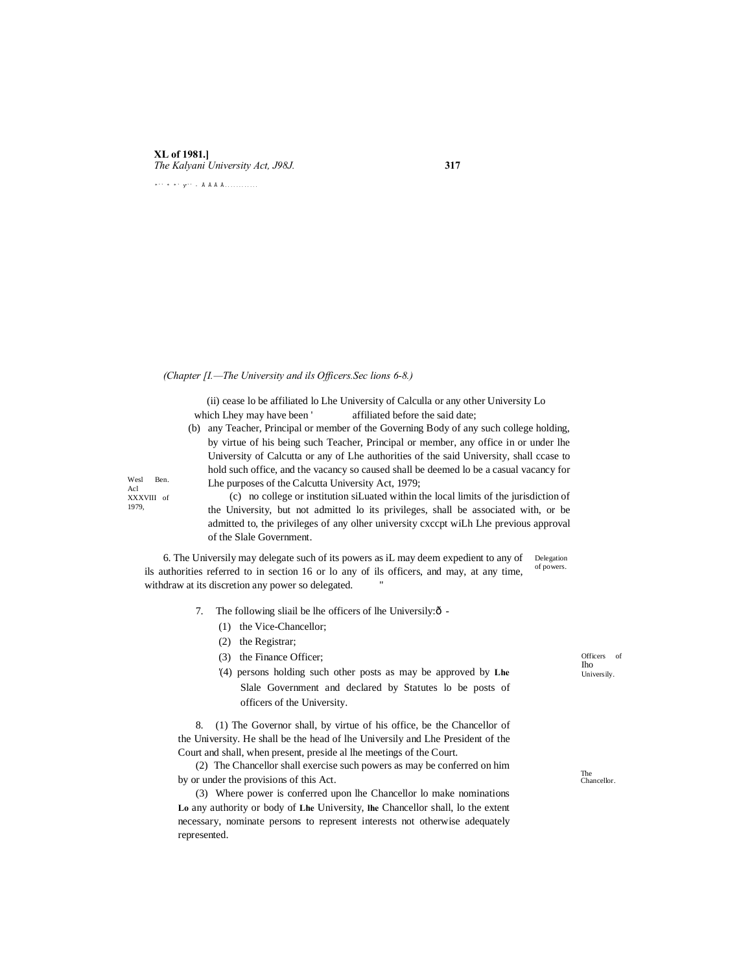### **XL of 1981.]** *The Kalyani University Act, J98J.* **317**

 $* \cdots * * \cdots * \; * \; \mathrel{\mathop:}{} \; \texttt{if} \; \; \texttt{if} \; \; \texttt{if} \; \; \texttt{if} \; \; \ldots \cdots \cdots \cdots$ 

#### *(Chapter [I.—The University and ils Officers.Sec lions 6-8.)*

(ii) cease lo be affiliated lo Lhe University of Calculla or any other University Lo which Lhey may have been ' affiliated before the said date;

(b) any Teacher, Principal or member of the Governing Body of any such college holding, by virtue of his being such Teacher, Principal or member, any office in or under lhe University of Calcutta or any of Lhe authorities of the said University, shall ccase to hold such office, and the vacancy so caused shall be deemed lo be a casual vacancy for Lhe purposes of the Calcutta University Act, 1979;

Wesl Ben Acl XXXVIII of 1979,

(c) no college or institution siLuated within the local limits of the jurisdiction of the University, but not admitted lo its privileges, shall be associated with, or be admitted to, the privileges of any olher university cxccpt wiLh Lhe previous approval of the Slale Government.

Delegation of powers. 6. The Universily may delegate such of its powers as iL may deem expedient to any of ils authorities referred to in section 16 or lo any of ils officers, and may, at any time, withdraw at its discretion any power so delegated.

- 7. The following sliail be lhe officers of lhe Universily: $\delta$  -
	- (1) the Vice-Chancellor;
	- (2) the Registrar;
	- (3) the Finance Officer;
	- '(4) persons holding such other posts as may be approved by **Lhe** Slale Government and declared by Statutes lo be posts of officers of the University.

8. (1) The Governor shall, by virtue of his office, be the Chancellor of the University. He shall be the head of lhe Universily and Lhe President of the Court and shall, when present, preside al lhe meetings of the Court.

(2) The Chancellor shall exercise such powers as may be conferred on him by or under the provisions of this Act.

(3) Where power is conferred upon lhe Chancellor lo make nominations **Lo** any authority or body of **Lhe** University, **lhe** Chancellor shall, lo the extent necessary, nominate persons to represent interests not otherwise adequately represented.

Officers of Iho Universily.

The Chancellor.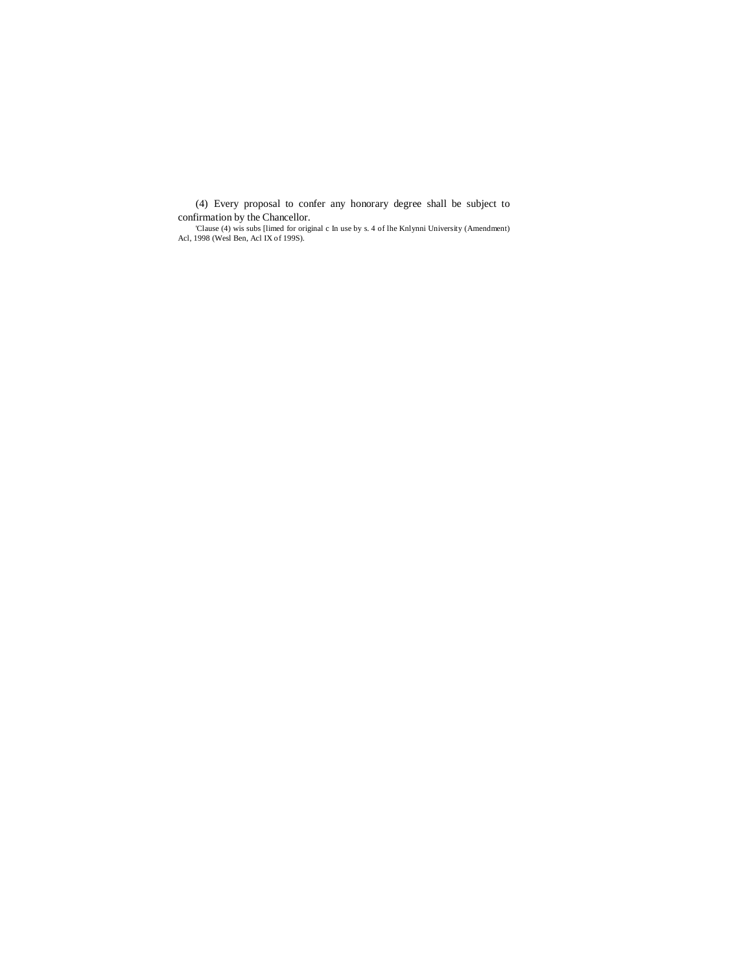(4) Every proposal to confer any honorary degree shall be subject to

confirmation by the Chancellor.<br>
Clause (4) wis subs [limed for original c In use by s. 4 of lhe Knlynni University (Amendment)<br>
Acl, 1998 (Wesl Ben, Acl IX of 1998).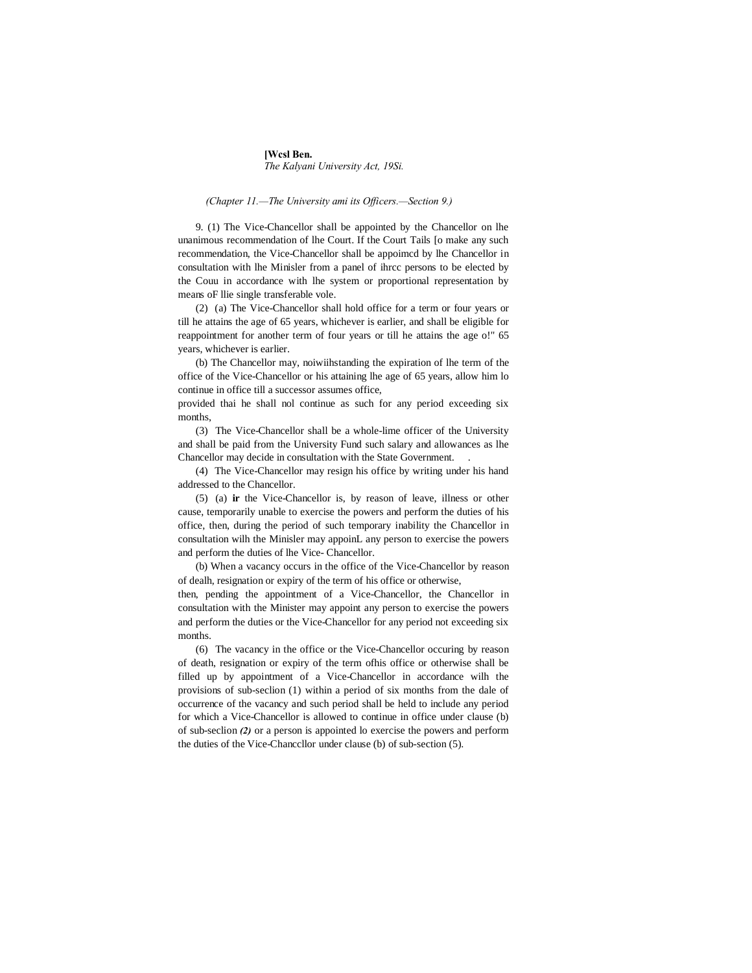#### **[Wcsl Ben.** *The Kalyani University Act, 19Si.*

#### *(Chapter 11.—The University ami its Officers.—Section 9.)*

9. (1) The Vice-Chancellor shall be appointed by the Chancellor on lhe unanimous recommendation of lhe Court. If the Court Tails [o make any such recommendation, the Vice-Chancellor shall be appoimcd by lhe Chancellor in consultation with lhe Minisler from a panel of ihrcc persons to be elected by the Couu in accordance with lhe system or proportional representation by means oF llie single transferable vole.

(2) (a) The Vice-Chancellor shall hold office for a term or four years or till he attains the age of 65 years, whichever is earlier, and shall be eligible for reappointment for another term of four years or till he attains the age o!" 65 years, whichever is earlier.

(b) The Chancellor may, noiwiihstanding the expiration of lhe term of the office of the Vice-Chancellor or his attaining lhe age of 65 years, allow him lo continue in office till a successor assumes office,

provided thai he shall nol continue as such for any period exceeding six months,

(3) The Vice-Chancellor shall be a whole-lime officer of the University and shall be paid from the University Fund such salary and allowances as lhe Chancellor may decide in consultation with the State Government. .

(4) The Vice-Chancellor may resign his office by writing under his hand addressed to the Chancellor.

(5) (a) **ir** the Vice-Chancellor is, by reason of leave, illness or other cause, temporarily unable to exercise the powers and perform the duties of his office, then, during the period of such temporary inability the Chancellor in consultation wilh the Minisler may appoinL any person to exercise the powers and perform the duties of lhe Vice- Chancellor.

(b) When a vacancy occurs in the office of the Vice-Chancellor by reason of dealh, resignation or expiry of the term of his office or otherwise,

then, pending the appointment of a Vice-Chancellor, the Chancellor in consultation with the Minister may appoint any person to exercise the powers and perform the duties or the Vice-Chancellor for any period not exceeding six months.

(6) The vacancy in the office or the Vice-Chancellor occuring by reason of death, resignation or expiry of the term ofhis office or otherwise shall be filled up by appointment of a Vice-Chancellor in accordance wilh the provisions of sub-seclion (1) within a period of six months from the dale of occurrence of the vacancy and such period shall be held to include any period for which a Vice-Chancellor is allowed to continue in office under clause (b) of sub-seclion *(2)* or a person is appointed lo exercise the powers and perform the duties of the Vice-Chanccllor under clause (b) of sub-section (5).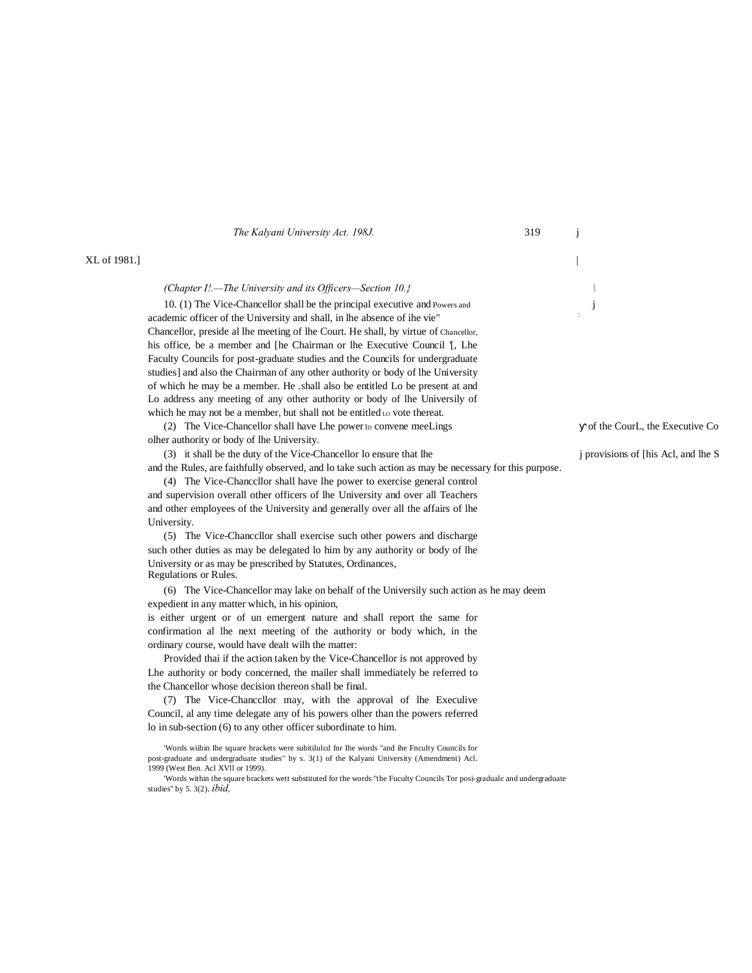|              | The Kalyani University Act. 198J.                                                                                                                                                                                                                                                                                              | 319 |                                            |
|--------------|--------------------------------------------------------------------------------------------------------------------------------------------------------------------------------------------------------------------------------------------------------------------------------------------------------------------------------|-----|--------------------------------------------|
| XL of 1981.] |                                                                                                                                                                                                                                                                                                                                |     |                                            |
|              | (Chapter I!.—The University and its Officers—Section 10.}                                                                                                                                                                                                                                                                      |     |                                            |
|              | 10. (1) The Vice-Chancellor shall be the principal executive and Powers and<br>academic officer of the University and shall, in lhe absence of ihe vie"<br>Chancellor, preside al lhe meeting of lhe Court. He shall, by virtue of Chancellor,<br>his office, be a member and [he Chairman or lhe Executive Council [], Lhe    |     |                                            |
|              | Faculty Councils for post-graduate studies and the Councils for undergraduate<br>studies] and also the Chairman of any other authority or body of lhe University<br>of which he may be a member. He .shall also be entitled Lo be present at and<br>Lo address any meeting of any other authority or body of lhe Universily of |     |                                            |
|              | which he may not be a member, but shall not be entitled Lo vote thereat.<br>(2) The Vice-Chancellor shall have Lhe power ID convene meeLings                                                                                                                                                                                   |     | of the CourL, the Executive Co             |
|              | olher authority or body of the University.<br>(3) it shall be the duty of the Vice-Chancellor lo ensure that lhe<br>and the Rules, are faithfully observed, and lo take such action as may be necessary for this purpose.<br>(4) The Vice-Chancellor shall have lhe power to exercise general control                          |     | <i>j</i> provisions of [his Acl, and lhe S |
|              | and supervision overall other officers of lhe University and over all Teachers<br>and other employees of the University and generally over all the affairs of lhe<br>University.                                                                                                                                               |     |                                            |
|              | (5) The Vice-Chancellor shall exercise such other powers and discharge<br>such other duties as may be delegated lo him by any authority or body of lhe<br>University or as may be prescribed by Statutes, Ordinances,                                                                                                          |     |                                            |
|              | Regulations or Rules.<br>(6) The Vice-Chancellor may lake on behalf of the University such action as he may deem<br>expedient in any matter which, in his opinion,                                                                                                                                                             |     |                                            |
|              | is either urgent or of un emergent nature and shall report the same for<br>confirmation al lhe next meeting of the authority or body which, in the<br>ordinary course, would have dealt wilh the matter:<br>Provided thai if the action taken by the Vice-Chancellor is not approved by                                        |     |                                            |
|              | The authority or body concerned, the mailer shall immediately be referred to<br>the Chancellor whose decision thereon shall be final.<br>(7) The Vice-Chancellor may, with the approval of lhe Execulive<br>Council, al any time delegate any of his powers of the powers referred                                             |     |                                            |

lo in sub-section (6) to any other officer subordinate to him.

1999 (West Ben. Acl XVll or 1999).

studies" by 5. 3(2), *ibid,*

'Words wiihin Ihe square brackets were subitilulcd fnr Ihe words "and ihe Fnculty Councils for post-graduate and undergraduate studies" by s. 3(1) of the Kalyani University (Amendment) Acl.

'Words within the square brackets wett substituted for the words "the Fuculty Councils Tor posi-gradualc and undergraduate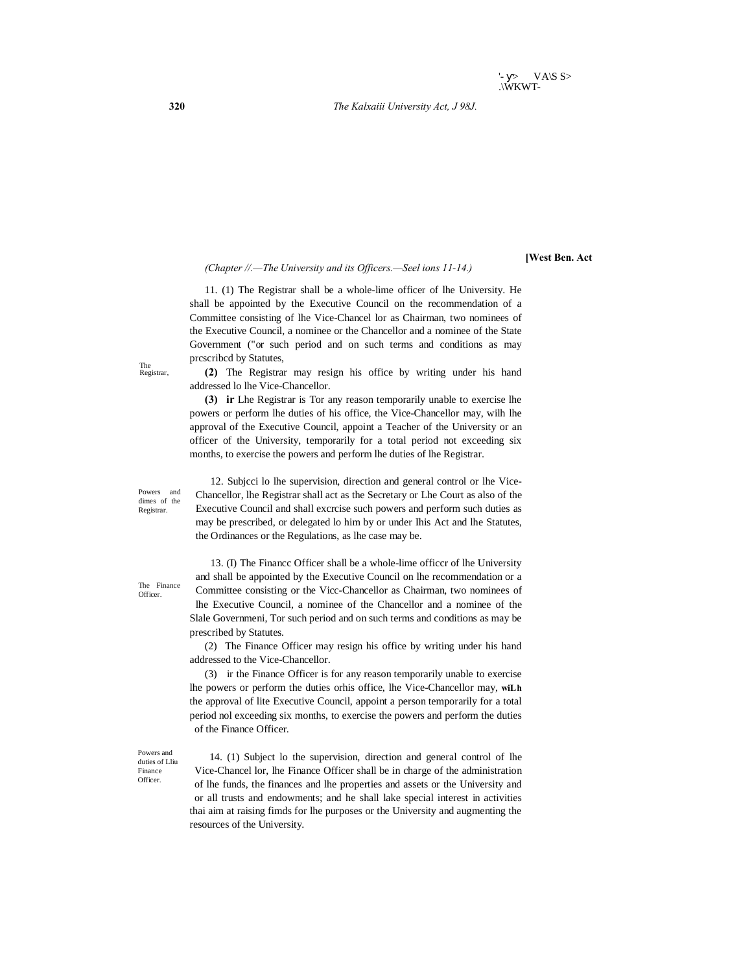**320** *The Kalxaiii University Act, J 98J.*

*(Chapter //.—The University and its Officers.—Seel ions 11-14.)*

**[West Ben. Act**

11. (1) The Registrar shall be a whole-lime officer of lhe University. He shall be appointed by the Executive Council on the recommendation of a Committee consisting of lhe Vice-Chancel lor as Chairman, two nominees of the Executive Council, a nominee or the Chancellor and a nominee of the State Government ("or such period and on such terms and conditions as may prcscribcd by Statutes,

**(2)** The Registrar may resign his office by writing under his hand addressed lo lhe Vice-Chancellor.

**(3) ir** Lhe Registrar is Tor any reason temporarily unable to exercise lhe powers or perform lhe duties of his office, the Vice-Chancellor may, wilh lhe approval of the Executive Council, appoint a Teacher of the University or an officer of the University, temporarily for a total period not exceeding six months, to exercise the powers and perform lhe duties of lhe Registrar.

12. Subjcci lo lhe supervision, direction and general control or lhe Vice-Chancellor, lhe Registrar shall act as the Secretary or Lhe Court as also of the Executive Council and shall excrcise such powers and perform such duties as may be prescribed, or delegated lo him by or under Ihis Act and lhe Statutes, the Ordinances or the Regulations, as lhe case may be.

13. (I) The Financc Officer shall be a whole-lime officcr of lhe University and shall be appointed by the Executive Council on lhe recommendation or a Committee consisting or the Vicc-Chancellor as Chairman, two nominees of lhe Executive Council, a nominee of the Chancellor and a nominee of the Slale Governmeni, Tor such period and on such terms and conditions as may be prescribed by Statutes.

(2) The Finance Officer may resign his office by writing under his hand addressed to the Vice-Chancellor.

(3) ir the Finance Officer is for any reason temporarily unable to exercise lhe powers or perform the duties orhis office, lhe Vice-Chancellor may, **wiLh** the approval of lite Executive Council, appoint a person temporarily for a total period nol exceeding six months, to exercise the powers and perform the duties of the Finance Officer.

Powers and duties of Lliu Finance Officer.

14. (1) Subject lo the supervision, direction and general control of lhe Vice-Chancel lor, lhe Finance Officer shall be in charge of the administration of lhe funds, the finances and lhe properties and assets or the University and or all trusts and endowments; and he shall lake special interest in activities thai aim at raising fimds for lhe purposes or the University and augmenting the resources of the University.

The Registrar,

The Finance Officer.

Powers and dimes of the Registrar.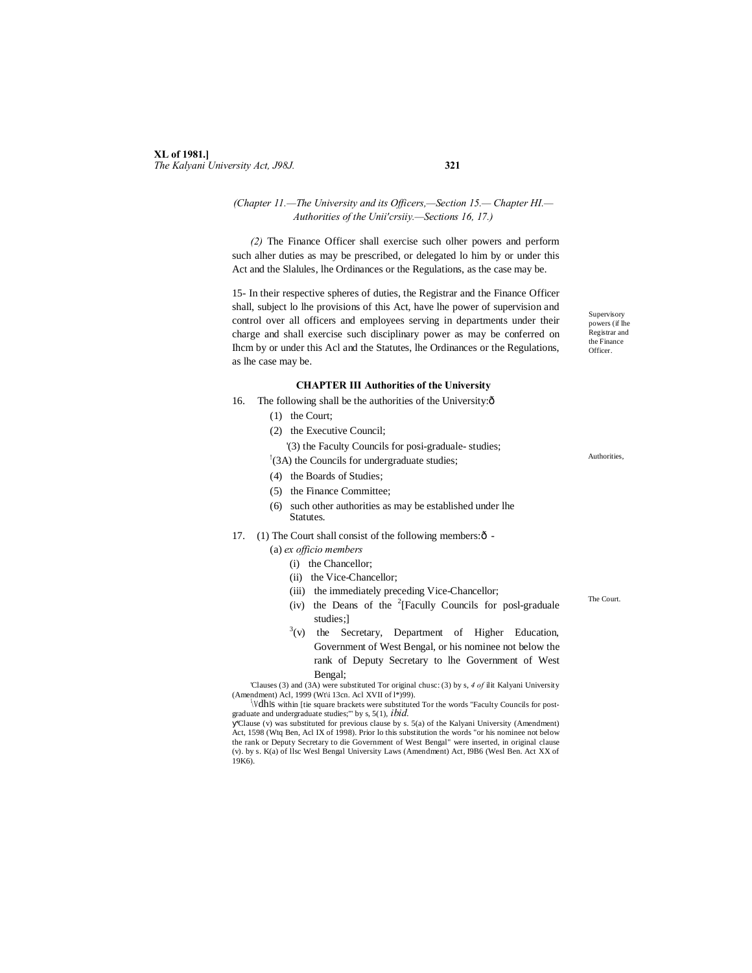### **XL of 1981.]** *The Kalyani University Act, J98J.* **321**

#### *(Chapter 11.—The University and its Officers,—Section 15.— Chapter HI.— Authorities of the Unii'crsiiy.—Sections 16, 17.)*

*(2)* The Finance Officer shall exercise such olher powers and perform such alher duties as may be prescribed, or delegated lo him by or under this Act and the Slalules, lhe Ordinances or the Regulations, as the case may be.

15- In their respective spheres of duties, the Registrar and the Finance Officer shall, subject lo lhe provisions of this Act, have lhe power of supervision and control over all officers and employees serving in departments under their charge and shall exercise such disciplinary power as may be conferred on Ihcm by or under this Acl and the Statutes, lhe Ordinances or the Regulations, as lhe case may be.

#### **CHAPTER III Authorities of the University**

- 16. The following shall be the authorities of the University: $\delta$ 
	- (1) the Court;
	- (2) the Executive Council;

'(3) the Faculty Councils for posi-graduale- studies;

! (3A) the Councils for undergraduate studies;

- (4) the Boards of Studies;
- (5) the Finance Committee;
- (6) such other authorities as may be established under lhe Statutes.
- 17. (1) The Court shall consist of the following members: $\hat{o}$  -
	- (a) *ex officio members*
		- (i) the Chancellor;
		- (ii) the Vice-Chancellor;
		- (iii) the immediately preceding Vice-Chancellor;
		- (iv) the Deans of the  $2$ <sup>[Facully Councils</sup> for posl-graduale studies;]
		- $3(v)$  the Secretary, Department of Higher Education, Government of West Bengal, or his nominee not below the rank of Deputy Secretary to lhe Government of West Bengal;

'Clauses (3) and (3A) were substituted Tor original chusc: (3) by s, *4 of* ilit Kalyani University (Amendment) Acl, 1999 (Wt\i 13cn. Acl XVII of  $l$ \*)99).

! \VdhIs within [tie square brackets were substituted Tor the words "Faculty Councils for postgraduate and undergraduate studies;'" by s, 5(1), *ibid.*

'Clause (v) was substituted for previous clause by s. 5(a) of the Kalyani University (Amendment) Act, 1598 (Wtq Ben, Acl IX of 1998). Prior lo this substitution the words "or his nominee not below the rank or Deputy Secretary to die Government of West Bengal" were inserted, in original clause (v). by s. K(a) of llsc Wesl Bengal University Laws (Amendment) Act, I9B6 (Wesl Ben. Act XX of 19K6).

**Supervisory** powers (if lhe Registrar and the Finance Officer.

Authorities,

The Court.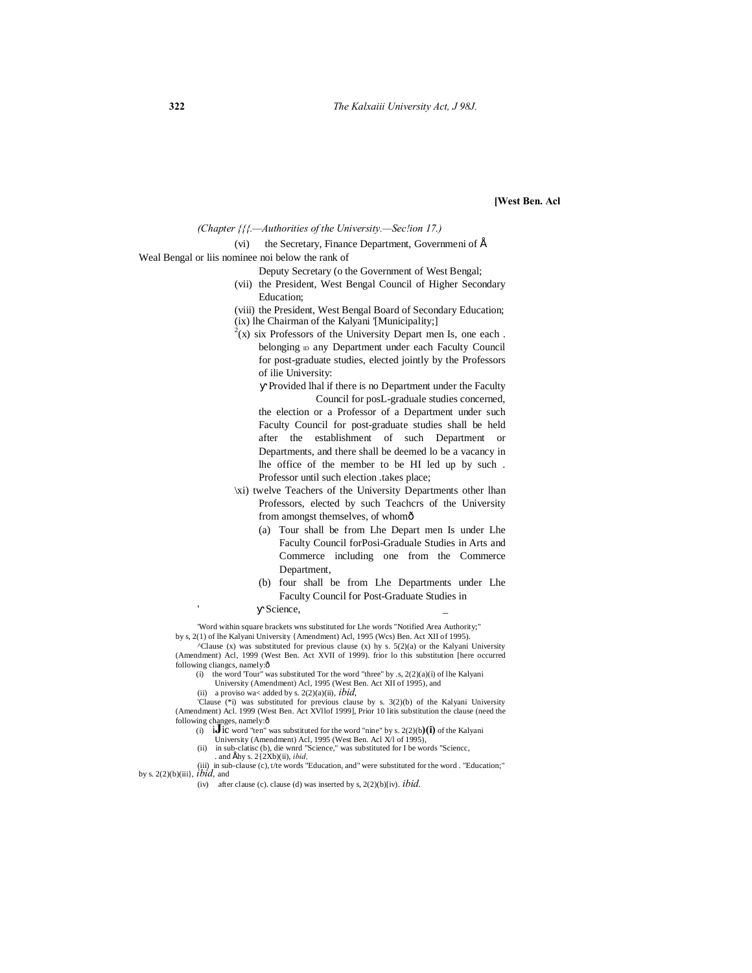#### **[West Ben. Acl**

*(Chapter {{{.—Authorities of the University.—Sec!ion 17.)*

(vi) the Secretary, Finance Department, Governmeni of  $\acute{E}$ 

#### Weal Bengal or liis nominee noi below the rank of

- Deputy Secretary (o the Government of West Bengal;
- (vii) the President, West Bengal Council of Higher Secondary Education;
- (viii) the President, West Bengal Board of Secondary Education;
- (ix) lhe Chairman of the Kalyani '[Municipality;]
- $2(x)$  six Professors of the University Depart men Is, one each. belonging  $D$  any Department under each Faculty Council for post-graduate studies, elected jointly by the Professors of ilie University:

Provided lhal if there is no Department under the Faculty Council for posL-graduale studies concerned, the election or a Professor of a Department under such Faculty Council for post-graduate studies shall be held after the establishment of such Department or Departments, and there shall be deemed lo be a vacancy in lhe office of the member to be HI led up by such .

- Professor until such election .takes place;
- \xi) twelve Teachers of the University Departments other lhan Professors, elected by such Teachcrs of the University from amongst themselves, of whomô
	- (a) Tour shall be from Lhe Depart men Is under Lhe Faculty Council forPosi-Graduale Studies in Arts and Commerce including one from the Commerce Department,
	- (b) four shall be from Lhe Departments under Lhe Faculty Council for Post-Graduate Studies in
	- Science.

'Word within square brackets wns substituted for Lhe words "Notified Area Authority;" by s, 2(1) of lhe Kalyani University {Amendment) Acl, 1995 (Wcs) Ben. Act XII of 1995).

 $^{\circ}$ Clause (x) was substituted for previous clause (x) hy s. 5(2)(a) or the Kalyani University (Amendment) Acl, 1999 (West Ben. Act XVII of 1999). frior lo this substitution [here occurred following clianges, namely: $\hat{o}$ 

- (i) the word 'Tour" was substituted Tor the word "three" by .s,  $2(2)(a)(i)$  of lhe Kalyani University (Amendment) Acl, 1995 (West Ben. Act XII of 1995), and
- (ii) a proviso wa< added by s.  $2(2)(a)(ii)$ , *ibid*,

'Clause (\*i) was substituted for previous clause by s. 3(2)(b) of the Kalyani University (Amendment) Acl. 1999 (West Ben. Act XVllof 1999], Prior 10 litis substitution the clause (need the following changes, namely:6

- (i)  $\mathbf{i}$ **J** ic word "ten" was substituted for the word "nine" by s. 2(2)(b)(**i**) of the Kalyani University (Amendment) Acl, 1995 (West Ben. Acl X/l of 1995),
- (ii) in sub-clatisc (b), die wnrd "Science," was substituted for I be words "Sciencc, . and  $E$ hy s.  $2\{2Xb\}$ (ii), *ibid.*

(iii) in sub-clause (c), t/te words "Education, and" were substituted for the word . "Education;" by s. 2(2)(b)(iii}, *ibid,* and

(iv) after clause (c). clause (d) was inserted by s, 2(2)(b)[iv). *ibid.*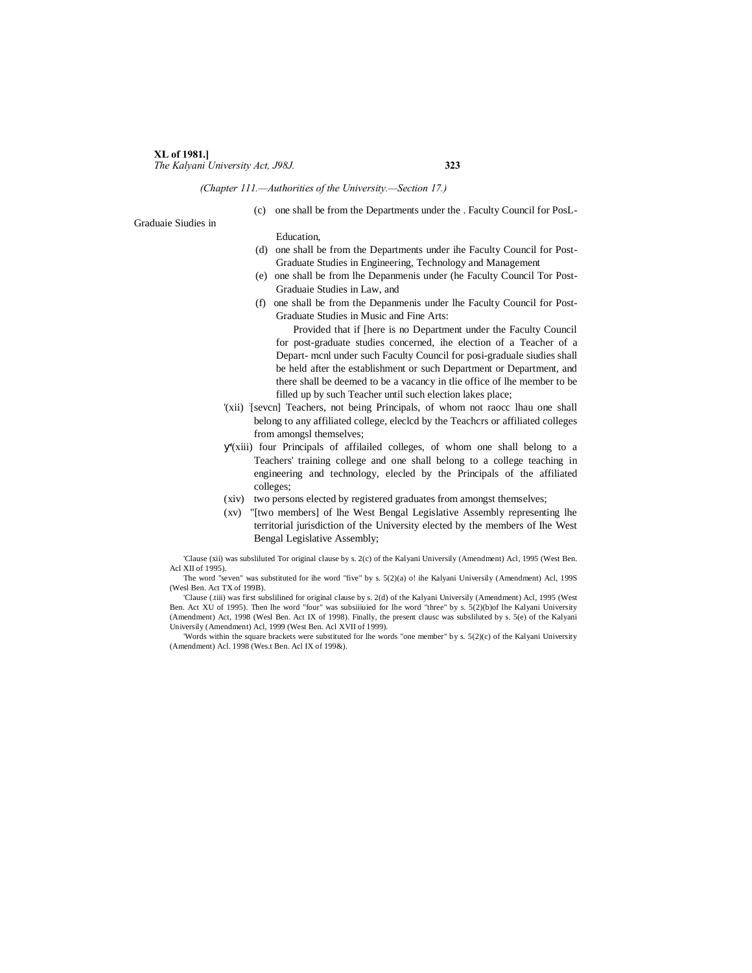#### **XL of 1981.]** *The Kalyani University Act, J98J.* **323**

*(Chapter 111.—Authorities of the University.—Section 17.)*

(c) one shall be from the Departments under the . Faculty Council for PosL-

Graduaie Siudies in

#### Education,

- (d) one shall be from the Departments under ihe Faculty Council for Post-Graduate Studies in Engineering, Technology and Management
- (e) one shall be from lhe Depanmenis under (he Faculty Council Tor Post-Graduaie Studies in Law, and
- (f) one shall be from the Depanmenis under lhe Faculty Council for Post-Graduate Studies in Music and Fine Arts:

Provided that if [here is no Department under the Faculty Council for post-graduate studies concerned, ihe election of a Teacher of a Depart- mcnl under such Faculty Council for posi-graduale siudies shall be held after the establishment or such Department or Department, and there shall be deemed to be a vacancy in tlie office of lhe member to be filled up by such Teacher until such election lakes place;

- '(xii) : [sevcn] Teachers, not being Principals, of whom not raocc lhau one shall belong to any affiliated college, eleclcd by the Teachcrs or affiliated colleges from amongsl themselves;
- '(xiii) four Principals of affilailed colleges, of whom one shall belong to a Teachers' training college and one shall belong to a college teaching in engineering and technology, elecled by the Principals of the affiliated colleges;
- (xiv) two persons elected by registered graduates from amongst themselves;
- (xv) "[two members] of lhe West Bengal Legislative Assembly representing lhe territorial jurisdiction of the University elected by the members of Ihe West Bengal Legislative Assembly;

'Clause (xii) was subsliluted Tor original clause by s. 2(c) of the Kalyani Universily (Amendment) Acl, 1995 (West Ben. Acl XII of 1995).

The word "seven" was substituted for ihe word "five" by s. 5(2)(a) o! ihe Kalyani Universily (Amendment) Acl, 199S (Wesl Ben. Act TX of 199B).

'Clause (.tiii) was first subslilined for original clause by s. 2(d) of the Kalyani Universily (Amendment) Acl, 1995 (West Ben. Act XU of 1995). Then lhe word "four" was subsiiiuied for lhe word "three" by s. 5(2)(b)of lhe Kalyani University (Amendment) Act, 1998 (Wesl Ben. Act IX of 1998). Finally, the present clausc was subsliluted by s. 5(e) of the Kalyani Universily (Amendment) Acl, 1999 (West Ben. Acl XVII of 1999).

'Words within the square brackets were substituted for lhe words "one member" by s. 5(2)(c) of the Kalyani University (Amendment) Acl. 1998 (Wes.t Ben. Acl IX of 199&).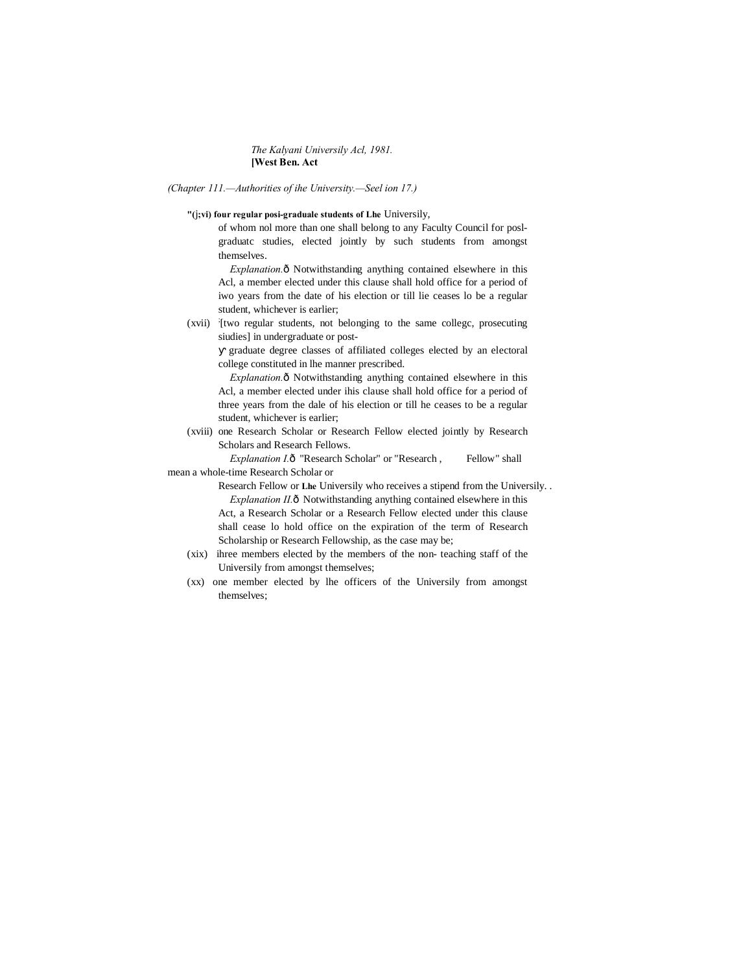#### *The Kalyani Universily Acl, 1981.* **[West Ben. Act**

*(Chapter 111.—Authorities of ihe University.—Seel ion 17.)*

#### **"(**j**;vi) four regular posi-graduale students of Lhe** Universily,

of whom nol more than one shall belong to any Faculty Council for poslgraduatc studies, elected jointly by such students from amongst themselves.

*Explanation.* $\hat{o}$  Notwithstanding anything contained elsewhere in this Acl, a member elected under this clause shall hold office for a period of iwo years from the date of his election or till lie ceases lo be a regular student, whichever is earlier;

(xvii) [two regular students, not belonging to the same college, prosecuting siudies] in undergraduate or post-

graduate degree classes of affiliated colleges elected by an electoral college constituted in lhe manner prescribed.

*Explanation.* $\delta$  Notwithstanding anything contained elsewhere in this Acl, a member elected under ihis clause shall hold office for a period of three years from the dale of his election or till he ceases to be a regular student, whichever is earlier;

(xviii) one Research Scholar or Research Fellow elected jointly by Research Scholars and Research Fellows.

*Explanation I.*ô "Research Scholar" or "Research , Fellow" shall mean a whole-time Research Scholar or

> Research Fellow or **Lhe** Universily who receives a stipend from the Universily. . *Explanation II.* $\hat{o}$  Notwithstanding anything contained elsewhere in this Act, a Research Scholar or a Research Fellow elected under this clause shall cease lo hold office on the expiration of the term of Research Scholarship or Research Fellowship, as the case may be;

- (xix) ihree members elected by the members of the non- teaching staff of the Universily from amongst themselves;
- (xx) one member elected by lhe officers of the Universily from amongst themselves;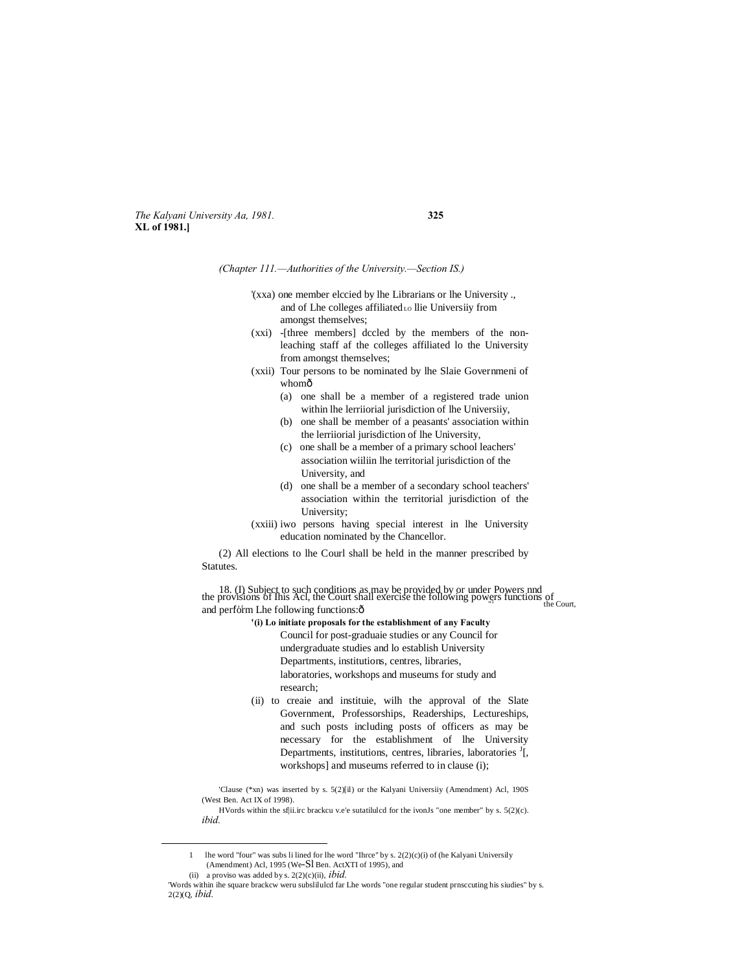*The Kalyani University Aa, 1981.* **325 XL of 1981.]**

*(Chapter 111.—Authorities of the University.—Section IS.)*

- '(xxa) one member elccied by lhe Librarians or lhe University ., and of Lhe colleges affiliated Lo llie Universiiy from amongst themselves;
- (xxi) -[three members] dccled by the members of the nonleaching staff af the colleges affiliated lo the University from amongst themselves;
- (xxii) Tour persons to be nominated by lhe Slaie Governmeni of whomô
	- (a) one shall be a member of a registered trade union within lhe lerriiorial jurisdiction of lhe Universiiy,
	- (b) one shall be member of a peasants' association within the lerriiorial jurisdiction of lhe University,
	- (c) one shall be a member of a primary school leachers' association wiiliin lhe territorial jurisdiction of the University, and
	- (d) one shall be a member of a secondary school teachers' association within the territorial jurisdiction of the University;
- (xxiii) iwo persons having special interest in lhe University education nominated by the Chancellor.

(2) All elections to lhe Courl shall be held in the manner prescribed by Statutes.

18. (I) Subject to such conditions as may be provided by or under Powers nnd the provisions of Ihis Acl, the Court shall exercise the following powers functions of the Court, and perform Lhe following functions: $\hat{o}$ 

- **'(i) Lo initiate proposals for the establishment of any Faculty** Council for post-graduaie studies or any Council for undergraduate studies and lo establish University Departments, institutions, centres, libraries, laboratories, workshops and museums for study and research;
- (ii) to creaie and instituie, wilh the approval of the Slate Government, Professorships, Readerships, Lectureships, and such posts including posts of officers as may be necessary for the establishment of lhe University Departments, institutions, centres, libraries, laboratories <sup>J</sup>[, workshops] and museums referred to in clause (i);

'Clause (\*xn) was inserted by s. 5(2)[il) or the Kalyani Universiiy (Amendment) Acl, 190S (West Ben. Act IX of 1998).

HVords within the sf|ii.irc brackcu v.e'e sutatilulcd for the ivonJs "one member" by s. 5(2)(c). *ibid.*

 <sup>1</sup> lhe word "four" was subs li lined for lhe word "Ihrce" by s. 2(2)(c)(i) of (he Kalyani Universily (Amendment) Acl, 1995 (We-Sl Ben. ActXTI of 1995), and (ii) a proviso was added by s.  $2(2)(c)(ii)$ , *ibid.* 

<sup>&#</sup>x27;Words within ihe square brackcw weru subslilulcd far Lhe words "one regular student prnsccuting his siudies" by s. 2(2)(Q, *ibid.*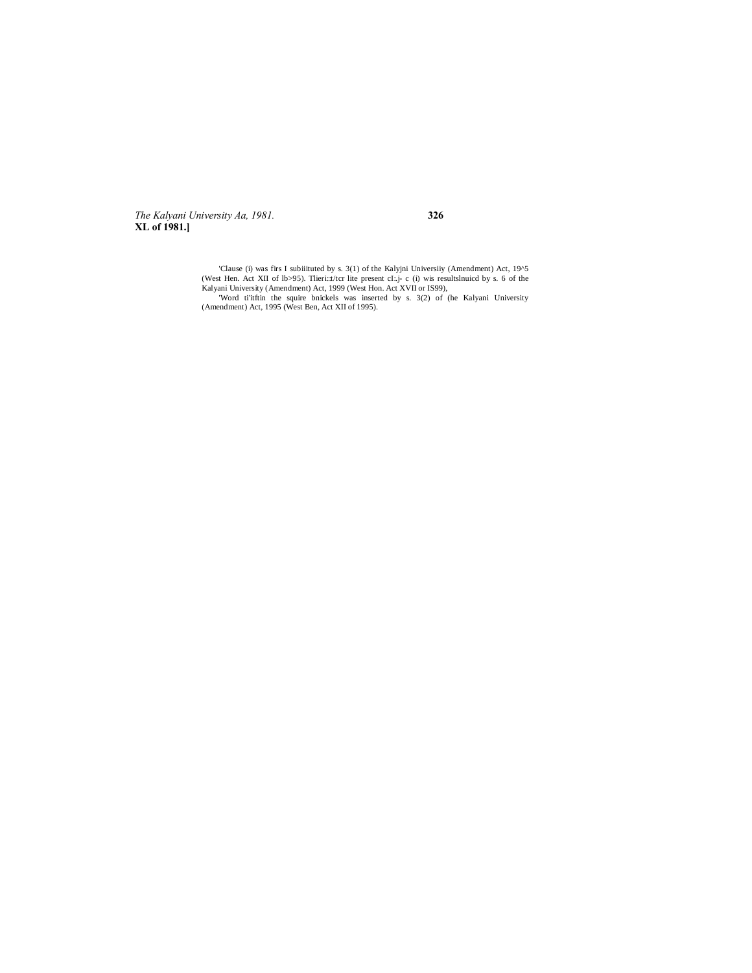The Kalyani University Aa, 1981. XL of 1981.]

#### 326

'Clause (i) was firs I subiiituted by s. 3(1) of the Kalyjni Universiiy (Amendment) Act, 19^5 Clause (1) was first studient by s. 5(1) of the Karyjn University (Amendment) Act, 19°5<br>(West Hen. Act XII of lb>95). Theri: d: terms and claim and the present of the present of the Ralyani University (Amendment) Act, 1999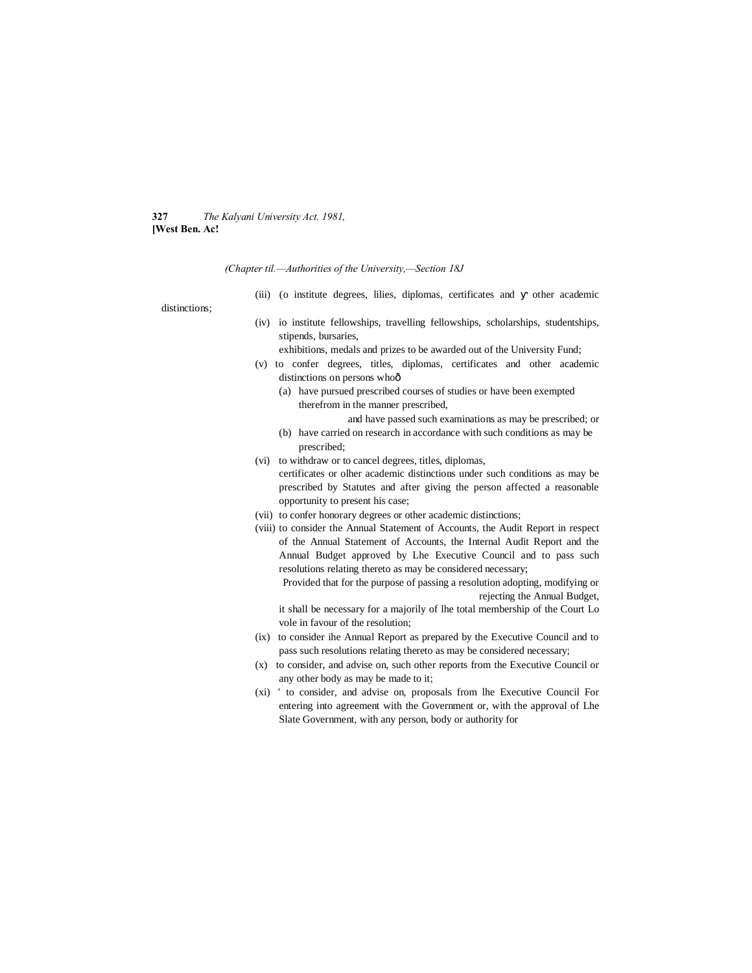#### **327** *The Kalyani University Act. 1981,* **[West Ben. Ac!**

*(Chapter til.—Authorities of the University,—Section 18J*

(iii) (o institute degrees, lilies, diplomas, certificates and other academic

distinctions;

(iv) io institute fellowships, travelling fellowships, scholarships, studentships, stipends, bursaries,

exhibitions, medals and prizes to be awarded out of the University Fund;

- (v) to confer degrees, titles, diplomas, certificates and other academic distinctions on persons whoô
	- (a) have pursued prescribed courses of studies or have been exempted therefrom in the manner prescribed,

and have passed such examinations as may be prescribed; or

- (b) have carried on research in accordance with such conditions as may be prescribed;
- (vi) to withdraw or to cancel degrees, titles, diplomas, certificates or olher academic distinctions under such conditions as may be prescribed by Statutes and after giving the person affected a reasonable opportunity to present his case;
- (vii) to confer honorary degrees or other academic distinctions;
- (viii) to consider the Annual Statement of Accounts, the Audit Report in respect of the Annual Statement of Accounts, the Internal Audit Report and the Annual Budget approved by Lhe Executive Council and to pass such resolutions relating thereto as may be considered necessary;

Provided that for the purpose of passing a resolution adopting, modifying or rejecting the Annual Budget,

it shall be necessary for a majorily of lhe total membership of the Court Lo vole in favour of the resolution;

- (ix) to consider ihe Annual Report as prepared by the Executive Council and to pass such resolutions relating thereto as may be considered necessary;
- (x) to consider, and advise on, such other reports from the Executive Council or any other body as may be made to it;
- (xi) ' to consider, and advise on, proposals from lhe Executive Council For entering into agreement with the Government or, with the approval of Lhe Slate Government, with any person, body or authority for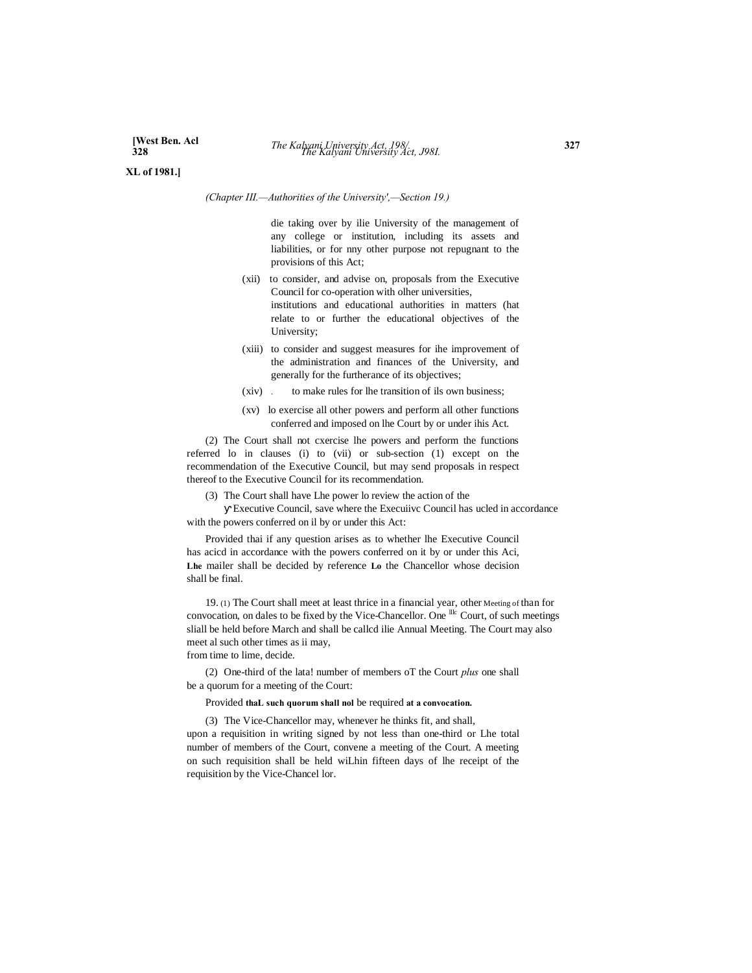**[West Ben. Acl XL of 1981.]**

*(Chapter III.—Authorities of the University',—Section 19.)*

die taking over by ilie University of the management of any college or institution, including its assets and liabilities, or for nny other purpose not repugnant to the provisions of this Act;

- (xii) to consider, and advise on, proposals from the Executive Council for co-operation with olher universities, institutions and educational authorities in matters (hat relate to or further the educational objectives of the University;
- (xiii) to consider and suggest measures for ihe improvement of the administration and finances of the University, and generally for the furtherance of its objectives;
- (xiv) . to make rules for lhe transition of ils own business;
- (xv) lo exercise all other powers and perform all other functions conferred and imposed on lhe Court by or under ihis Act.

(2) The Court shall not cxercise lhe powers and perform the functions referred lo in clauses (i) to (vii) or sub-section (1) except on the recommendation of the Executive Council, but may send proposals in respect thereof to the Executive Council for its recommendation.

(3) The Court shall have Lhe power lo review the action of the

Executive Council, save where the Execuiivc Council has ucled in accordance with the powers conferred on il by or under this Act:

Provided thai if any question arises as to whether lhe Executive Council has acicd in accordance with the powers conferred on it by or under this Aci, **Lhe** mailer shall be decided by reference **Lo** the Chancellor whose decision shall be final.

19. (1) The Court shall meet at least thrice in a financial year, other Meeting of than for convocation, on dales to be fixed by the Vice-Chancellor. One <sup>llc</sup> Court, of such meetings sliall be held before March and shall be callcd ilie Annual Meeting. The Court may also meet al such other times as ii may,

from time to lime, decide.

(2) One-third of the lata! number of members oT the Court *plus* one shall be a quorum for a meeting of the Court:

#### Provided **thaL such quorum shall nol** be required **at a convocation.**

(3) The Vice-Chancellor may, whenever he thinks fit, and shall, upon a requisition in writing signed by not less than one-third or Lhe total number of members of the Court, convene a meeting of the Court. A meeting on such requisition shall be held wiLhin fifteen days of lhe receipt of the requisition by the Vice-Chancel lor.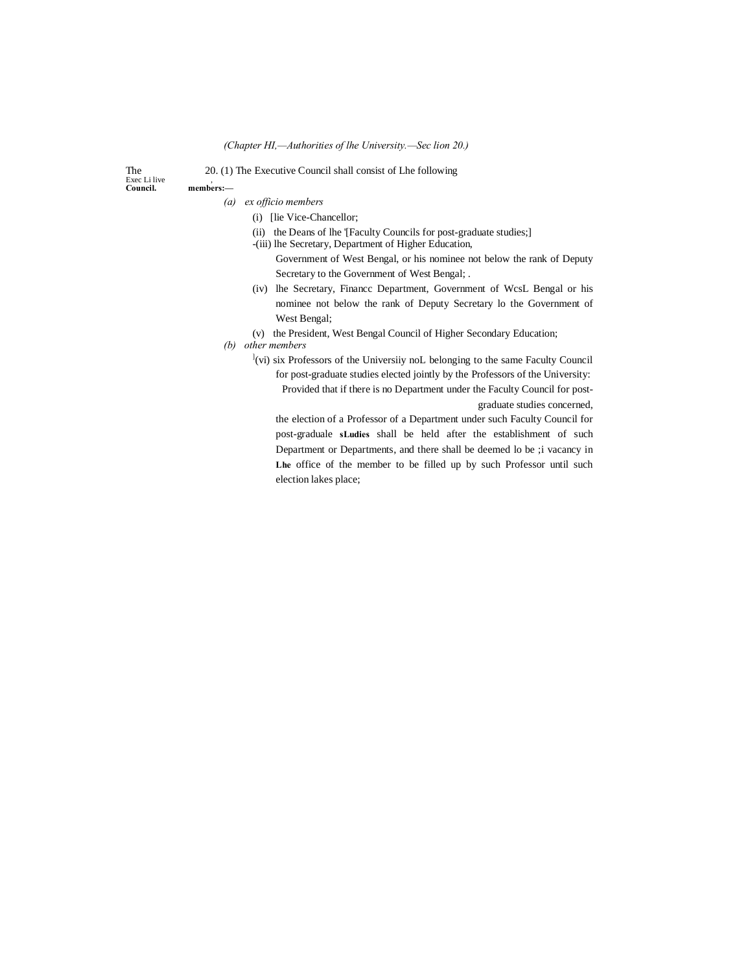#### *(Chapter HI,—Authorities of lhe University.—Sec lion 20.)*

Exec Li live<br>Council.

The 20. (1) The Executive Council shall consist of Lhe following

 $n$  **members:** 

*(a) ex officio members*

- (i) [lie Vice-Chancellor;
- (ii) the Deans of lhe '[Faculty Councils for post-graduate studies;]
- -(iii) lhe Secretary, Department of Higher Education,

Government of West Bengal, or his nominee not below the rank of Deputy Secretary to the Government of West Bengal; .

- (iv) lhe Secretary, Financc Department, Government of WcsL Bengal or his nominee not below the rank of Deputy Secretary lo the Government of West Bengal;
- (v) the President, West Bengal Council of Higher Secondary Education;

*(b) other members*

<sup>1</sup>(vi) six Professors of the Universiiy noL belonging to the same Faculty Council for post-graduate studies elected jointly by the Professors of the University: Provided that if there is no Department under the Faculty Council for postgraduate studies concerned,

the election of a Professor of a Department under such Faculty Council for post-graduale **sLudies** shall be held after the establishment of such Department or Departments, and there shall be deemed lo be ;i vacancy in **Lhe** office of the member to be filled up by such Professor until such election lakes place;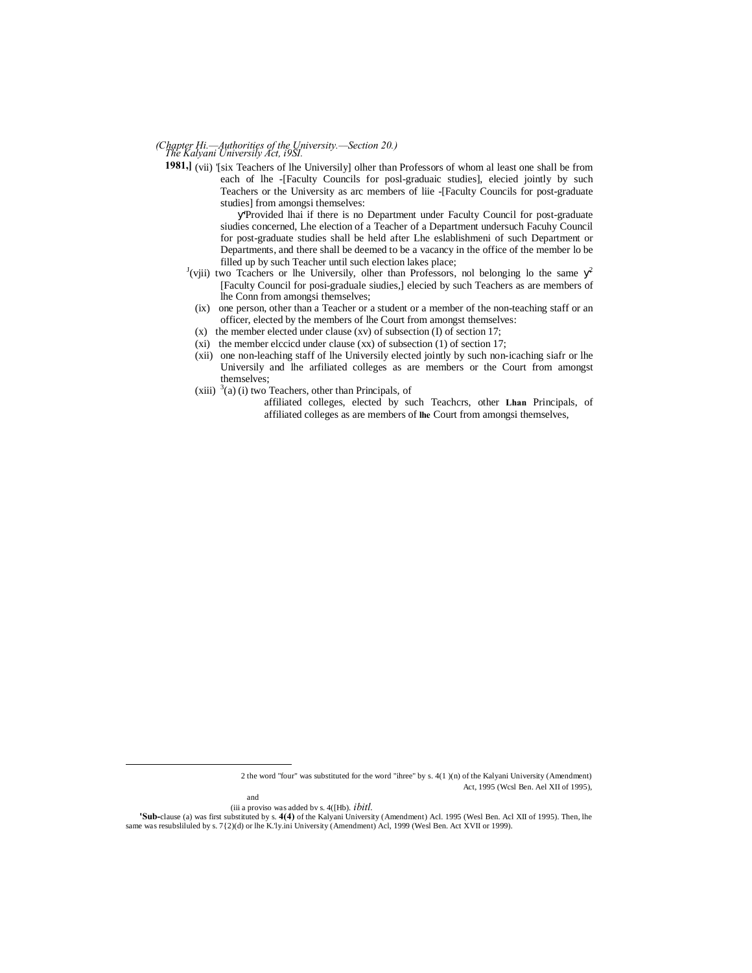# *The Kalyani Universily Act, i9SI. (Chapter Hi.—Authorities of the University.—Section 20.)*

1981, (vii) '[six Teachers of lhe Universily] olher than Professors of whom al least one shall be from each of lhe -[Faculty Councils for posl-graduaic studies], elecied jointly by such Teachers or the University as arc members of liie -[Faculty Councils for post-graduate studies] from amongsi themselves:

'Provided lhai if there is no Department under Faculty Council for post-graduate siudies concerned, Lhe election of a Teacher of a Department undersuch Facuhy Council for post-graduate studies shall be held after Lhe eslablishmeni of such Department or Departments, and there shall be deemed to be a vacancy in the office of the member lo be filled up by such Teacher until such election lakes place;

- $J(viii)$  two Tcachers or lhe Universily, olher than Professors, nol belonging lo the same <sup>2</sup> [Faculty Council for posi-graduale siudies,] elecied by such Teachers as are members of lhe Conn from amongsi themselves;
	- (ix) one person, other than a Teacher or a student or a member of the non-teaching staff or an officer, elected by the members of lhe Court from amongst themselves:
	- (x) the member elected under clause (xv) of subsection (I) of section 17;
	- (xi) the member elccicd under clause (xx) of subsection (1) of section 17;
	- (xii) one non-leaching staff of lhe Universily elected jointly by such non-icaching siafr or lhe Universily and lhe arfiliated colleges as are members or the Court from amongst themselves;
	- $(xiii)$ <sup>3</sup>(a) (i) two Teachers, other than Principals, of
		- affiliated colleges, elected by such Teachcrs, other **Lhan** Principals, of affiliated colleges as are members of **lhe** Court from amongsi themselves,

 2 the word "four" was substituted for the word "ihree" by s. 4(1 )(n) of the Kalyani University (Amendment) Act, 1995 (Wcsl Ben. Ael XII of 1995),

and

<sup>(</sup>iii a proviso was added bv s. 4([Hb). *ibitl.*

**<sup>&#</sup>x27;Sub-**clause (a) was first substituted by s. **4(4)** of the Kalyani University (Amendment) Acl. 1995 (Wesl Ben. Acl XII of 1995). Then, lhe same was resubsliluled by s. 7{2)(d) or lhe K.'ly.ini University (Amendment) Acl, 1999 (Wesl Ben. Act XVII or 1999).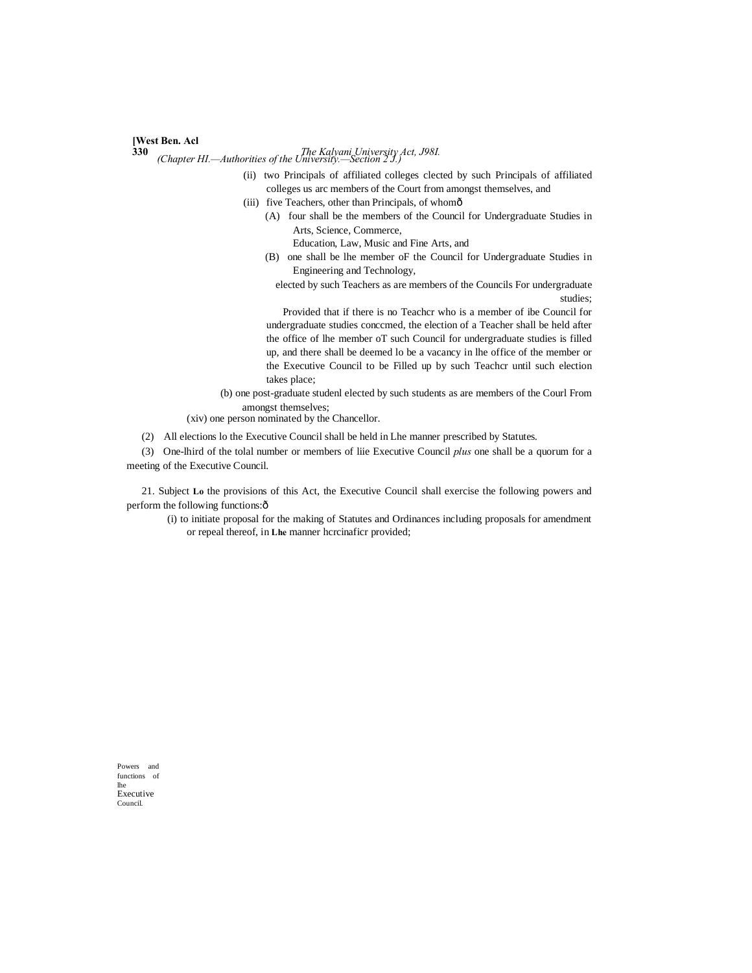#### **[West Ben. Acl**

**330** *The Kalyani University Act, J98I. (Chapter HI.—Authorities of the University.—Section 2 J.)*

- (ii) two Principals of affiliated colleges clected by such Principals of affiliated colleges us arc members of the Court from amongst themselves, and
- (iii) five Teachers, other than Principals, of whomô
	- (A) four shall be the members of the Council for Undergraduate Studies in Arts, Science, Commerce,

Education, Law, Music and Fine Arts, and

- (B) one shall be lhe member oF the Council for Undergraduate Studies in Engineering and Technology,
	- elected by such Teachers as are members of the Councils For undergraduate studies;

Provided that if there is no Teachcr who is a member of ibe Council for undergraduate studies conccmed, the election of a Teacher shall be held after the office of lhe member oT such Council for undergraduate studies is filled up, and there shall be deemed lo be a vacancy in lhe office of the member or the Executive Council to be Filled up by such Teachcr until such election takes place;

(b) one post-graduate studenl elected by such students as are members of the Courl From amongst themselves;

(xiv) one person nominated by the Chancellor.

(2) All elections lo the Executive Council shall be held in Lhe manner prescribed by Statutes.

(3) One-lhird of the tolal number or members of liie Executive Council *plus* one shall be a quorum for a meeting of the Executive Council.

21. Subject **Lo** the provisions of this Act, the Executive Council shall exercise the following powers and perform the following functions: $\hat{o}$ 

(i) to initiate proposal for the making of Statutes and Ordinances including proposals for amendment or repeal thereof, in **Lhe** manner hcrcinaficr provided;

Powers and functions of lhe Executive Council.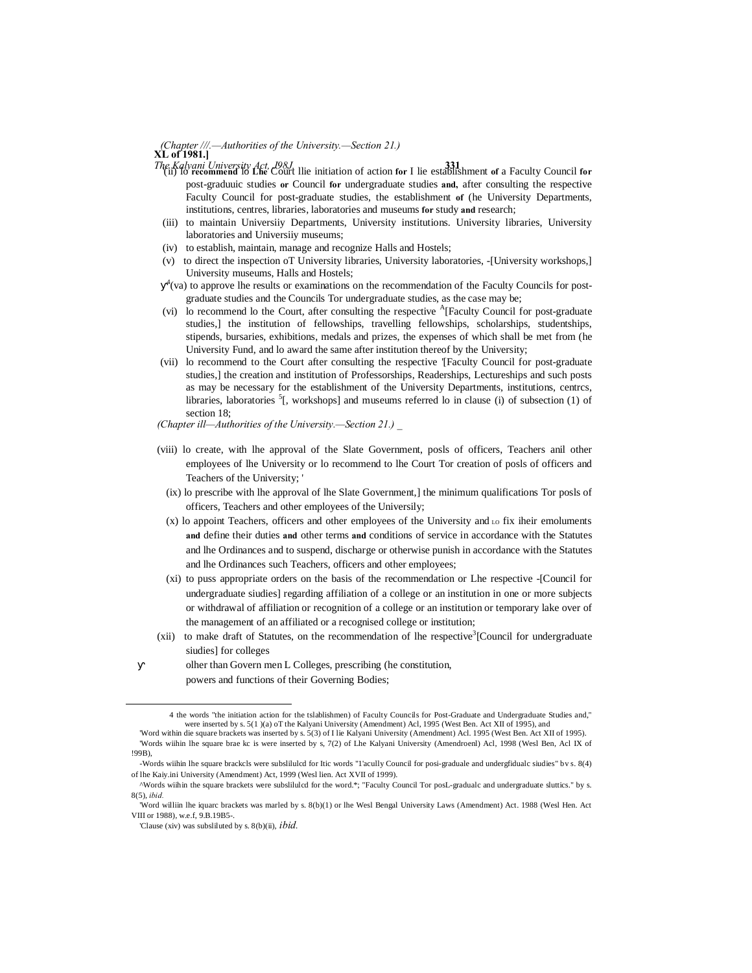#### *XL* of 1981.] *(Chapter ///.—Authorities of the University.—Section 21.)*

- *The Kalyani University Act, J98J.* **331** '(ii) lo **recommend** lo **Lhe** Court llie initiation of action **for** I lie establishment **of** a Faculty Council **for** post-graduuic studies **or** Council **for** undergraduate studies **and,** after consulting the respective Faculty Council for post-graduate studies, the establishment **of** (he University Departments, institutions, centres, libraries, laboratories and museums **for** study **and** research;
- (iii) to maintain Universiiy Departments, University institutions. University libraries, University laboratories and Universiiy museums;
- (iv) to establish, maintain, manage and recognize Halls and Hostels;
- (v) to direct the inspection oT University libraries, University laboratories, -[University workshops,] University museums, Halls and Hostels;
- $4$ (va) to approve lhe results or examinations on the recommendation of the Faculty Councils for postgraduate studies and the Councils Tor undergraduate studies, as the case may be;
- (vi) lo recommend lo the Court, after consulting the respective  $\rm{^A[Faculty}$  Council for post-graduate studies,] the institution of fellowships, travelling fellowships, scholarships, studentships, stipends, bursaries, exhibitions, medals and prizes, the expenses of which shall be met from (he University Fund, and lo award the same after institution thereof by the University;
- (vii) lo recommend to the Court after consulting the respective '[Faculty Council for post-graduate studies,] the creation and institution of Professorships, Readerships, Lectureships and such posts as may be necessary for the establishment of the University Departments, institutions, centrcs, libraries, laboratories  ${}^{5}$ [, workshops] and museums referred lo in clause (i) of subsection (1) of section 18;
- *(Chapter ill—Authorities of the University.—Section 21.) \_*
- (viii) lo create, with lhe approval of the Slate Government, posls of officers, Teachers anil other employees of lhe University or lo recommend to lhe Court Tor creation of posls of officers and Teachers of the University; '
	- (ix) lo prescribe with lhe approval of lhe Slate Government,] the minimum qualifications Tor posls of officers, Teachers and other employees of the Universily;
	- $(x)$  lo appoint Teachers, officers and other employees of the University and  $\alpha$  fix iheir emoluments **and** define their duties **and** other terms **and** conditions of service in accordance with the Statutes and lhe Ordinances and to suspend, discharge or otherwise punish in accordance with the Statutes and lhe Ordinances such Teachers, officers and other employees;
	- (xi) to puss appropriate orders on the basis of the recommendation or Lhe respective -[Council for undergraduate siudies] regarding affiliation of a college or an institution in one or more subjects or withdrawal of affiliation or recognition of a college or an institution or temporary lake over of the management of an affiliated or a recognised college or institution;
- (xii) to make draft of Statutes, on the recommendation of lhe respective<sup>3</sup> [Council for undergraduate siudies] for colleges

olher than Govern men L Colleges, prescribing (he constitution, powers and functions of their Governing Bodies;

 <sup>4</sup> the words "the initiation action for the tslablishmen) of Faculty Councils for Post-Graduate and Undergraduate Studies and," were inserted by s. 5(1 )(a) oT the Kalyani University (Amendment) Acl, 1995 (West Ben. Act XII of 1995), and

<sup>&#</sup>x27;Word within die square brackets was inserted by s. 5(3) of I lie Kalyani University (Amendment) Acl. 1995 (West Ben. Act XII of 1995). 'Words wiihin lhe square brae kc is were inserted by s, 7(2) of Lhe Kalyani University (Amendroenl) Acl, 1998 (Wesl Ben, Acl IX of !99B),

<sup>-</sup>Words wiihin lhe square brackcls were subslilulcd for Itic words "1'acully Council for posi-graduale and undergfidualc siudies" bv s. 8(4) of lhe Kaiy.ini University (Amendment) Act, 1999 (Wesl lien. Act XVII of 1999).

<sup>^</sup>Words wiihin the square brackets were subslilulcd for the word.\*; "Faculty Council Tor posL-gradualc and undergraduate sluttics." by s. 8(5), *ibid.*

<sup>&#</sup>x27;Word williin lhe iquarc brackets was marled by s. 8(b)(1) or lhe Wesl Bengal University Laws (Amendment) Act. 1988 (Wesl Hen. Act VIII or 1988), we f. 9.B.19B5-

<sup>&#</sup>x27;Clause (xiv) was subsliluted by s. 8(b)(ii), *ibid.*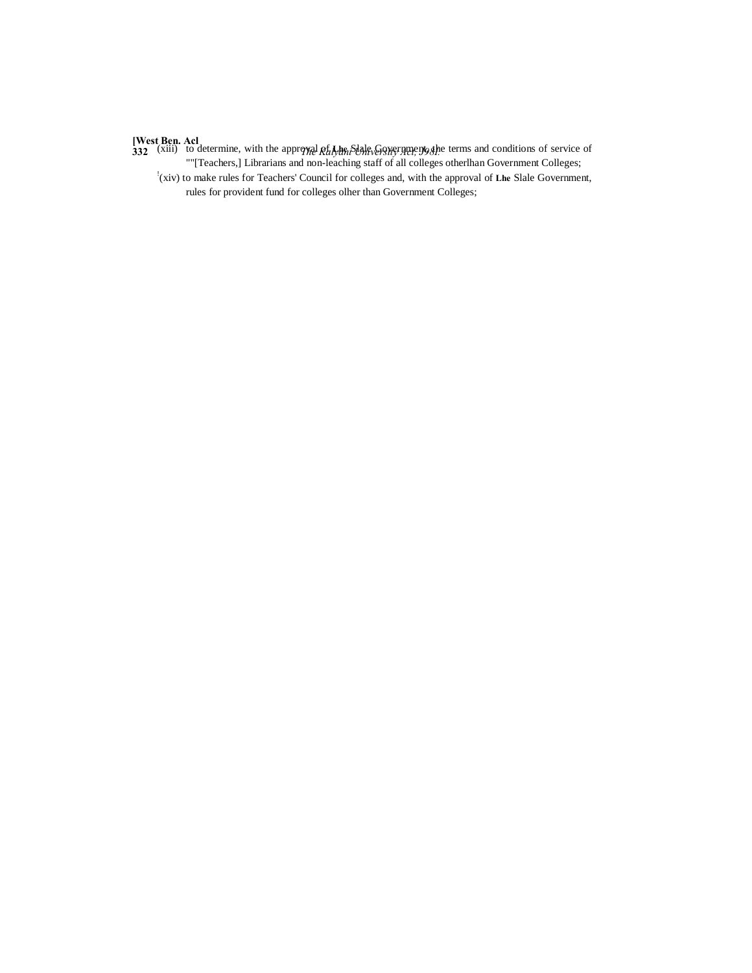**[West Ben. Acl**<br>332 (xiii) to determine, with the approval *Rtalybn Slale* Government, the terms and conditions of service of ""[Teachers,] Librarians and non-leaching staff of all colleges otherlhan Government Colleges;

! (xiv) to make rules for Teachers' Council for colleges and, with the approval of **Lhe** Slale Government, rules for provident fund for colleges olher than Government Colleges;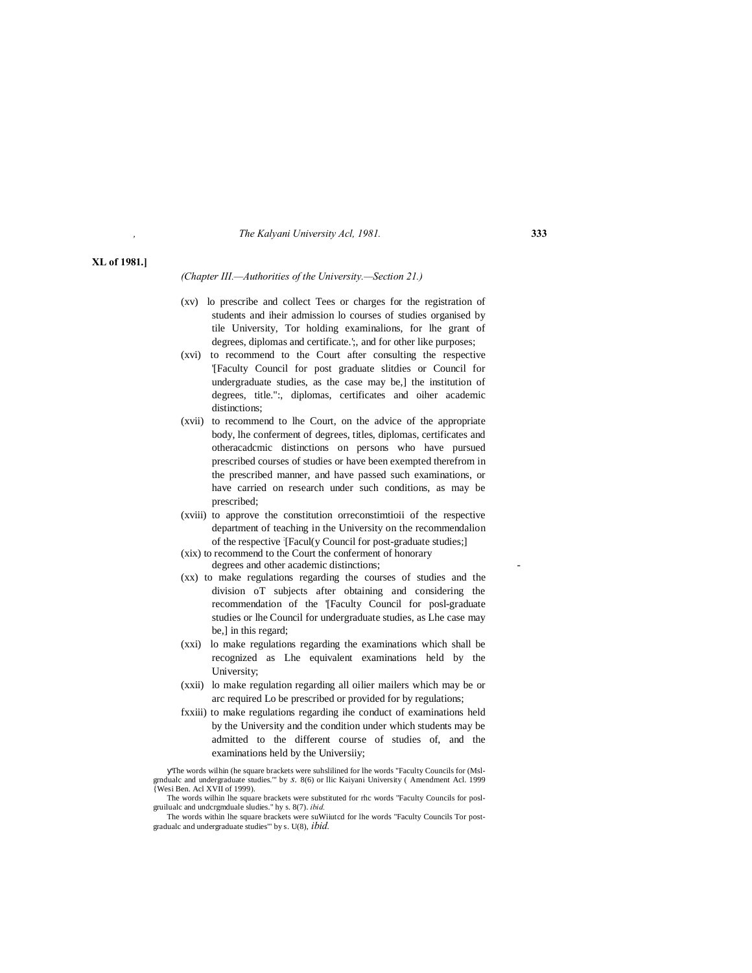#### *, The Kalyani University Acl, 1981.* **333**

#### **XL of 1981.]**

*(Chapter III.—Authorities of the University.—Section 21.)*

- (xv) lo prescribe and collect Tees or charges for the registration of students and iheir admission lo courses of studies organised by tile University, Tor holding examinalions, for lhe grant of degrees, diplomas and certificate.';, and for other like purposes;
- (xvi) to recommend to the Court after consulting the respective '[Faculty Council for post graduate slitdies or Council for undergraduate studies, as the case may be,] the institution of degrees, title.":, diplomas, certificates and oiher academic distinctions;
- (xvii) to recommend to lhe Court, on the advice of the appropriate body, lhe conferment of degrees, titles, diplomas, certificates and otheracadcmic distinctions on persons who have pursued prescribed courses of studies or have been exempted therefrom in the prescribed manner, and have passed such examinations, or have carried on research under such conditions, as may be prescribed;
- (xviii) to approve the constitution orreconstimtioii of the respective department of teaching in the University on the recommendalion of the respective : [Facul(y Council for post-graduate studies;]
- (xix) to recommend to the Court the conferment of honorary degrees and other academic distinctions;
- (xx) to make regulations regarding the courses of studies and the division oT subjects after obtaining and considering the recommendation of the '[Faculty Council for posl-graduate studies or lhe Council for undergraduate studies, as Lhe case may be,] in this regard;
- (xxi) lo make regulations regarding the examinations which shall be recognized as Lhe equivalent examinations held by the University;
- (xxii) lo make regulation regarding all oilier mailers which may be or arc required Lo be prescribed or provided for by regulations;
- fxxiii) to make regulations regarding ihe conduct of examinations held by the University and the condition under which students may be admitted to the different course of studies of, and the examinations held by the Universiiy;

The words wilhin (he square brackets were suhslilined for lhe words "Faculty Councils for (Mslgrndualc and undergraduate studies."' by *s.* 8(6) or llic Kaiyani University ( Amendment Acl. 1999 {Wesi Ben. Acl XVII of 1999).

The words wilhin lhe square brackets were substituted for rhc words "Faculty Councils for poslgruilualc and undcrgmduale sludies." hy s. 8(7). *ibid.*

The words within lhe square brackets were suWiiutcd for lhe words "Faculty Councils Tor postgradualc and undergraduate studies'" by s. U(8), *ibid.*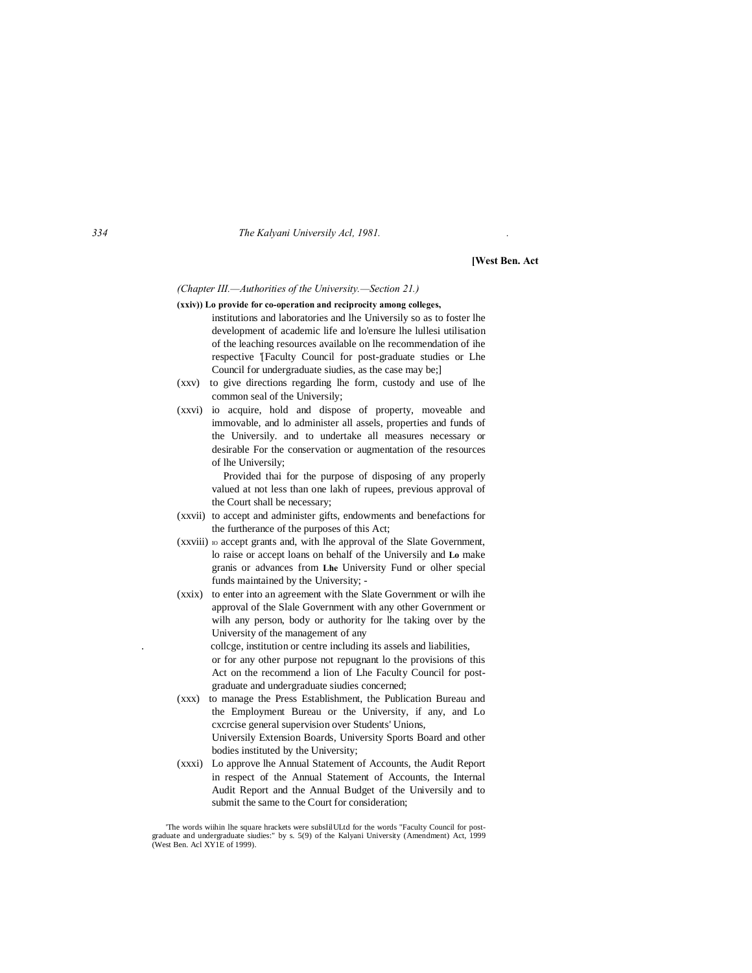#### *334 The Kalyani Universily Acl, 1981. .*

**[West Ben. Act**

#### *(Chapter III.—Authorities of the University.—Section 21.)*

- **(xxiv)) Lo provide for co-operation and reciprocity among colleges,** institutions and laboratories and lhe Universily so as to foster lhe development of academic life and lo'ensure lhe lullesi utilisation of the leaching resources available on lhe recommendation of ihe respective '[Faculty Council for post-graduate studies or Lhe Council for undergraduate siudies, as the case may be;]
- (xxv) to give directions regarding lhe form, custody and use of lhe common seal of the Universily;
- (xxvi) io acquire, hold and dispose of property, moveable and immovable, and lo administer all assels, properties and funds of the Universily. and to undertake all measures necessary or desirable For the conservation or augmentation of the resources of lhe Universily;

Provided thai for the purpose of disposing of any properly valued at not less than one lakh of rupees, previous approval of the Court shall be necessary;

- (xxvii) to accept and administer gifts, endowments and benefactions for the furtherance of the purposes of this Act;
- (xxviii) io accept grants and, with lhe approval of the Slate Government, lo raise or accept loans on behalf of the Universily and **Lo** make granis or advances from **Lhe** University Fund or olher special funds maintained by the University; -
- (xxix) to enter into an agreement with the Slate Government or wilh ihe approval of the Slale Government with any other Government or wilh any person, body or authority for lhe taking over by the University of the management of any . collcge, institution or centre including its assels and liabilities, or for any other purpose not repugnant lo the provisions of this Act on the recommend a lion of Lhe Faculty Council for postgraduate and undergraduate siudies concerned;
- (xxx) to manage the Press Establishment, the Publication Bureau and the Employment Bureau or the University, if any, and Lo cxcrcise general supervision over Students' Unions, Universily Extension Boards, University Sports Board and other bodies instituted by the University;
- (xxxi) Lo approve lhe Annual Statement of Accounts, the Audit Report in respect of the Annual Statement of Accounts, the Internal Audit Report and the Annual Budget of the Universily and to submit the same to the Court for consideration;

<sup>&#</sup>x27;The words wiihin lhe square hrackets were subsIilULtd for the words "Faculty Council for postgraduate and undergraduate siudies:" by s. 5(9) of the Kalyani University (Amendment) Act, 1999 (West Ben. Acl XY1E of 1999).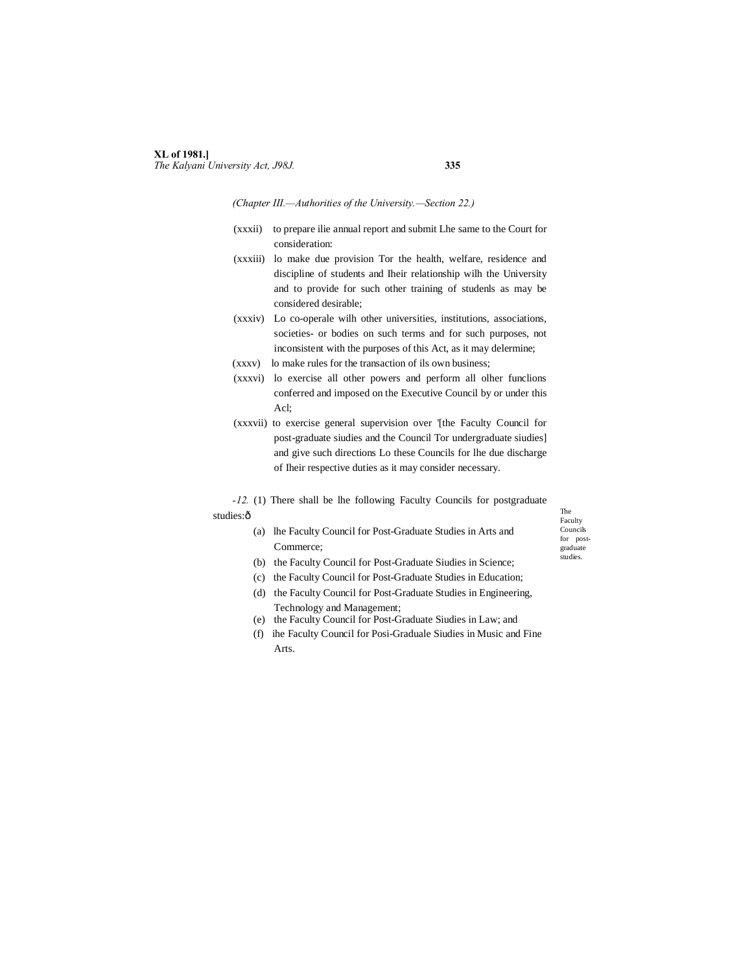### **XL of 1981.]** *The Kalyani University Act, J98J.* **335**

#### *(Chapter III.—Authorities of the University.—Section 22.)*

- (xxxii) to prepare ilie annual report and submit Lhe same to the Court for consideration:
- (xxxiii) lo make due provision Tor the health, welfare, residence and discipline of students and Iheir relationship wilh the University and to provide for such other training of studenls as may be considered desirable;
- (xxxiv) Lo co-operale wilh other universities, institutions, associations, societies- or bodies on such terms and for such purposes, not inconsistent with the purposes of this Act, as it may delermine;
- (xxxv) lo make rules for the transaction of ils own business;
- (xxxvi) lo exercise all other powers and perform all olher funclions conferred and imposed on the Executive Council by or under this Acl;
- (xxxvii) to exercise general supervision over '[the Faculty Council for post-graduate siudies and the Council Tor undergraduate siudies] and give such directions Lo these Councils for lhe due discharge of Iheir respective duties as it may consider necessary.
- *-12.* (1) There shall be lhe following Faculty Councils for postgraduate

#### studies:ô

(a) lhe Faculty Council for Post-Graduate Studies in Arts and Commerce;

The Faculty Councils for postgraduate studies.

- 
- (b) the Faculty Council for Post-Graduate Siudies in Science; (c) the Faculty Council for Post-Graduate Studies in Education;
- (d) the Faculty Council for Post-Graduate Studies in Engineering, Technology and Management;
- (e) the Faculty Council for Post-Graduate Siudies in Law; and
- (f) ihe Faculty Council for Posi-Graduale Siudies in Music and Fine Arts.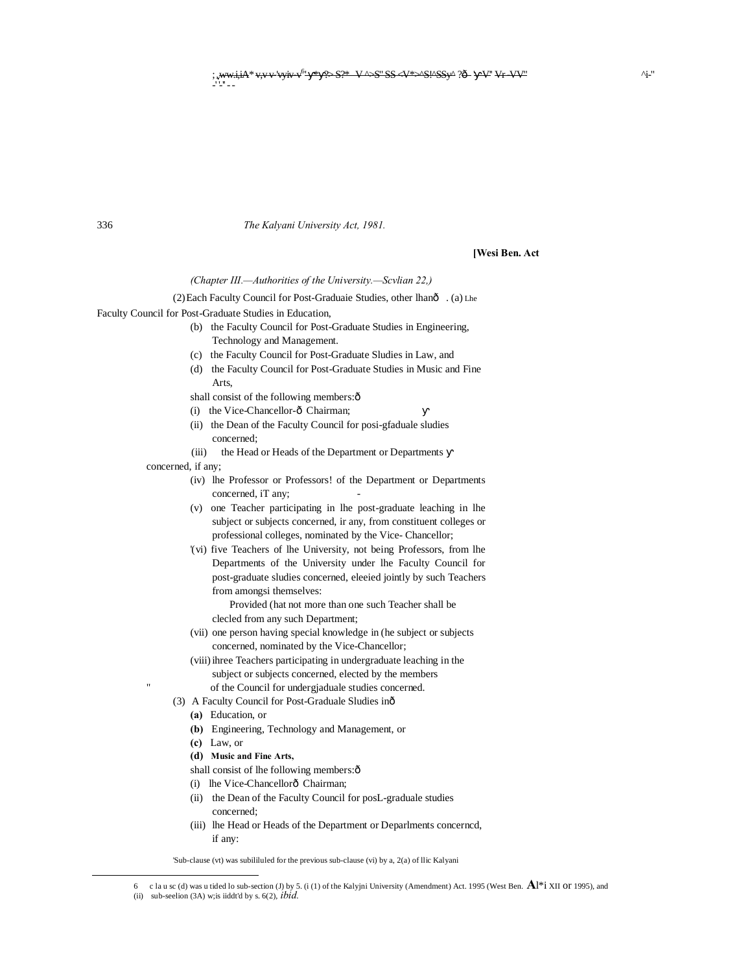The Kalyani University Act, 1981.

[Wesi Ben. Act

#### (Chapter III.--Authorities of the University.-Scvlian 22,)

(2) Each Faculty Council for Post-Graduaie Studies, other lhanô . (a) Lhe Faculty Council for Post-Graduate Studies in Education,

- (b) the Faculty Council for Post-Graduate Studies in Engineering, Technology and Management.
- (c) the Faculty Council for Post-Graduate Sludies in Law, and
- (d) the Faculty Council for Post-Graduate Studies in Music and Fine Arts.

shall consist of the following members:ô

- (i) the Vice-Chancellor-ô Chairman;
- (ii) the Dean of the Faculty Council for posi-gfaduale sludies concerned:
- (iii) the Head or Heads of the Department or Departments

concerned, if any;

336

- (iv) lhe Professor or Professors! of the Department or Departments concerned, iT any;
- (v) one Teacher participating in lhe post-graduate leaching in lhe subject or subjects concerned, ir any, from constituent colleges or professional colleges, nominated by the Vice-Chancellor;
- '(vi) five Teachers of lhe University, not being Professors, from lhe Departments of the University under lhe Faculty Council for post-graduate sludies concerned, elecied jointly by such Teachers from amongsi themselves:

Provided (hat not more than one such Teacher shall be clecled from any such Department;

- (vii) one person having special knowledge in (he subject or subjects concerned, nominated by the Vice-Chancellor;
- (viii) ihree Teachers participating in undergraduate leaching in the subject or subjects concerned, elected by the members of the Council for undergiaduale studies concerned.
- (3) A Faculty Council for Post-Graduale Sludies inô
	- (a) Education, or
	- (b) Engineering, Technology and Management, or
	- $(c)$  Law, or
	- (d) Music and Fine Arts,
	- shall consist of lhe following members: ô
	- (i) lhe Vice-Chancellorô Chairman;
	- (ii) the Dean of the Faculty Council for posL-graduale studies concerned:
	- (iii) lhe Head or Heads of the Department or Deparlments concerned, if any:

'Sub-clause (vt) was subililuled for the previous sub-clause (vi) by a, 2(a) of llic Kalyani

<sup>6</sup> c la u sc (d) was u tided lo sub-section (J) by 5. (i (1) of the Kalyjni University (Amendment) Act. 1995 (West Ben.  $\mathbf{A}^{1*}$ i XII Of 1995), and

<sup>(</sup>ii) sub-seelion  $(3A)$  w; is iiddt'd by s.  $6(2)$ , *ibid.*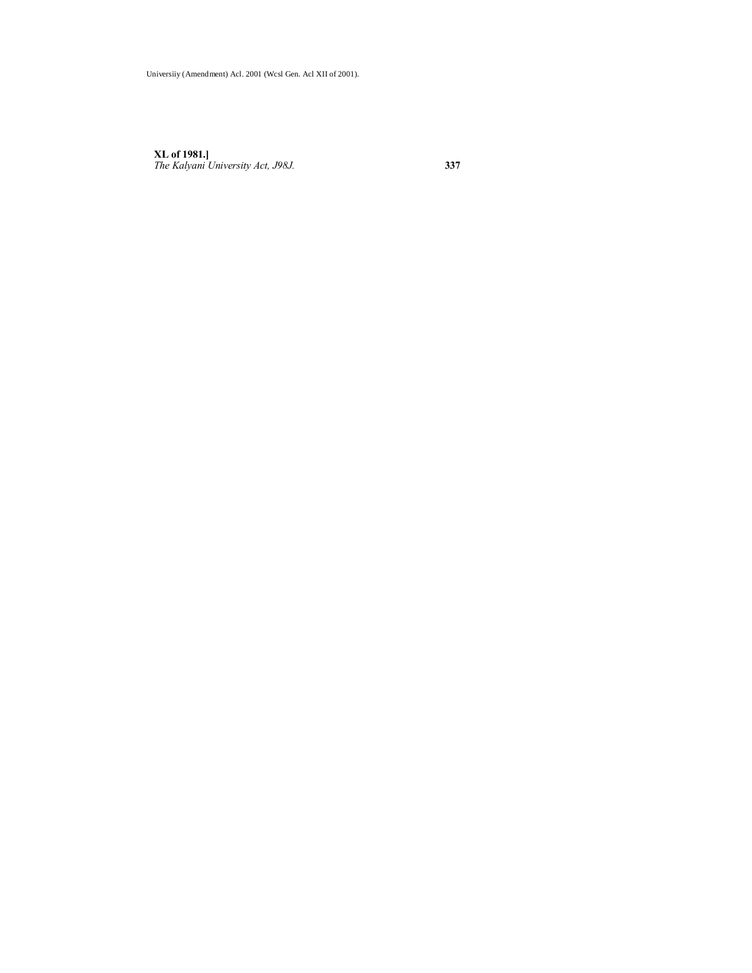**XL of 1981.]** *The Kalyani University Act, J98J.* **337**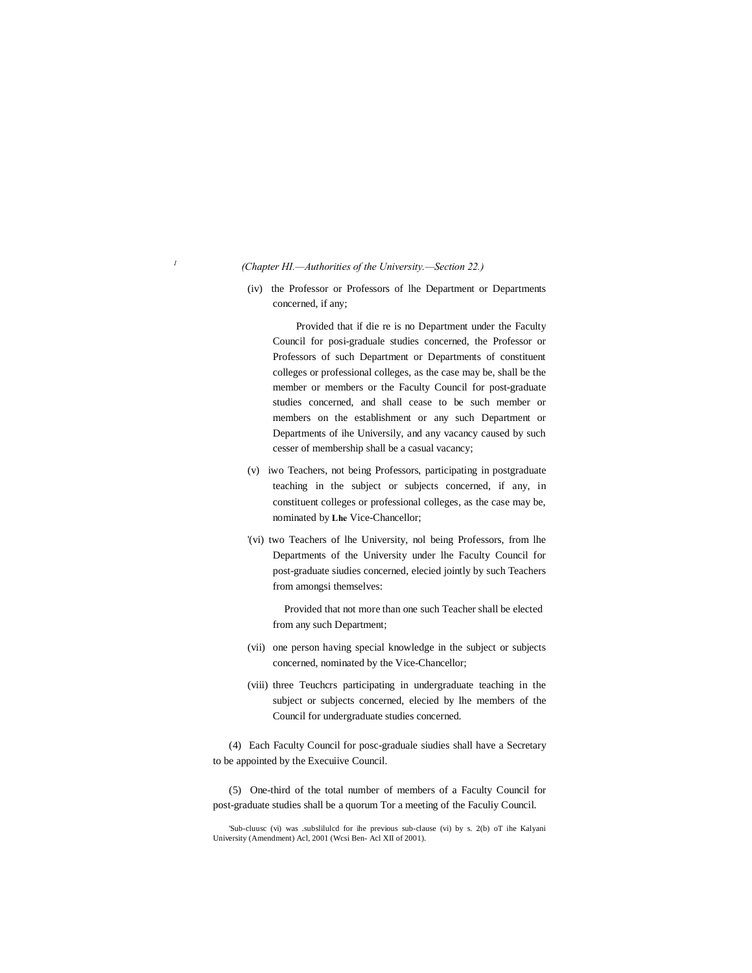#### *<sup>1</sup> (Chapter HI.—Authorities of the University.—Section 22.)*

(iv) the Professor or Professors of lhe Department or Departments concerned, if any;

Provided that if die re is no Department under the Faculty Council for posi-graduale studies concerned, the Professor or Professors of such Department or Departments of constituent colleges or professional colleges, as the case may be, shall be the member or members or the Faculty Council for post-graduate studies concerned, and shall cease to be such member or members on the establishment or any such Department or Departments of ihe Universily, and any vacancy caused by such cesser of membership shall be a casual vacancy;

- (v) iwo Teachers, not being Professors, participating in postgraduate teaching in the subject or subjects concerned, if any, in constituent colleges or professional colleges, as the case may be, nominated by **Lhe** Vice-Chancellor;
- '(vi) two Teachers of lhe University, nol being Professors, from lhe Departments of the University under lhe Faculty Council for post-graduate siudies concerned, elecied jointly by such Teachers from amongsi themselves:

Provided that not more than one such Teacher shall be elected from any such Department;

- (vii) one person having special knowledge in the subject or subjects concerned, nominated by the Vice-Chancellor;
- (viii) three Teuchcrs participating in undergraduate teaching in the subject or subjects concerned, elecied by lhe members of the Council for undergraduate studies concerned.

(4) Each Faculty Council for posc-graduale siudies shall have a Secretary to be appointed by the Execuiive Council.

(5) One-third of the total number of members of a Faculty Council for post-graduate studies shall be a quorum Tor a meeting of the Faculiy Council.

<sup>&#</sup>x27;Sub-cluusc (vi) was .subslilulcd for ihe previous sub-clause (vi) by s. 2(b) oT ihe Kalyani University (Amendment) Acl, 2001 (Wcsi Ben- Acl XII of 2001).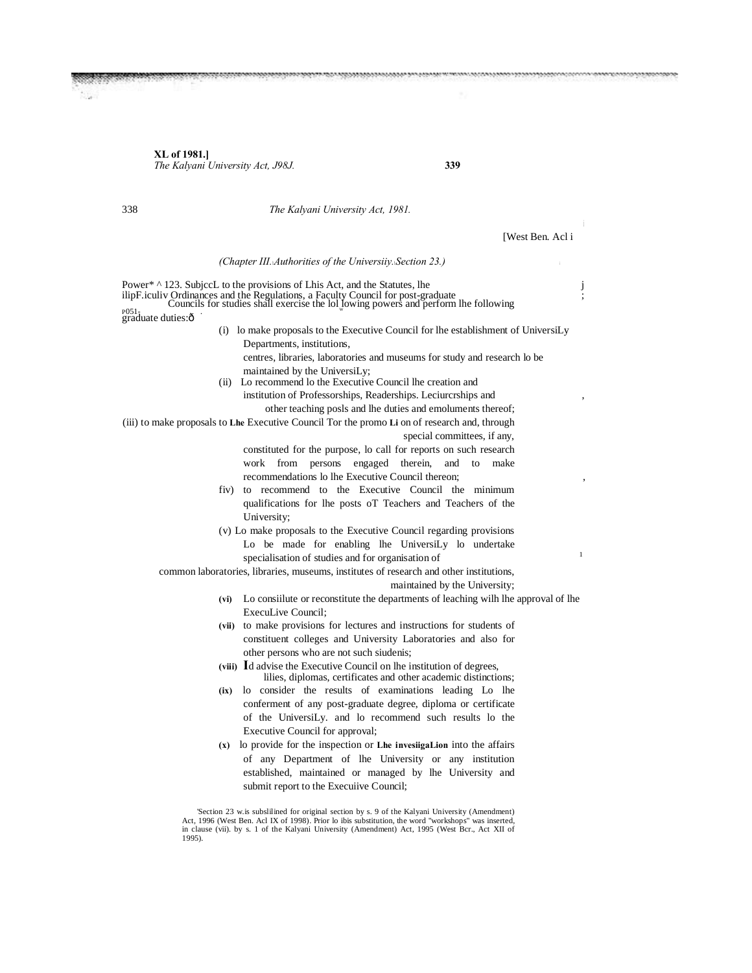**XL of 1981.]** *The Kalyani University Act, J98J.* **339**

338 *The Kalyani University Act, 1981.* [West Ben. Acl i *(Chapter III.*—*Authorities of the Universiiy.*—*Section 23.)* <sup>i</sup> Power\* ^ 123. Subject to the provisions of Lhis Act, and the Statutes, lhe j ilipF.iculiv Ordinances and the Regulations, a Faculty Council for post-graduate  $P^{0.51}$ . graduate duties:ô (i) lo make proposals to the Executive Council for lhe establishment of UniversiLy Departments, institutions, centres, libraries, laboratories and museums for study and research lo be maintained by the UniversiLy; (ii) Lo recommend lo the Executive Council lhe creation and institution of Professorships, Readerships. Leciurcrships and other teaching posls and lhe duties and emoluments thereof; (iii) to make proposals to **Lhe** Executive Council Tor the promo **Li** on of research and, through special committees, if any, constituted for the purpose, lo call for reports on such research work from persons engaged therein, and to make recommendations lo lhe Executive Council thereon; fiv) to recommend to the Executive Council the minimum qualifications for lhe posts oT Teachers and Teachers of the University; (v) Lo make proposals to the Executive Council regarding provisions Lo be made for enabling lhe UniversiLy lo undertake specialisation of studies and for organisation of common laboratories, libraries, museums, institutes of research and other institutions, maintained by the University; **(vi)** Lo consiilute or reconstitute the departments of leaching wilh lhe approval of lhe ExecuLive Council; **(vii)** to make provisions for lectures and instructions for students of constituent colleges and University Laboratories and also for other persons who are not such siudenis; **(viii) I**d advise the Executive Council on lhe institution of degrees, lilies, diplomas, certificates and other academic distinctions; **(ix)** lo consider the results of examinations leading Lo lhe conferment of any post-graduate degree, diploma or certificate of the UniversiLy. and lo recommend such results lo the Executive Council for approval; **(x)** lo provide for the inspection or **Lhe invesiigaLion** into the affairs of any Department of lhe University or any institution

> established, maintained or managed by lhe University and submit report to the Execuiive Council; 'Section 23 w.is subslilined for original section by s. 9 of the Kalyani University (Amendment) Act, 1996 (West Ben. Acl IX of 1998). Prior lo ibis substitution, the word "workshops" was inserted,

> in clause (vii). by s. 1 of the Kalyani University (Amendment) Act, 1995 (West Bcr., Act XII of 1995).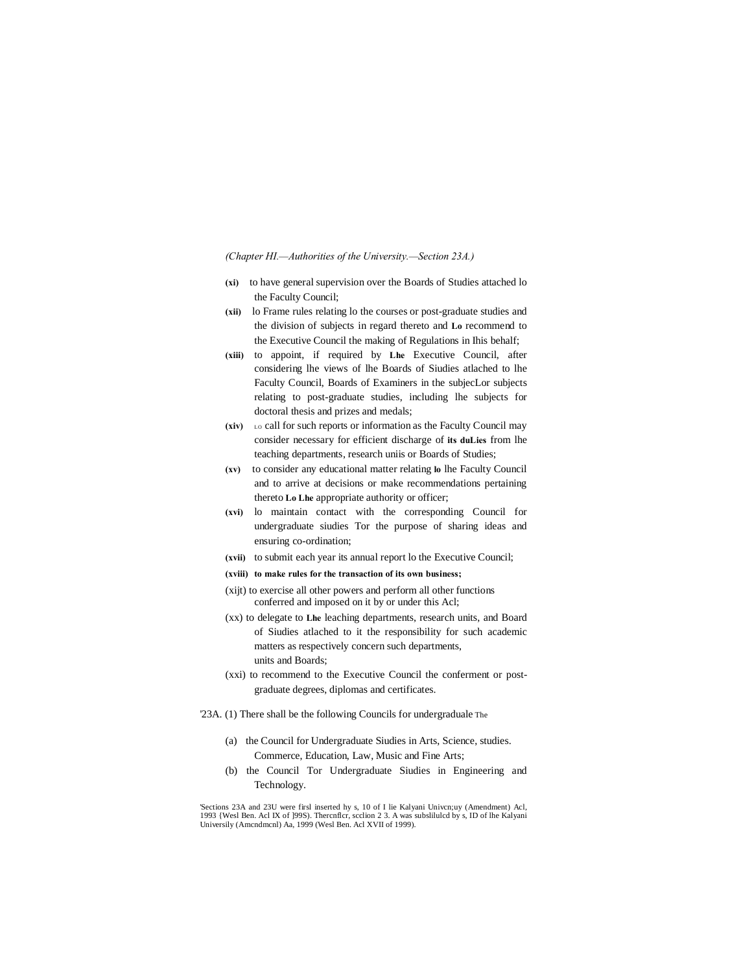*(Chapter HI.—Authorities of the University.—Section 23A.)*

- **(xi)** to have general supervision over the Boards of Studies attached lo the Faculty Council;
- **(xii)** lo Frame rules relating lo the courses or post-graduate studies and the division of subjects in regard thereto and **Lo** recommend to the Executive Council the making of Regulations in Ihis behalf;
- **(xiii)** to appoint, if required by **Lhe** Executive Council, after considering lhe views of lhe Boards of Siudies atlached to lhe Faculty Council, Boards of Examiners in the subjecLor subjects relating to post-graduate studies, including lhe subjects for doctoral thesis and prizes and medals;
- **(xiv)** LO call for such reports or information as the Faculty Council may consider necessary for efficient discharge of **its duLies** from lhe teaching departments, research uniis or Boards of Studies;
- **(xv)** to consider any educational matter relating **lo** lhe Faculty Council and to arrive at decisions or make recommendations pertaining thereto **Lo Lhe** appropriate authority or officer;
- **(xvi)** lo maintain contact with the corresponding Council for undergraduate siudies Tor the purpose of sharing ideas and ensuring co-ordination;
- **(xvii)** to submit each year its annual report lo the Executive Council;
- **(xviii) to make rules for the transaction of its own business;**
- (xijt) to exercise all other powers and perform all other functions conferred and imposed on it by or under this Acl;
- (xx) to delegate to **Lhe** leaching departments, research units, and Board of Siudies atlached to it the responsibility for such academic matters as respectively concern such departments, units and Boards;
- (xxi) to recommend to the Executive Council the conferment or postgraduate degrees, diplomas and certificates.
- '23A. (1) There shall be the following Councils for undergraduale The
	- (a) the Council for Undergraduate Siudies in Arts, Science, studies. Commerce, Education, Law, Music and Fine Arts;
	- (b) the Council Tor Undergraduate Siudies in Engineering and Technology.

'Sections 23A and 23U were firsl inserted hy s, 10 of I lie Kalyani Univcn;uy (Amendment) Acl, 1993 {Wesl Ben. Acl IX of ]99S). Thercnflcr, scclion 2 3. A was subslilulcd by s, ID of lhe Kalyani Universily (Amcndmcnl) Aa, 1999 (Wesl Ben. Acl XVII of 1999).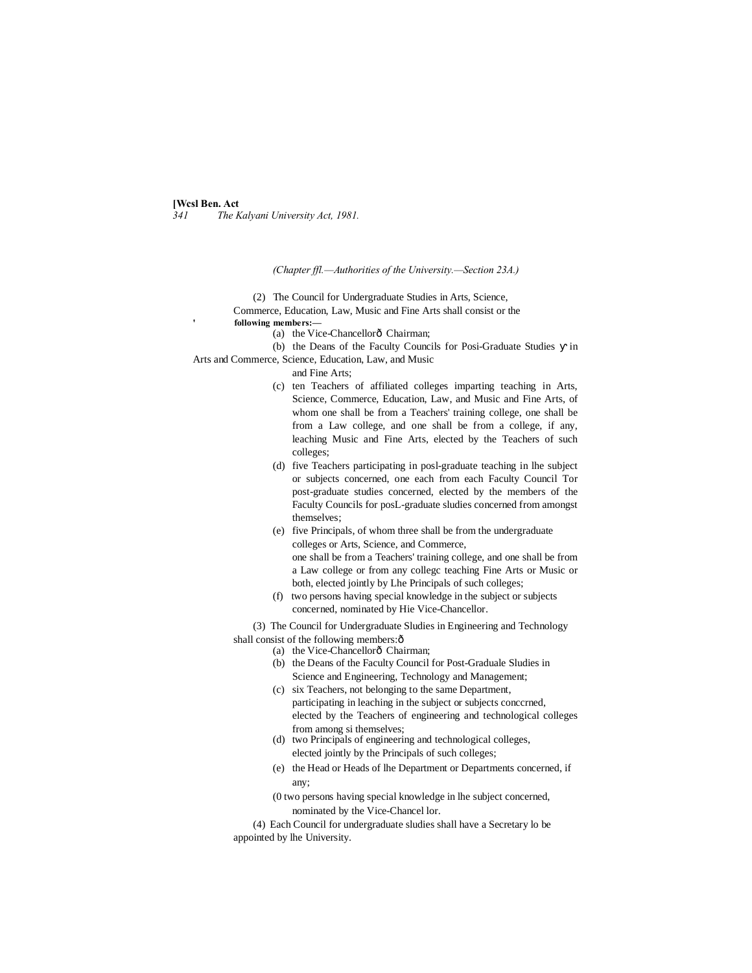#### **[Wcsl Ben. Act**

*341 The Kalyani University Act, 1981.*

*(Chapter ffl.—Authorities of the University.—Section 23A.)*

(2) The Council for Undergraduate Studies in Arts, Science,

Commerce, Education, Law, Music and Fine Arts shall consist or the **following members:—**

(a) the Vice-Chancellorô Chairman:

(b) the Deans of the Faculty Councils for Posi-Graduate Studies in Arts and Commerce, Science, Education, Law, and Music

and Fine Arts;

- (c) ten Teachers of affiliated colleges imparting teaching in Arts, Science, Commerce, Education, Law, and Music and Fine Arts, of whom one shall be from a Teachers' training college, one shall be from a Law college, and one shall be from a college, if any, leaching Music and Fine Arts, elected by the Teachers of such colleges;
- (d) five Teachers participating in posl-graduate teaching in lhe subject or subjects concerned, one each from each Faculty Council Tor post-graduate studies concerned, elected by the members of the Faculty Councils for posL-graduate sludies concerned from amongst themselves;
- (e) five Principals, of whom three shall be from the undergraduate colleges or Arts, Science, and Commerce, one shall be from a Teachers' training college, and one shall be from a Law college or from any collegc teaching Fine Arts or Music or both, elected jointly by Lhe Principals of such colleges;
- (f) two persons having special knowledge in the subject or subjects concerned, nominated by Hie Vice-Chancellor.

(3) The Council for Undergraduate Sludies in Engineering and Technology shall consist of the following members: $\hat{o}$ 

- (a) the Vice-Chancellorô Chairman;
- (b) the Deans of the Faculty Council for Post-Graduale Sludies in Science and Engineering, Technology and Management;
- (c) six Teachers, not belonging to the same Department, participating in leaching in the subject or subjects conccrned, elected by the Teachers of engineering and technological colleges from among si themselves;
- (d) two Principals of engineering and technological colleges, elected jointly by the Principals of such colleges;
- (e) the Head or Heads of lhe Department or Departments concerned, if any;
- (0 two persons having special knowledge in lhe subject concerned, nominated by the Vice-Chancel lor.

(4) Each Council for undergraduate sludies shall have a Secretary lo be appointed by lhe University.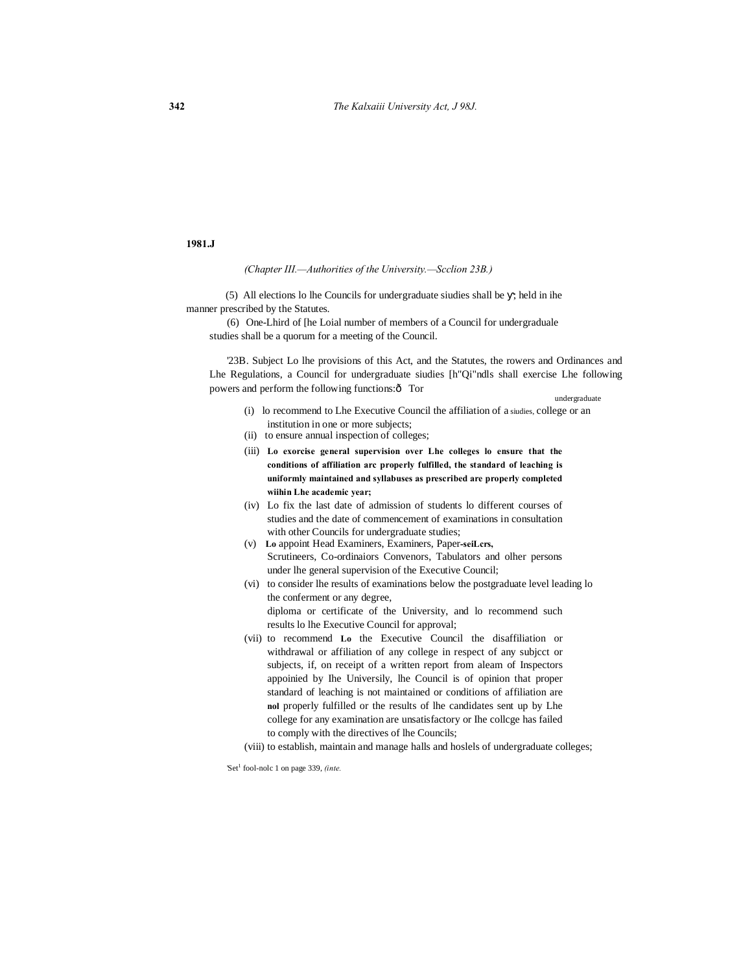#### **1981.J**

*(Chapter III.—Authorities of the University.—Scclion 23B.)*

(5) All elections lo lhe Councils for undergraduate siudies shall be ; held in ihe manner prescribed by the Statutes.

(6) One-Lhird of [he Loial number of members of a Council for undergraduale studies shall be a quorum for a meeting of the Council.

'23B. Subject Lo lhe provisions of this Act, and the Statutes, the rowers and Ordinances and Lhe Regulations, a Council for undergraduate siudies [h"Qi"ndls shall exercise Lhe following powers and perform the following functions: $\hat{o}$  Tor

undergraduate

- (i) lo recommend to Lhe Executive Council the affiliation of a siudies, college or an institution in one or more subjects;
- (ii) to ensure annual inspection of colleges;
- (iii) **Lo exorcise general supervision over Lhe colleges lo ensure that the conditions of affiliation arc properly fulfilled, the standard of leaching is uniformly maintained and syllabuses as prescribed are properly completed wiihin Lhe academic year;**
- (iv) Lo fix the last date of admission of students lo different courses of studies and the date of commencement of examinations in consultation with other Councils for undergraduate studies;
- (v) **Lo** appoint Head Examiners, Examiners, Paper**-seiLcrs,** Scrutineers, Co-ordinaiors Convenors, Tabulators and olher persons under lhe general supervision of the Executive Council;
- (vi) to consider lhe results of examinations below the postgraduate level leading lo the conferment or any degree, diploma or certificate of the University, and lo recommend such results lo lhe Executive Council for approval;
- (vii) to recommend **Lo** the Executive Council the disaffiliation or withdrawal or affiliation of any college in respect of any subjcct or subjects, if, on receipt of a written report from aleam of Inspectors appoinied by Ihe Universily, lhe Council is of opinion that proper standard of leaching is not maintained or conditions of affiliation are **nol** properly fulfilled or the results of lhe candidates sent up by Lhe college for any examination are unsatisfactory or Ihe collcge has failed to comply with the directives of lhe Councils;
- (viii) to establish, maintain and manage halls and hoslels of undergraduate colleges;

'Set<sup>1</sup> fool-nolc 1 on page 339, (inte.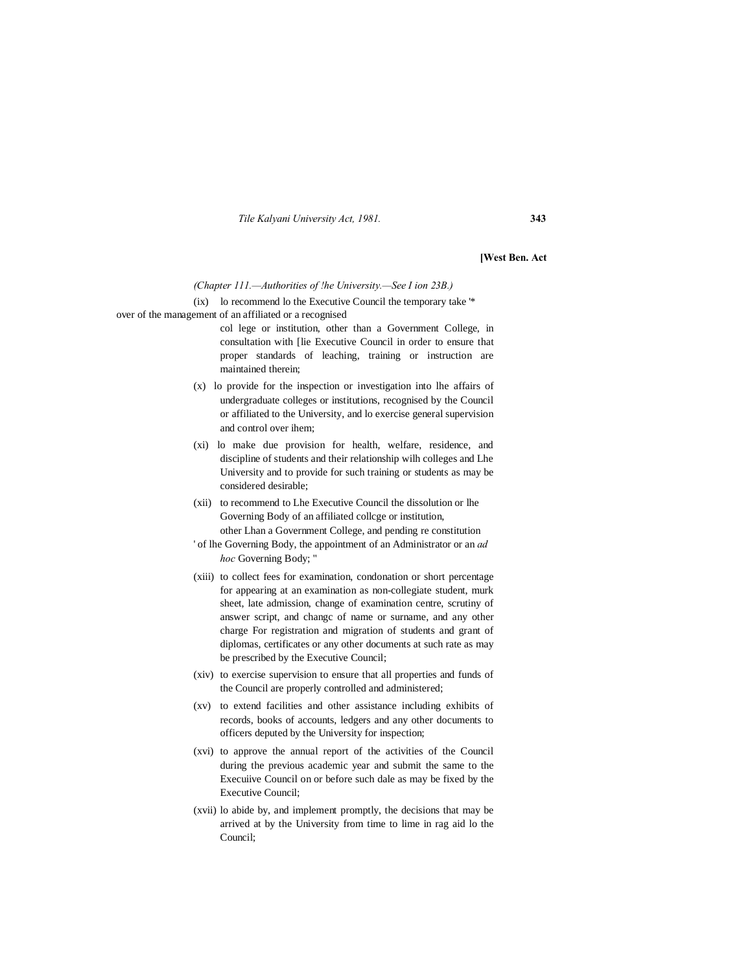*Tile Kalyani University Act, 1981.* **343**

**[West Ben. Act**

*(Chapter 111.—Authorities of !he University.—See I ion 23B.)*

(ix) lo recommend lo the Executive Council the temporary take '\* over of the management of an affiliated or a recognised

- col lege or institution, other than a Government College, in consultation with [lie Executive Council in order to ensure that proper standards of leaching, training or instruction are maintained therein;
- (x) lo provide for the inspection or investigation into lhe affairs of undergraduate colleges or institutions, recognised by the Council or affiliated to the University, and lo exercise general supervision and control over ihem;
- (xi) lo make due provision for health, welfare, residence, and discipline of students and their relationship wilh colleges and Lhe University and to provide for such training or students as may be considered desirable;
- (xii) to recommend to Lhe Executive Council the dissolution or lhe Governing Body of an affiliated collcge or institution, other Lhan a Government College, and pending re constitution
- ' of lhe Governing Body, the appointment of an Administrator or an *ad hoc* Governing Body; "
- (xiii) to collect fees for examination, condonation or short percentage for appearing at an examination as non-collegiate student, murk sheet, late admission, change of examination centre, scrutiny of answer script, and changc of name or surname, and any other charge For registration and migration of students and grant of diplomas, certificates or any other documents at such rate as may be prescribed by the Executive Council;
- (xiv) to exercise supervision to ensure that all properties and funds of the Council are properly controlled and administered;
- (xv) to extend facilities and other assistance including exhibits of records, books of accounts, ledgers and any other documents to officers deputed by the University for inspection;
- (xvi) to approve the annual report of the activities of the Council during the previous academic year and submit the same to the Execuiive Council on or before such dale as may be fixed by the Executive Council;
- (xvii) lo abide by, and implement promptly, the decisions that may be arrived at by the University from time to lime in rag aid lo the Council;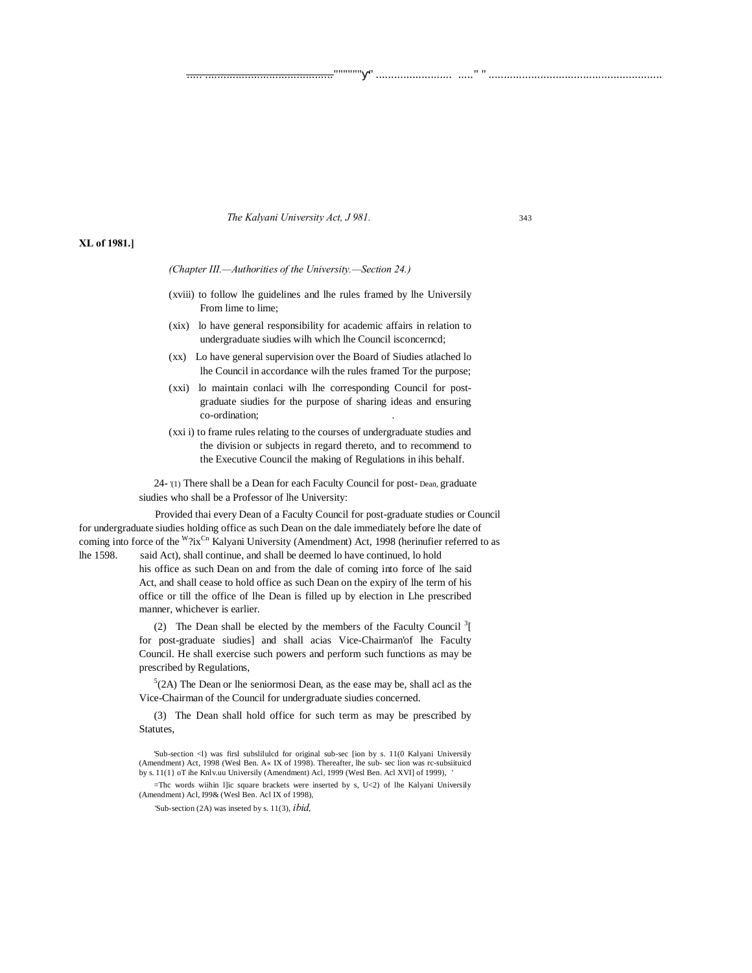#### *The Kalyani University Act, J 981.* 343

#### **XL of 1981.]**

*(Chapter III.—Authorities of the University.—Section 24.)*

(xviii) to follow lhe guidelines and lhe rules framed by lhe Universily From lime to lime;

..... .........................................."""""" " ......................... ....." " .........................................................

- (xix) lo have general responsibility for academic affairs in relation to undergraduate siudies wilh which lhe Council isconcerncd;
- (xx) Lo have general supervision over the Board of Siudies atlached lo lhe Council in accordance wilh the rules framed Tor the purpose;
- (xxi) lo maintain conlaci wilh lhe corresponding Council for postgraduate siudies for the purpose of sharing ideas and ensuring co-ordination:
- (xxi i) to frame rules relating to the courses of undergraduate studies and the division or subjects in regard thereto, and to recommend to the Executive Council the making of Regulations in ihis behalf.

24- '(1) There shall be a Dean for each Faculty Council for post- Dean, graduate siudies who shall be a Professor of lhe University:

Provided thai every Dean of a Faculty Council for post-graduate studies or Council for undergraduate siudies holding office as such Dean on the dale immediately before lhe date of coming into force of the <sup>W</sup>?ix<sup>Cn</sup> Kalyani University (Amendment) Act, 1998 (herinufier referred to as lhe 1598. said Act), shall continue, and shall be deemed lo have continued, lo hold

> his office as such Dean on and from the dale of coming into force of lhe said Act, and shall cease to hold office as such Dean on the expiry of lhe term of his office or till the office of lhe Dean is filled up by election in Lhe prescribed manner, whichever is earlier.

(2) The Dean shall be elected by the members of the Faculty Council<sup>3</sup>[ for post-graduate siudies] and shall acias Vice-Chairman'of lhe Faculty Council. He shall exercise such powers and perform such functions as may be prescribed by Regulations,

 $5(2A)$  The Dean or lhe seniormosi Dean, as the ease may be, shall acl as the Vice-Chairman of the Council for undergraduate siudies concerned.

(3) The Dean shall hold office for such term as may be prescribed by Statutes,

=Thc words wiihin l]ic square brackets were inserted by s, U<2) of lhe Kalyani Universily (Amendment) Acl, I99& (Wesl Ben. Acl IX of 1998),

<sup>&#</sup>x27;Sub-section <l) was firsl subslilulcd for original sub-sec [ion by s. 11(0 Kalyani Universily (Amendment) Act, 1998 (Wesl Ben. A« IX of 1998). Thereafter, lhe sub- sec lion was rc-subsiituicd by s. 11(1} oT ihe Knlv.uu Universily (Amendment) Acl, 1999 (Wesl Ben. Acl XVI] of 1999),

<sup>&#</sup>x27;Sub-section (2A) was inseted by s. 11(3), *ibid,*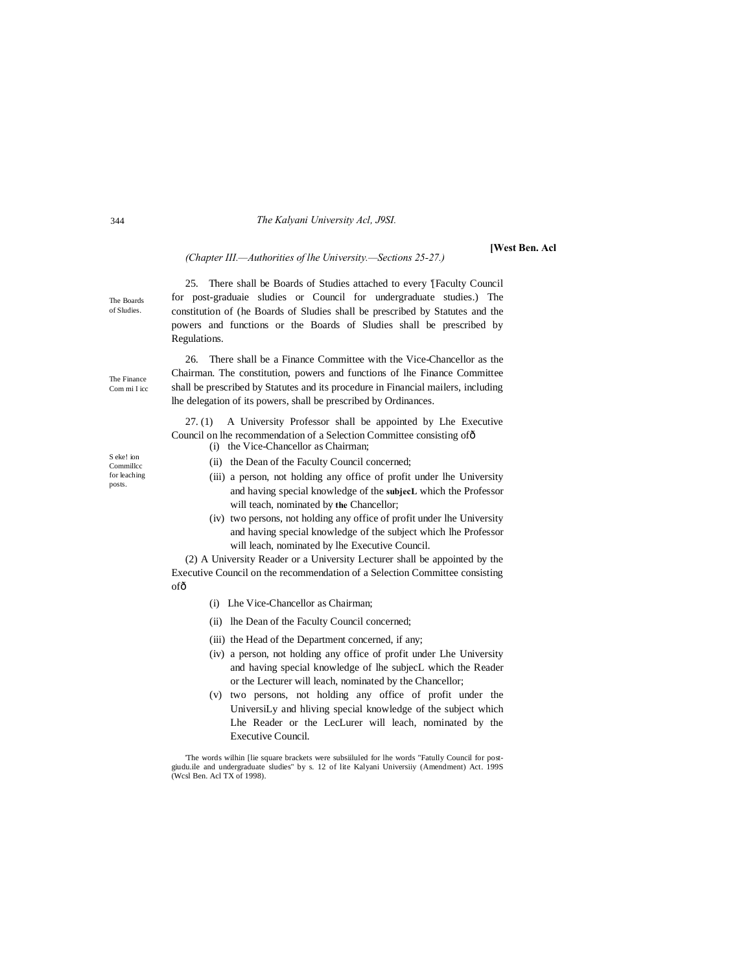#### *The Kalyani University Acl, J9SI.*

#### **[West Ben. Acl**

#### *(Chapter III.—Authorities of lhe University.—Sections 25-27.)*

25. There shall be Boards of Studies attached to every '[Faculty Council for post-graduaie sludies or Council for undergraduate studies.) The constitution of (he Boards of Sludies shall be prescribed by Statutes and the powers and functions or the Boards of Sludies shall be prescribed by Regulations.

26. There shall be a Finance Committee with the Vice-Chancellor as the Chairman. The constitution, powers and functions of lhe Finance Committee shall be prescribed by Statutes and its procedure in Financial mailers, including lhe delegation of its powers, shall be prescribed by Ordinances.

27. (1) A University Professor shall be appointed by Lhe Executive Council on lhe recommendation of a Selection Committee consisting of—

- (i) the Vice-Chancellor as Chairman;
- (ii) the Dean of the Faculty Council concerned;
- (iii) a person, not holding any office of profit under lhe University and having special knowledge of the **subjecL** which the Professor will teach, nominated by **the** Chancellor;
- (iv) two persons, not holding any office of profit under lhe University and having special knowledge of the subject which lhe Professor will leach, nominated by lhe Executive Council.

(2) A University Reader or a University Lecturer shall be appointed by the Executive Council on the recommendation of a Selection Committee consisting ofô

- (i) Lhe Vice-Chancellor as Chairman;
- (ii) lhe Dean of the Faculty Council concerned;
- (iii) the Head of the Department concerned, if any;
- (iv) a person, not holding any office of profit under Lhe University and having special knowledge of lhe subjecL which the Reader or the Lecturer will leach, nominated by the Chancellor;
- (v) two persons, not holding any office of profit under the UniversiLy and hliving special knowledge of the subject which Lhe Reader or the LecLurer will leach, nominated by the Executive Council.

'The words wilhin [lie square brackets were subsiiluled for lhe words "Fatully Council for post-giudu.ile and undergraduate sludies" by s. 12 of lite Kalyani Universiiy (Amendment) Act. 199S (Wcsl Ben. Acl TX of 1998).

S eke! ion Commillec for leaching

posts.

The Boards of Sludies.

The Finance Com mi I icc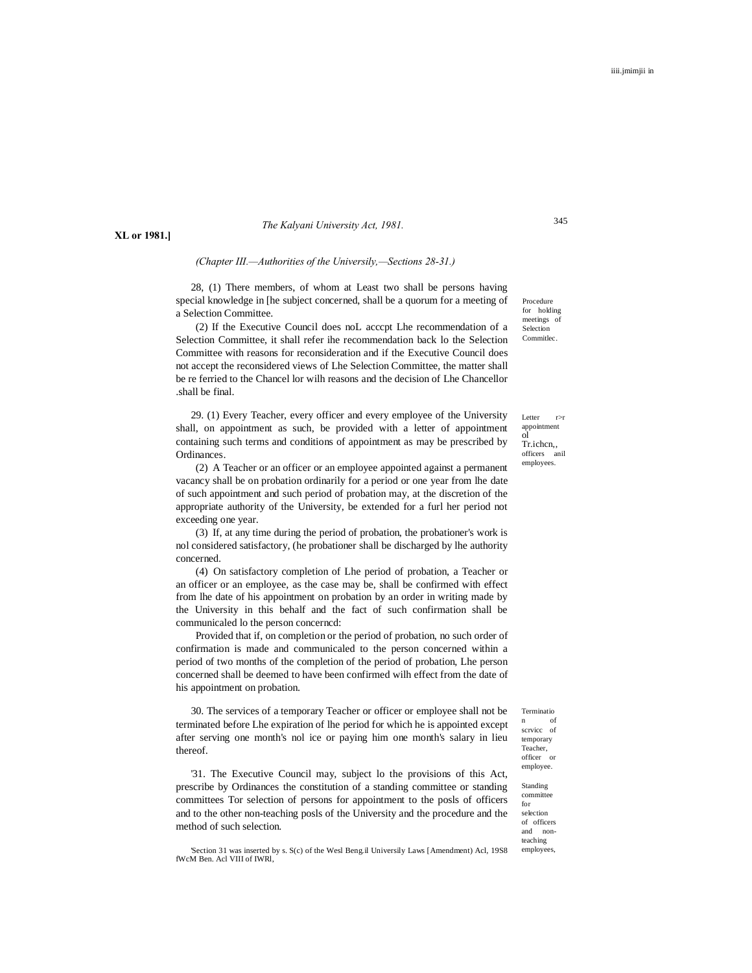#### *The Kalyani University Act, 1981.*

**XL or 1981.]**

#### *(Chapter III.—Authorities of the Universily,—Sections 28-31.)*

28, (1) There members, of whom at Least two shall be persons having special knowledge in [he subject concerned, shall be a quorum for a meeting of a Selection Committee.

(2) If the Executive Council does noL acccpt Lhe recommendation of a Selection Committee, it shall refer ihe recommendation back lo the Selection Committee with reasons for reconsideration and if the Executive Council does not accept the reconsidered views of Lhe Selection Committee, the matter shall be re ferried to the Chancel lor wilh reasons and the decision of Lhe Chancellor .shall be final.

29. (1) Every Teacher, every officer and every employee of the University shall, on appointment as such, be provided with a letter of appointment containing such terms and conditions of appointment as may be prescribed by Ordinances.

(2) A Teacher or an officer or an employee appointed against a permanent vacancy shall be on probation ordinarily for a period or one year from lhe date of such appointment and such period of probation may, at the discretion of the appropriate authority of the University, be extended for a furl her period not exceeding one year.

(3) If, at any time during the period of probation, the probationer's work is nol considered satisfactory, (he probationer shall be discharged by lhe authority concerned.

(4) On satisfactory completion of Lhe period of probation, a Teacher or an officer or an employee, as the case may be, shall be confirmed with effect from lhe date of his appointment on probation by an order in writing made by the University in this behalf and the fact of such confirmation shall be communicaled lo the person concerncd:

Provided that if, on completion or the period of probation, no such order of confirmation is made and communicaled to the person concerned within a period of two months of the completion of the period of probation, Lhe person concerned shall be deemed to have been confirmed wilh effect from the date of his appointment on probation.

30. The services of a temporary Teacher or officer or employee shall not be terminated before Lhe expiration of lhe period for which he is appointed except after serving one month's nol ice or paying him one month's salary in lieu thereof.

'31. The Executive Council may, subject lo the provisions of this Act, prescribe by Ordinances the constitution of a standing committee or standing committees Tor selection of persons for appointment to the posls of officers and to the other non-teaching posls of the University and the procedure and the method of such selection.

'Section 31 was inserted by s. S(c) of the Wesl Beng.il Universily Laws [Amendment) Acl, 19S8 fWcM Ben. Acl VIII of IWRl,

Procedure for holding meetings of Selection **Commitlec** 

345

Letter r>r appointment ol<br>Tr.ichcn,, officers anil employees.

Terminatio n of scrvicc of temporary Teacher, officer or employee.

Standing committee for selection of officers and nonteaching employees,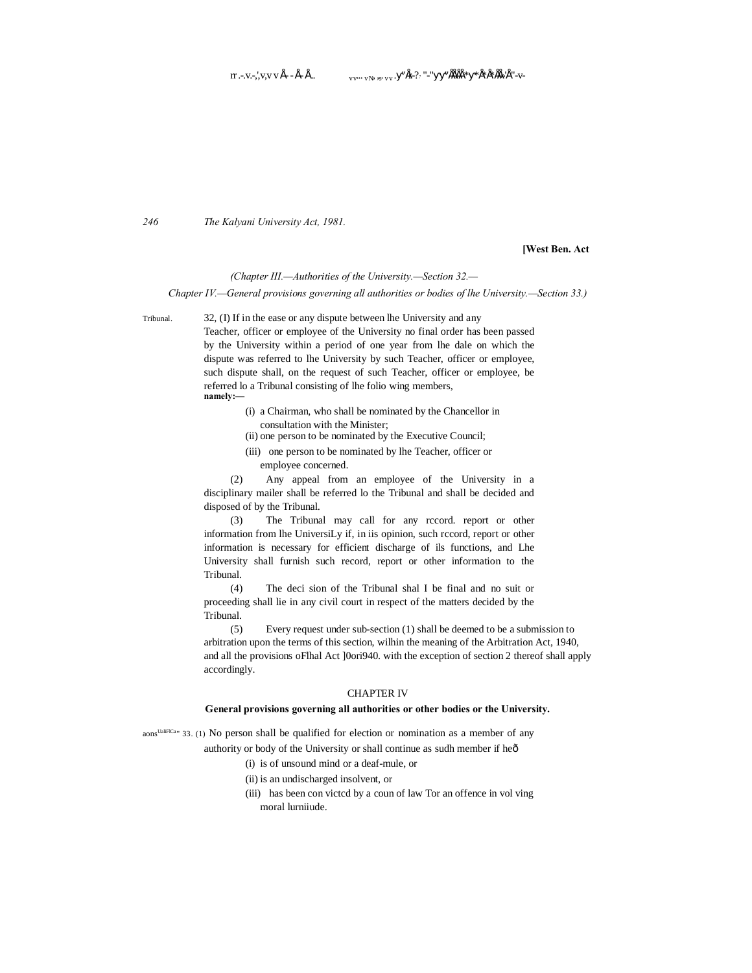*246 The Kalyani University Act, 1981.*

#### **[West Ben. Act**

#### *(Chapter III.—Authorities of the University.—Section 32.—*

*Chapter IV.—General provisions governing all authorities or bodies of lhe University.—Section 33.)*

Tribunal. 32, (I) If in the ease or any dispute between lhe University and any

Teacher, officer or employee of the University no final order has been passed by the University within a period of one year from lhe dale on which the dispute was referred to lhe University by such Teacher, officer or employee, such dispute shall, on the request of such Teacher, officer or employee, be referred lo a Tribunal consisting of lhe folio wing members, **namely:—**

- (i) a Chairman, who shall be nominated by the Chancellor in consultation with the Minister;
- (ii) one person to be nominated by the Executive Council;
- (iii) one person to be nominated by lhe Teacher, officer or employee concerned.

(2) Any appeal from an employee of the University in a disciplinary mailer shall be referred lo the Tribunal and shall be decided and disposed of by the Tribunal.

(3) The Tribunal may call for any rccord. report or other information from lhe UniversiLy if, in iis opinion, such rccord, report or other information is necessary for efficient discharge of ils functions, and Lhe University shall furnish such record, report or other information to the Tribunal.

(4) The deci sion of the Tribunal shal I be final and no suit or proceeding shall lie in any civil court in respect of the matters decided by the Tribunal.

(5) Every request under sub-section (1) shall be deemed to be a submission to arbitration upon the terms of this section, wilhin the meaning of the Arbitration Act, 1940, and all the provisions oFlhal Act ]0ori940. with the exception of section 2 thereof shall apply accordingly.

#### CHAPTER IV

#### **General provisions governing all authorities or other bodies or the University.**

aons<sup>UaliFICa</sup>" 33. (1) No person shall be qualified for election or nomination as a member of any authority or body of the University or shall continue as sudh member if heô

- - (i) is of unsound mind or a deaf-mule, or
	- (ii) is an undischarged insolvent, or
	- (iii) has been con victcd by a coun of law Tor an offence in vol ving moral lurniiude.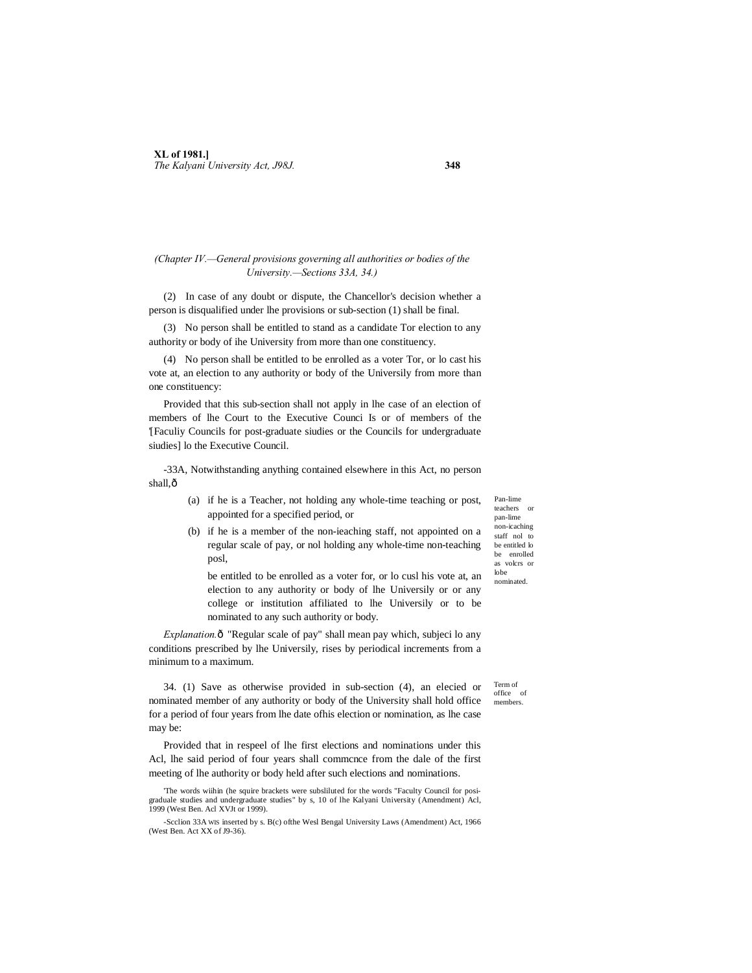#### *(Chapter IV.—General provisions governing all authorities or bodies of the University.—Sections 33A, 34.)*

(2) In case of any doubt or dispute, the Chancellor's decision whether a person is disqualified under lhe provisions or sub-section (1) shall be final.

(3) No person shall be entitled to stand as a candidate Tor election to any authority or body of ihe University from more than one constituency.

(4) No person shall be entitled to be enrolled as a voter Tor, or lo cast his vote at, an election to any authority or body of the Universily from more than one constituency:

Provided that this sub-section shall not apply in lhe case of an election of members of lhe Court to the Executive Counci Is or of members of the '[Faculiy Councils for post-graduate siudies or the Councils for undergraduate siudies] lo the Executive Council.

-33A, Notwithstanding anything contained elsewhere in this Act, no person shall, $\hat{0}$ 

- (a) if he is a Teacher, not holding any whole-time teaching or post, appointed for a specified period, or
- (b) if he is a member of the non-ieaching staff, not appointed on a regular scale of pay, or nol holding any whole-time non-teaching posl,

be entitled to be enrolled as a voter for, or lo cusl his vote at, an election to any authority or body of lhe Universily or or any college or institution affiliated to lhe Universily or to be nominated to any such authority or body.

*Explanation.* $\hat{o}$  "Regular scale of pay" shall mean pay which, subjeci lo any conditions prescribed by lhe Universily, rises by periodical increments from a minimum to a maximum.

34. (1) Save as otherwise provided in sub-section (4), an elecied or nominated member of any authority or body of the University shall hold office for a period of four years from lhe date ofhis election or nomination, as lhe case may be:

Provided that in respeel of lhe first elections and nominations under this Acl, lhe said period of four years shall commcnce from the dale of the first meeting of lhe authority or body held after such elections and nominations.

'The words wiihin (he squire brackets were subsliluted for the words "Faculty Council for posigraduale studies and undergraduate studies" by s, 10 of lhe Kalyani University (Amendment) Acl, 1999 (West Ben. Acl XVJt or 1999).

Pan-lime teachers or pan-lime non-icaching staff nol to be entitled lo be enrolled as volcrs or lobe nominated.

Term of office of members.

<sup>-</sup>Scclion 33A WIS inserted by s. B(c) ofthe Wesl Bengal University Laws (Amendment) Act, 1966 (West Ben. Act XX of J9-36).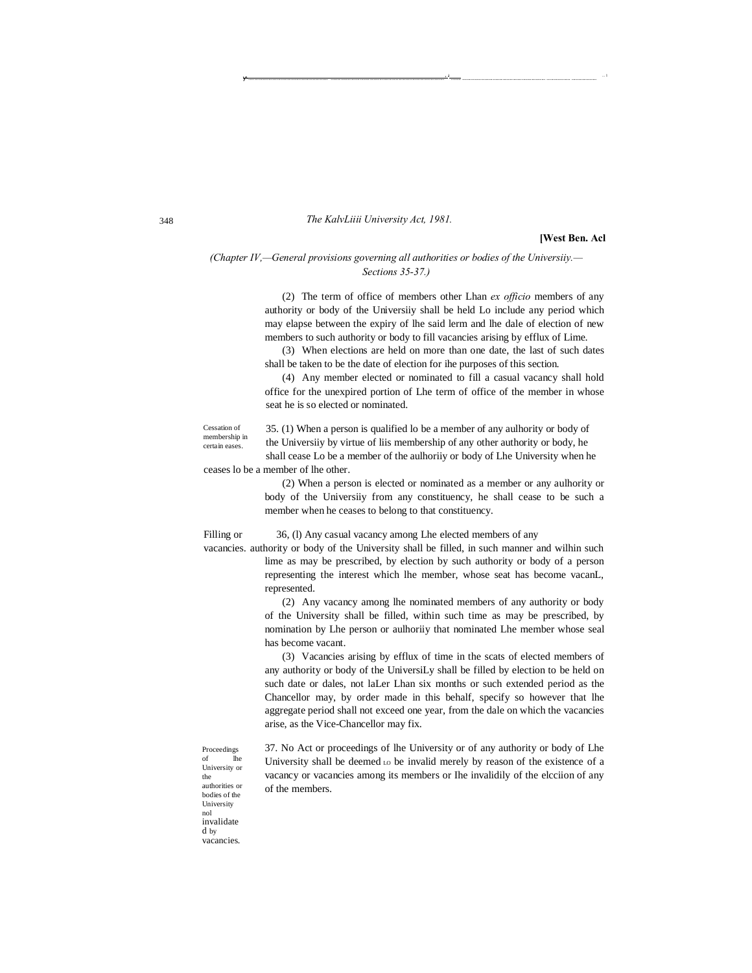#### *The KalvLiiii University Act, 1981.*

#### **[West Ben. Acl**

*(Chapter IV,—General provisions governing all authorities or bodies of the Universiiy.— Sections 35-37.)*

> (2) The term of office of members other Lhan *ex officio* members of any authority or body of the Universiiy shall be held Lo include any period which may elapse between the expiry of lhe said lerm and lhe dale of election of new members to such authority or body to fill vacancies arising by efflux of Lime.

-......................................................... .................................................................................. ' <sup>1</sup> ....... ............................................................ ................. .................. ... <sup>1</sup>

(3) When elections are held on more than one date, the last of such dates shall be taken to be the date of election for ihe purposes of this section.

(4) Any member elected or nominated to fill a casual vacancy shall hold office for the unexpired portion of Lhe term of office of the member in whose seat he is so elected or nominated.

Cessation of membership in certain eases. 35. (1) When a person is qualified lo be a member of any aulhority or body of the Universiiy by virtue of liis membership of any other authority or body, he shall cease Lo be a member of the aulhoriiy or body of Lhe University when he ceases lo be a member of lhe other.

> (2) When a person is elected or nominated as a member or any aulhority or body of the Universiiy from any constituency, he shall cease to be such a member when he ceases to belong to that constituency.

Filling or 36, (l) Any casual vacancy among Lhe elected members of any

vacancies. authority or body of the University shall be filled, in such manner and wilhin such lime as may be prescribed, by election by such authority or body of a person representing the interest which lhe member, whose seat has become vacanL, represented.

> (2) Any vacancy among lhe nominated members of any authority or body of the University shall be filled, within such time as may be prescribed, by nomination by Lhe person or aulhoriiy that nominated Lhe member whose seal has become vacant.

> (3) Vacancies arising by efflux of time in the scats of elected members of any authority or body of the UniversiLy shall be filled by election to be held on such date or dales, not laLer Lhan six months or such extended period as the Chancellor may, by order made in this behalf, specify so however that lhe aggregate period shall not exceed one year, from the dale on which the vacancies arise, as the Vice-Chancellor may fix.

> 37. No Act or proceedings of lhe University or of any authority or body of Lhe University shall be deemed Lo be invalid merely by reason of the existence of a vacancy or vacancies among its members or Ihe invalidily of the elcciion of any of the members.

Proceedings of University or the authorities or bodies of the University nol invalidate d by vacancies.

348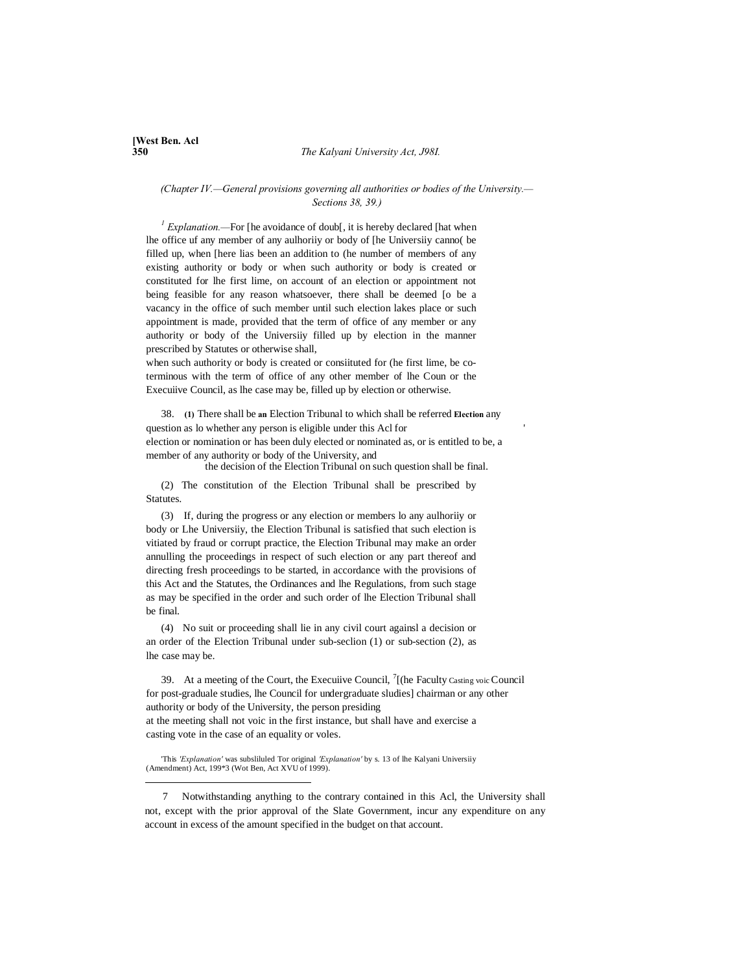# **[West Ben. Acl**

-

#### **350** *The Kalyani University Act, J98I.*

*(Chapter IV.—General provisions governing all authorities or bodies of the University.— Sections 38, 39.)*

<sup>1</sup> *Explanation.*—For [he avoidance of doub[, it is hereby declared [hat when lhe office uf any member of any aulhoriiy or body of [he Universiiy canno( be filled up, when [here lias been an addition to (he number of members of any existing authority or body or when such authority or body is created or constituted for lhe first lime, on account of an election or appointment not being feasible for any reason whatsoever, there shall be deemed [o be a vacancy in the office of such member until such election lakes place or such appointment is made, provided that the term of office of any member or any authority or body of the Universiiy filled up by election in the manner prescribed by Statutes or otherwise shall,

when such authority or body is created or consiituted for (he first lime, be coterminous with the term of office of any other member of lhe Coun or the Execuiive Council, as lhe case may be, filled up by election or otherwise.

38. **(1)** There shall be **an** Election Tribunal to which shall be referred **Election** any question as lo whether any person is eligible under this Acl for ' election or nomination or has been duly elected or nominated as, or is entitled to be, a member of any authority or body of the University, and

the decision of the Election Tribunal on such question shall be final.

(2) The constitution of the Election Tribunal shall be prescribed by Statutes.

(3) If, during the progress or any election or members lo any aulhoriiy or body or Lhe Universiiy, the Election Tribunal is satisfied that such election is vitiated by fraud or corrupt practice, the Election Tribunal may make an order annulling the proceedings in respect of such election or any part thereof and directing fresh proceedings to be started, in accordance with the provisions of this Act and the Statutes, the Ordinances and lhe Regulations, from such stage as may be specified in the order and such order of lhe Election Tribunal shall be final.

(4) No suit or proceeding shall lie in any civil court againsl a decision or an order of the Election Tribunal under sub-seclion (1) or sub-section (2), as lhe case may be.

39. At a meeting of the Court, the Execuiive Council,  $\frac{7}{1}$  (he Faculty Casting voic Council for post-graduale studies, lhe Council for undergraduate sludies] chairman or any other authority or body of the University, the person presiding at the meeting shall not voic in the first instance, but shall have and exercise a casting vote in the case of an equality or voles.

'This *'Explanation'* was subsliluled Tor original *'Explanation'* by s. 13 of lhe Kalyani Universiiy (Amendment) Act, 199\*3 (Wot Ben, Act XVU of 1999).

7 Notwithstanding anything to the contrary contained in this Acl, the University shall not, except with the prior approval of the Slate Government, incur any expenditure on any account in excess of the amount specified in the budget on that account.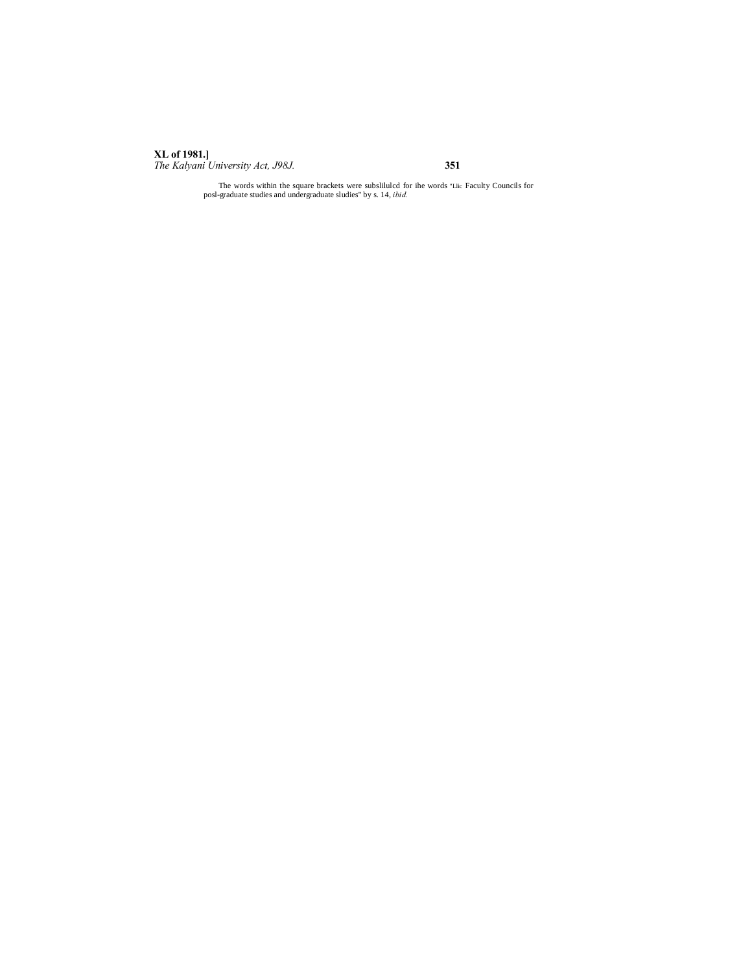# **XL of 1981.]**

*The Kalyani University Act, J98J.* **351**

The words within the square brackets were subslilulcd for ihe words "Llic Faculty Councils for posl-graduate studies and undergraduate sludies" by s. 14, *ibid.*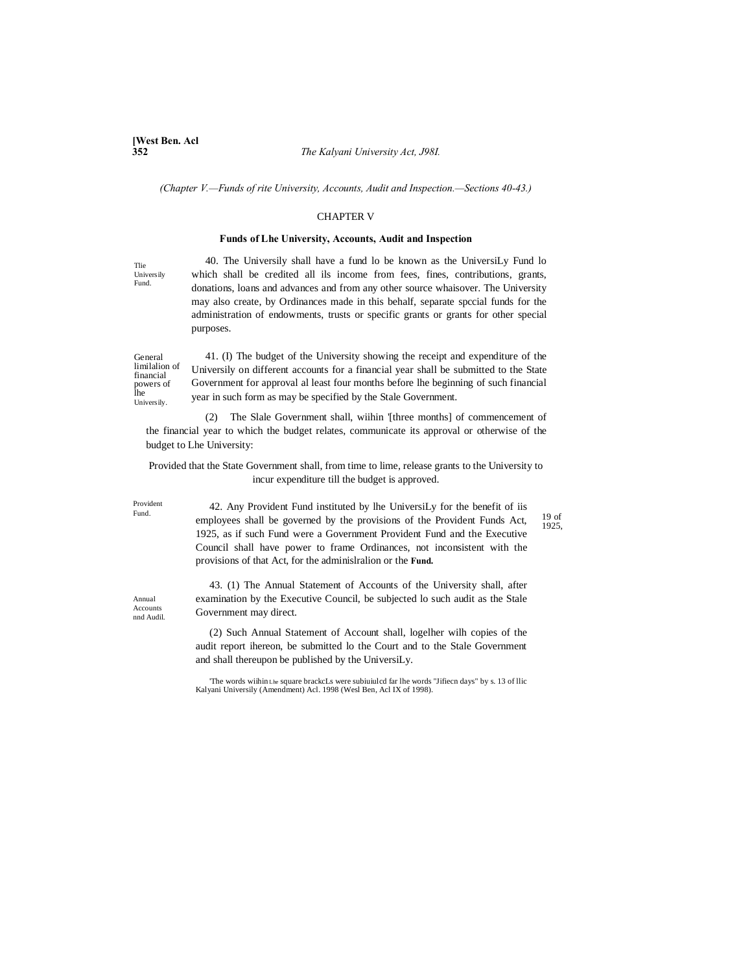**[West Ben. Acl**

#### **352** *The Kalyani University Act, J98I.*

*(Chapter V.—Funds of rite University, Accounts, Audit and Inspection.—Sections 40-43.)*

#### CHAPTER V

#### **Funds of Lhe University, Accounts, Audit and Inspection**

Tlie Universily Fund.

40. The Universily shall have a fund lo be known as the UniversiLy Fund lo which shall be credited all ils income from fees, fines, contributions, grants, donations, loans and advances and from any other source whaisover. The University may also create, by Ordinances made in this behalf, separate spccial funds for the administration of endowments, trusts or specific grants or grants for other special purposes.

General limilalion of financial powers of lhe Universily.

41. (I) The budget of the University showing the receipt and expenditure of the Universily on different accounts for a financial year shall be submitted to the State Government for approval al least four months before lhe beginning of such financial year in such form as may be specified by the Stale Government.

(2) The Slale Government shall, wiihin '[three months] of commencement of the financial year to which the budget relates, communicate its approval or otherwise of the budget to Lhe University:

Provided that the State Government shall, from time to lime, release grants to the University to incur expenditure till the budget is approved.

Provident

Fund.<br>
employees shall be governed by the provisions of the Provident Funds Act,  $\frac{19 \text{ of}}{1025}$ 42. Any Provident Fund instituted by lhe UniversiLy for the benefit of iis 1925, as if such Fund were a Government Provident Fund and the Executive Council shall have power to frame Ordinances, not inconsistent with the provisions of that Act, for the adminislralion or the **Fund.**

1925,

Annual **Accounts** nnd Audil.

43. (1) The Annual Statement of Accounts of the University shall, after examination by the Executive Council, be subjected lo such audit as the Stale Government may direct.

(2) Such Annual Statement of Account shall, logelher wilh copies of the audit report ihereon, be submitted lo the Court and to the Stale Government and shall thereupon be published by the UniversiLy.

'The words wiihin Lhe square brackcLs were subiuiulcd far lhe words "Jifiecn days" by s. 13 of llic Kalyani Universily (Amendment) Acl. 1998 (Wesl Ben, Acl IX of 1998).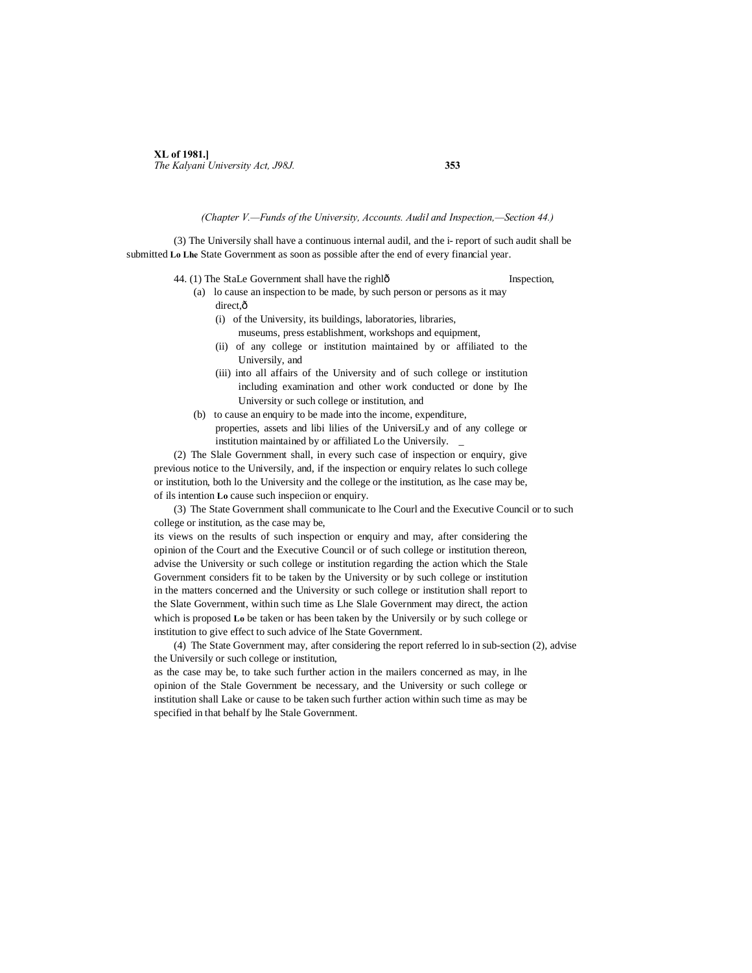### **XL of 1981.]** *The Kalyani University Act, J98J.* **353**

#### *(Chapter V.—Funds of the University, Accounts. Audil and Inspection,—Section 44.)*

(3) The Universily shall have a continuous internal audil, and the i- report of such audit shall be submitted **Lo Lhe** State Government as soon as possible after the end of every financial year.

- 44. (1) The StaLe Government shall have the righlô Inspection,
	- (a) lo cause an inspection to be made, by such person or persons as it may direct, $\hat{o}$ 
		- (i) of the University, its buildings, laboratories, libraries,
			- museums, press establishment, workshops and equipment,
		- (ii) of any college or institution maintained by or affiliated to the Universily, and
		- (iii) into all affairs of the University and of such college or institution including examination and other work conducted or done by Ihe University or such college or institution, and
	- (b) to cause an enquiry to be made into the income, expenditure, properties, assets and libi lilies of the UniversiLy and of any college or institution maintained by or affiliated Lo the Universily. \_

(2) The Slale Government shall, in every such case of inspection or enquiry, give previous notice to the Universily, and, if the inspection or enquiry relates lo such college or institution, both lo the University and the college or the institution, as lhe case may be, of ils intention **Lo** cause such inspeciion or enquiry.

(3) The State Government shall communicate to lhe Courl and the Executive Council or to such college or institution, as the case may be,

its views on the results of such inspection or enquiry and may, after considering the opinion of the Court and the Executive Council or of such college or institution thereon, advise the University or such college or institution regarding the action which the Stale Government considers fit to be taken by the University or by such college or institution in the matters concerned and the University or such college or institution shall report to the Slate Government, within such time as Lhe Slale Government may direct, the action which is proposed **Lo** be taken or has been taken by the Universily or by such college or institution to give effect to such advice of lhe State Government.

(4) The State Government may, after considering the report referred lo in sub-section (2), advise the Universily or such college or institution,

as the case may be, to take such further action in the mailers concerned as may, in lhe opinion of the Stale Government be necessary, and the University or such college or institution shall Lake or cause to be taken such further action within such time as may be specified in that behalf by lhe Stale Government.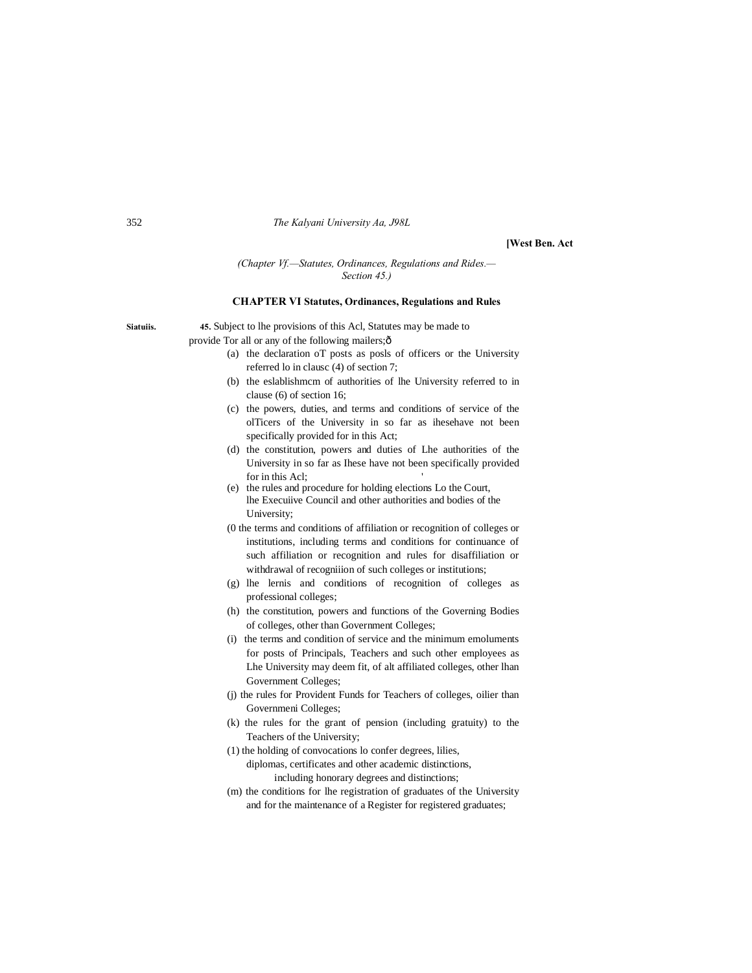#### 352 *The Kalyani University Aa, J98L*

**[West Ben. Act**

#### *(Chapter Vf.—Statutes, Ordinances, Regulations and Rides.— Section 45.)*

#### **CHAPTER VI Statutes, Ordinances, Regulations and Rules**

- **Siatuiis. 45.** Subject to lhe provisions of this Acl, Statutes may be made to provide Tor all or any of the following mailers; $\hat{o}$ 
	- (a) the declaration oT posts as posls of officers or the University referred lo in clausc (4) of section 7;
	- (b) the eslablishmcm of authorities of lhe University referred to in clause (6) of section 16;
	- (c) the powers, duties, and terms and conditions of service of the olTicers of the University in so far as ihesehave not been specifically provided for in this Act;
	- (d) the constitution, powers and duties of Lhe authorities of the University in so far as Ihese have not been specifically provided for in this Acl;
	- (e) the rules and procedure for holding elections Lo the Court, lhe Execuiive Council and other authorities and bodies of the University;
	- (0 the terms and conditions of affiliation or recognition of colleges or institutions, including terms and conditions for continuance of such affiliation or recognition and rules for disaffiliation or withdrawal of recogniiion of such colleges or institutions;
	- (g) lhe lernis and conditions of recognition of colleges as professional colleges;
	- (h) the constitution, powers and functions of the Governing Bodies of colleges, other than Government Colleges;
	- (i) the terms and condition of service and the minimum emoluments for posts of Principals, Teachers and such other employees as Lhe University may deem fit, of alt affiliated colleges, other lhan Government Colleges;
	- (j) the rules for Provident Funds for Teachers of colleges, oilier than Governmeni Colleges;
	- (k) the rules for the grant of pension (including gratuity) to the Teachers of the University;
	- (1) the holding of convocations lo confer degrees, lilies, diplomas, certificates and other academic distinctions, including honorary degrees and distinctions;
	- (m) the conditions for lhe registration of graduates of the University and for the maintenance of a Register for registered graduates;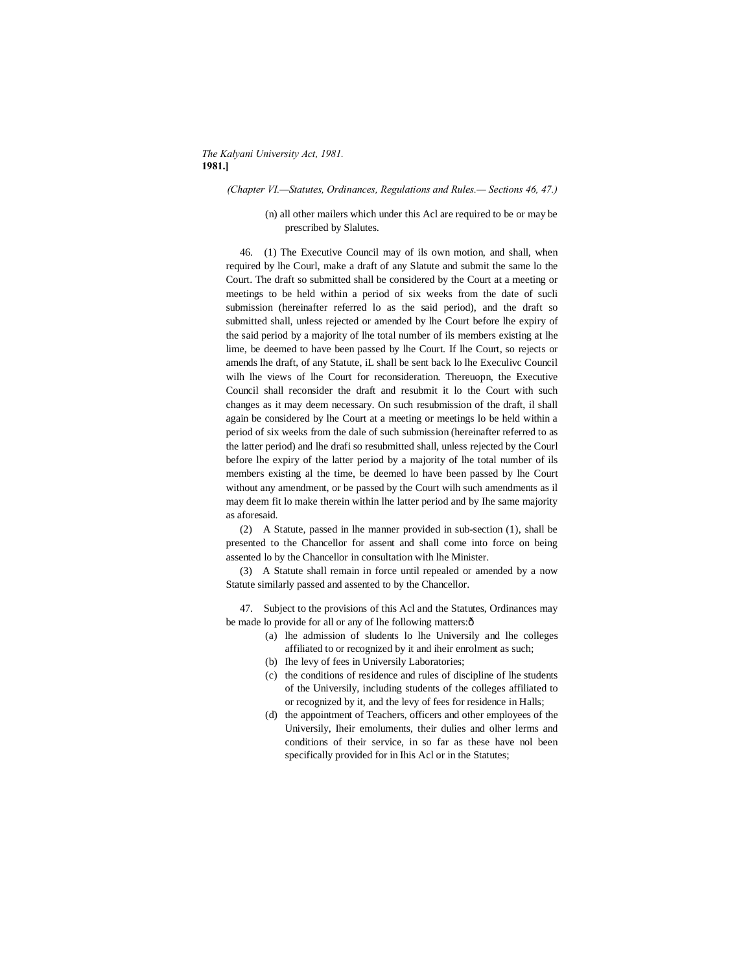#### *The Kalyani University Act, 1981.* **1981.]**

#### *(Chapter VI.—Statutes, Ordinances, Regulations and Rules.— Sections 46, 47.)*

(n) all other mailers which under this Acl are required to be or may be prescribed by Slalutes.

46. (1) The Executive Council may of ils own motion, and shall, when required by lhe Courl, make a draft of any Slatute and submit the same lo the Court. The draft so submitted shall be considered by the Court at a meeting or meetings to be held within a period of six weeks from the date of sucli submission (hereinafter referred lo as the said period), and the draft so submitted shall, unless rejected or amended by lhe Court before lhe expiry of the said period by a majority of lhe total number of ils members existing at lhe lime, be deemed to have been passed by lhe Court. If lhe Court, so rejects or amends lhe draft, of any Statute, iL shall be sent back lo lhe Execulivc Council wilh lhe views of lhe Court for reconsideration. Thereuopn, the Executive Council shall reconsider the draft and resubmit it lo the Court with such changes as it may deem necessary. On such resubmission of the draft, il shall again be considered by lhe Court at a meeting or meetings lo be held within a period of six weeks from the dale of such submission (hereinafter referred to as the latter period) and lhe drafi so resubmitted shall, unless rejected by the Courl before lhe expiry of the latter period by a majority of lhe total number of ils members existing al the time, be deemed lo have been passed by lhe Court without any amendment, or be passed by the Court wilh such amendments as il may deem fit lo make therein within lhe latter period and by Ihe same majority as aforesaid.

(2) A Statute, passed in lhe manner provided in sub-section (1), shall be presented to the Chancellor for assent and shall come into force on being assented lo by the Chancellor in consultation with lhe Minister.

(3) A Statute shall remain in force until repealed or amended by a now Statute similarly passed and assented to by the Chancellor.

47. Subject to the provisions of this Acl and the Statutes, Ordinances may be made lo provide for all or any of lhe following matters: $\hat{o}$ 

- (a) lhe admission of sludents lo lhe Universily and lhe colleges affiliated to or recognized by it and iheir enrolment as such;
- (b) Ihe levy of fees in Universily Laboratories;
- (c) the conditions of residence and rules of discipline of lhe students of the Universily, including students of the colleges affiliated to or recognized by it, and the levy of fees for residence in Halls;
- (d) the appointment of Teachers, officers and other employees of the Universily, Iheir emoluments, their dulies and olher lerms and conditions of their service, in so far as these have nol been specifically provided for in Ihis Acl or in the Statutes;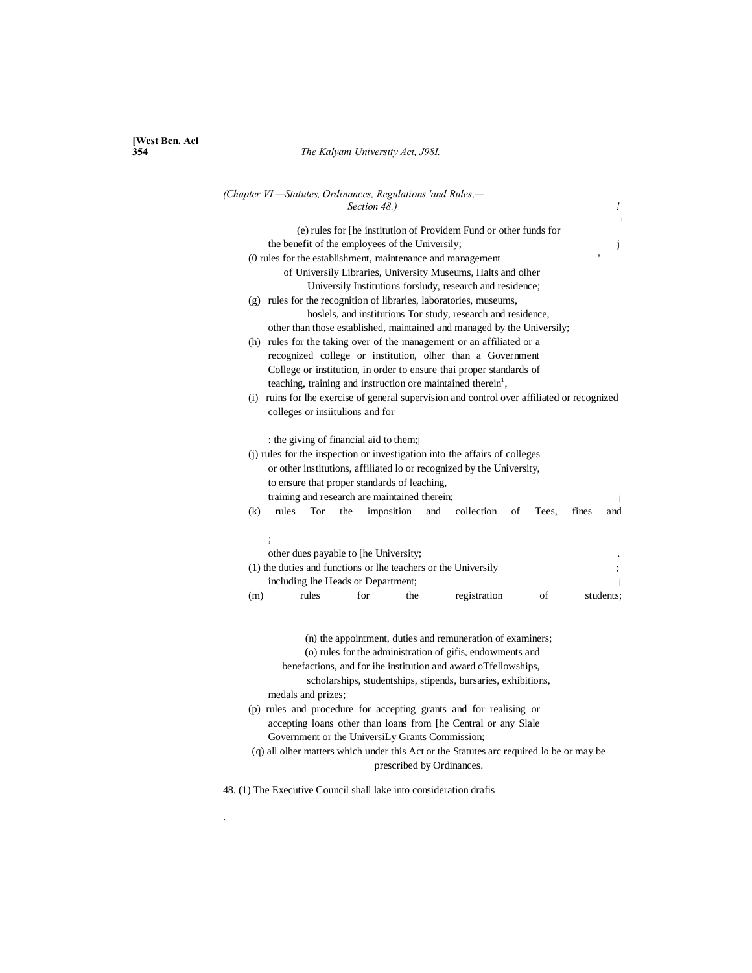# **[West Ben. Acl**

.

## **354** *The Kalyani University Act, J98I.*

| (Chapter VI.-Statutes, Ordinances, Regulations 'and Rules,-<br>Section 48.)                                                                                                                                                                                                                                                                                                                                                                                                                                                                                                                        | Ţ         |
|----------------------------------------------------------------------------------------------------------------------------------------------------------------------------------------------------------------------------------------------------------------------------------------------------------------------------------------------------------------------------------------------------------------------------------------------------------------------------------------------------------------------------------------------------------------------------------------------------|-----------|
| (e) rules for The institution of Providem Fund or other funds for                                                                                                                                                                                                                                                                                                                                                                                                                                                                                                                                  |           |
| the benefit of the employees of the Universily;                                                                                                                                                                                                                                                                                                                                                                                                                                                                                                                                                    | j         |
| (0 rules for the establishment, maintenance and management                                                                                                                                                                                                                                                                                                                                                                                                                                                                                                                                         |           |
| of Universily Libraries, University Museums, Halts and olher                                                                                                                                                                                                                                                                                                                                                                                                                                                                                                                                       |           |
| Universily Institutions for sludy, research and residence;                                                                                                                                                                                                                                                                                                                                                                                                                                                                                                                                         |           |
| (g) rules for the recognition of libraries, laboratories, museums,                                                                                                                                                                                                                                                                                                                                                                                                                                                                                                                                 |           |
| hoslels, and institutions Tor study, research and residence,                                                                                                                                                                                                                                                                                                                                                                                                                                                                                                                                       |           |
| other than those established, maintained and managed by the Universily;                                                                                                                                                                                                                                                                                                                                                                                                                                                                                                                            |           |
| (h) rules for the taking over of the management or an affiliated or a                                                                                                                                                                                                                                                                                                                                                                                                                                                                                                                              |           |
| recognized college or institution, olher than a Government                                                                                                                                                                                                                                                                                                                                                                                                                                                                                                                                         |           |
| College or institution, in order to ensure thai proper standards of                                                                                                                                                                                                                                                                                                                                                                                                                                                                                                                                |           |
| teaching, training and instruction ore maintained therein <sup>1</sup> ,                                                                                                                                                                                                                                                                                                                                                                                                                                                                                                                           |           |
| (i) ruins for lhe exercise of general supervision and control over affiliated or recognized                                                                                                                                                                                                                                                                                                                                                                                                                                                                                                        |           |
| colleges or institutions and for                                                                                                                                                                                                                                                                                                                                                                                                                                                                                                                                                                   |           |
|                                                                                                                                                                                                                                                                                                                                                                                                                                                                                                                                                                                                    |           |
| : the giving of financial aid to them;<br>(j) rules for the inspection or investigation into the affairs of colleges<br>or other institutions, affiliated lo or recognized by the University,<br>to ensure that proper standards of leaching,                                                                                                                                                                                                                                                                                                                                                      |           |
| training and research are maintained therein;                                                                                                                                                                                                                                                                                                                                                                                                                                                                                                                                                      |           |
| (k)<br>rules<br>Tor<br>the<br>imposition<br>collection<br>and<br>of<br>fines<br>Tees.                                                                                                                                                                                                                                                                                                                                                                                                                                                                                                              | and       |
|                                                                                                                                                                                                                                                                                                                                                                                                                                                                                                                                                                                                    |           |
|                                                                                                                                                                                                                                                                                                                                                                                                                                                                                                                                                                                                    |           |
| other dues payable to [he University;                                                                                                                                                                                                                                                                                                                                                                                                                                                                                                                                                              |           |
| (1) the duties and functions or the teachers or the University                                                                                                                                                                                                                                                                                                                                                                                                                                                                                                                                     |           |
| including lhe Heads or Department;                                                                                                                                                                                                                                                                                                                                                                                                                                                                                                                                                                 |           |
| for<br>registration<br>(m)<br>rules<br>the<br>of                                                                                                                                                                                                                                                                                                                                                                                                                                                                                                                                                   | students: |
| (n) the appointment, duties and remuneration of examiners;<br>(o) rules for the administration of gifis, endowments and<br>benefactions, and for ihe institution and award oTfellowships,<br>scholarships, studentships, stipends, bursaries, exhibitions,<br>medals and prizes;<br>(p) rules and procedure for accepting grants and for realising or<br>accepting loans other than loans from [he Central or any Slale<br>Government or the UniversiLy Grants Commission;<br>(q) all olher matters which under this Act or the Statutes arc required lo be or may be<br>prescribed by Ordinances. |           |
| 48. (1) The Executive Council shall lake into consideration drafis                                                                                                                                                                                                                                                                                                                                                                                                                                                                                                                                 |           |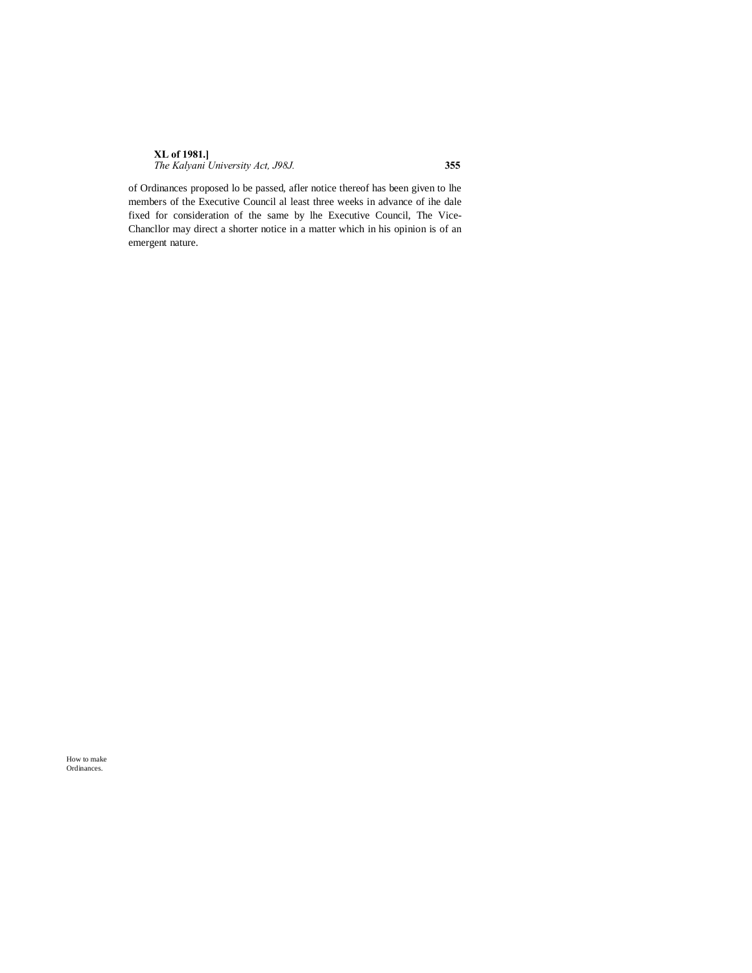| <b>XL</b> of 1981.]               |     |
|-----------------------------------|-----|
| The Kalyani University Act, J98J. | 355 |

of Ordinances proposed lo be passed, afler notice thereof has been given to lhe members of the Executive Council al least three weeks in advance of ihe dale fixed for consideration of the same by lhe Executive Council, The Vice-Chancllor may direct a shorter notice in a matter which in his opinion is of an emergent nature.

How to make Ordinances.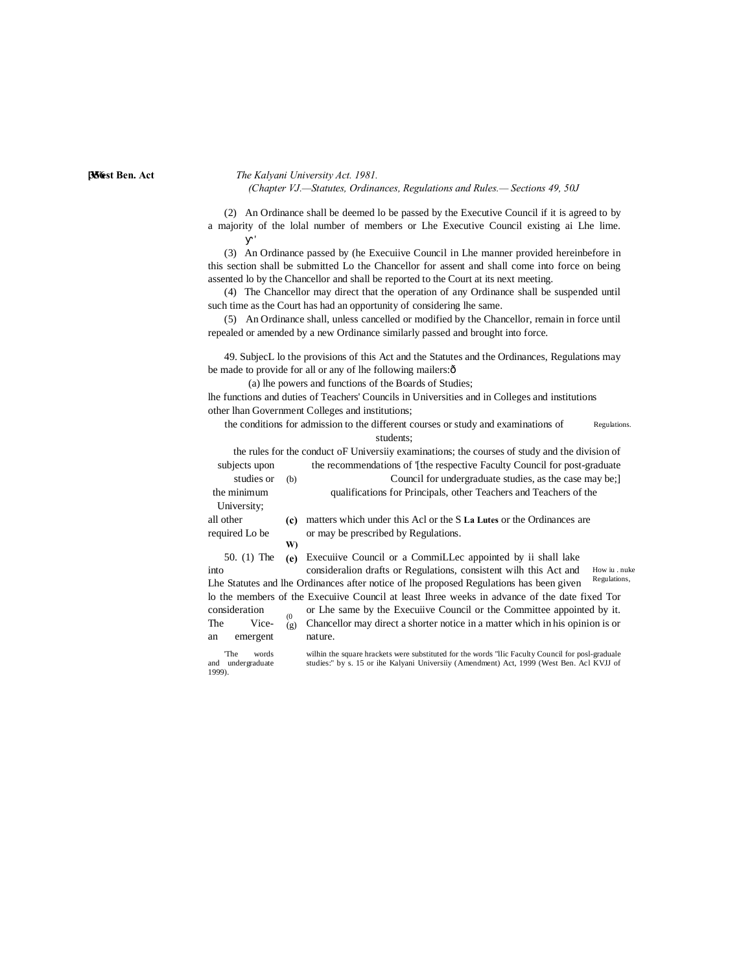#### **[West Ben. Act 356** *The Kalyani University Act. 1981. (Chapter VJ.—Statutes, Ordinances, Regulations and Rules.— Sections 49, 50J*

(2) An Ordinance shall be deemed lo be passed by the Executive Council if it is agreed to by a majority of the lolal number of members or Lhe Executive Council existing ai Lhe lime.

(3) An Ordinance passed by (he Execuiive Council in Lhe manner provided hereinbefore in this section shall be submitted Lo the Chancellor for assent and shall come into force on being assented lo by the Chancellor and shall be reported to the Court at its next meeting.

(4) The Chancellor may direct that the operation of any Ordinance shall be suspended until such time as the Court has had an opportunity of considering lhe same.

(5) An Ordinance shall, unless cancelled or modified by the Chancellor, remain in force until repealed or amended by a new Ordinance similarly passed and brought into force.

49. SubjecL lo the provisions of this Act and the Statutes and the Ordinances, Regulations may be made to provide for all or any of lhe following mailers: $\delta$ 

(a) lhe powers and functions of the Boards of Studies;

lhe functions and duties of Teachers' Councils in Universities and in Colleges and institutions other lhan Government Colleges and institutions;

Regulations. the conditions for admission to the different courses or study and examinations of students;

the rules for the conduct oF Universiiy examinations; the courses of study and the division of subjects upon the recommendations of '[the respective Faculty Council for post-graduate

|                | studies or | (b) | Council for undergraduate studies, as the case may be;                                        |               |
|----------------|------------|-----|-----------------------------------------------------------------------------------------------|---------------|
| the minimum    |            |     | qualifications for Principals, other Teachers and Teachers of the                             |               |
| University;    |            |     |                                                                                               |               |
| all other      |            | (c) | matters which under this Acl or the S La Lutes or the Ordinances are                          |               |
| required Lo be |            |     | or may be prescribed by Regulations.                                                          |               |
|                |            | W)  |                                                                                               |               |
| 50. $(1)$ The  |            | (e) | Executive Council or a CommiLLec appointed by it shall lake                                   |               |
| into           |            |     | consideration drafts or Regulations, consistent will this Act and                             | How iu . nuke |
|                |            |     | Lhe Statutes and lhe Ordinances after notice of lhe proposed Regulations has been given       | Regulations,  |
|                |            |     | lo the members of the Execuiive Council at least Ihree weeks in advance of the date fixed Tor |               |
| consideration  |            | (0) | or Lhe same by the Executive Council or the Committee appointed by it.                        |               |
| The            | Vice-      | (g) | Chancellor may direct a shorter notice in a matter which in his opinion is or                 |               |
| an             | emergent   |     | nature.                                                                                       |               |
|                |            |     |                                                                                               |               |

1999).

'The words wilhin the square hrackets were substituted for the words "llic Faculty Council for posl-graduale and undergraduate studies:" by s. 15 or ihe Kalyani Universiiy (Amendment) Act, 1999 (West Ben. Acl KVJJ of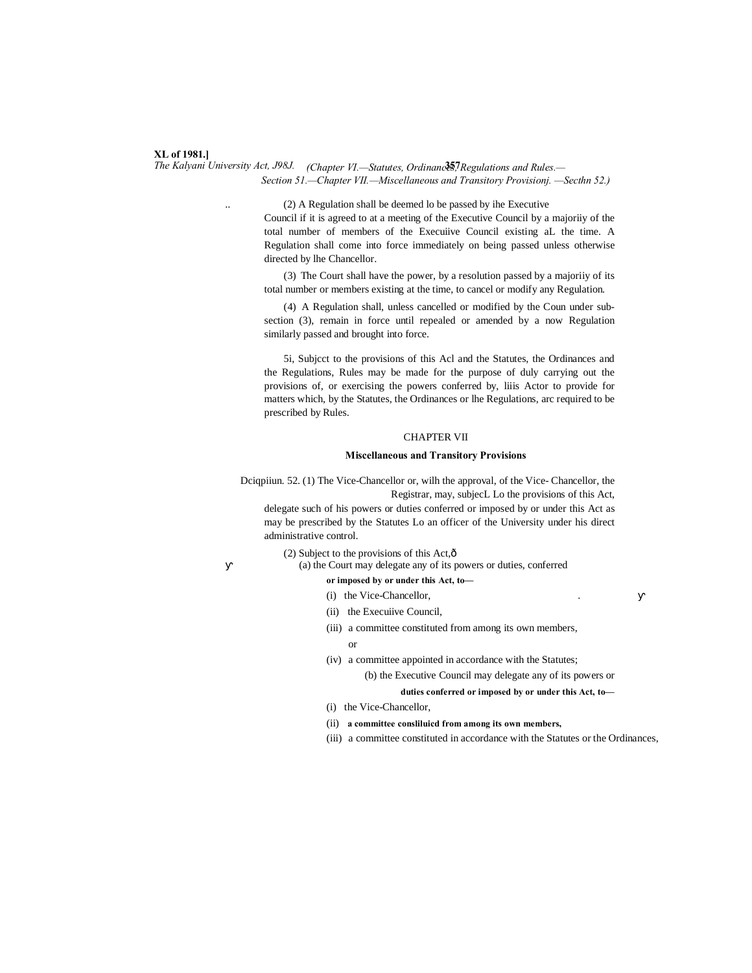#### **XL of 1981.]**

*The Kalyani University Act, J98J. (Chapter VI.*—Statutes, Ordinanc<sup>35</sup>, Regulations and Rules.— *Section 51.—Chapter VII.—Miscellaneous and Transitory Provisionj. —Secthn 52.)*

> .. (2) A Regulation shall be deemed lo be passed by ihe Executive Council if it is agreed to at a meeting of the Executive Council by a majoriiy of the total number of members of the Execuiive Council existing aL the time. A Regulation shall come into force immediately on being passed unless otherwise directed by lhe Chancellor.

> (3) The Court shall have the power, by a resolution passed by a majoriiy of its total number or members existing at the time, to cancel or modify any Regulation.

> (4) A Regulation shall, unless cancelled or modified by the Coun under subsection (3), remain in force until repealed or amended by a now Regulation similarly passed and brought into force.

> 5i, Subjcct to the provisions of this Acl and the Statutes, the Ordinances and the Regulations, Rules may be made for the purpose of duly carrying out the provisions of, or exercising the powers conferred by, liiis Actor to provide for matters which, by the Statutes, the Ordinances or lhe Regulations, arc required to be prescribed by Rules.

#### CHAPTER VII

#### **Miscellaneous and Transitory Provisions**

Dciqpiiun. 52. (1) The Vice-Chancellor or, wilh the approval, of the Vice- Chancellor, the Registrar, may, subjecL Lo the provisions of this Act,

delegate such of his powers or duties conferred or imposed by or under this Act as may be prescribed by the Statutes Lo an officer of the University under his direct administrative control.

(2) Subject to the provisions of this Act, $\hat{\text{o}}$ 

(a) the Court may delegate any of its powers or duties, conferred

**or imposed by or under this Act, to—**

- (i) the Vice-Chancellor,
- (ii) the Execuiive Council,
- (iii) a committee constituted from among its own members,

or

(iv) a committee appointed in accordance with the Statutes; (b) the Executive Council may delegate any of its powers or

**duties conferred or imposed by or under this Act, to—**

- (i) the Vice-Chancellor,
- (ii) **a committee consliluicd from among its own members,**
- (iii) a committee constituted in accordance with the Statutes or the Ordinances,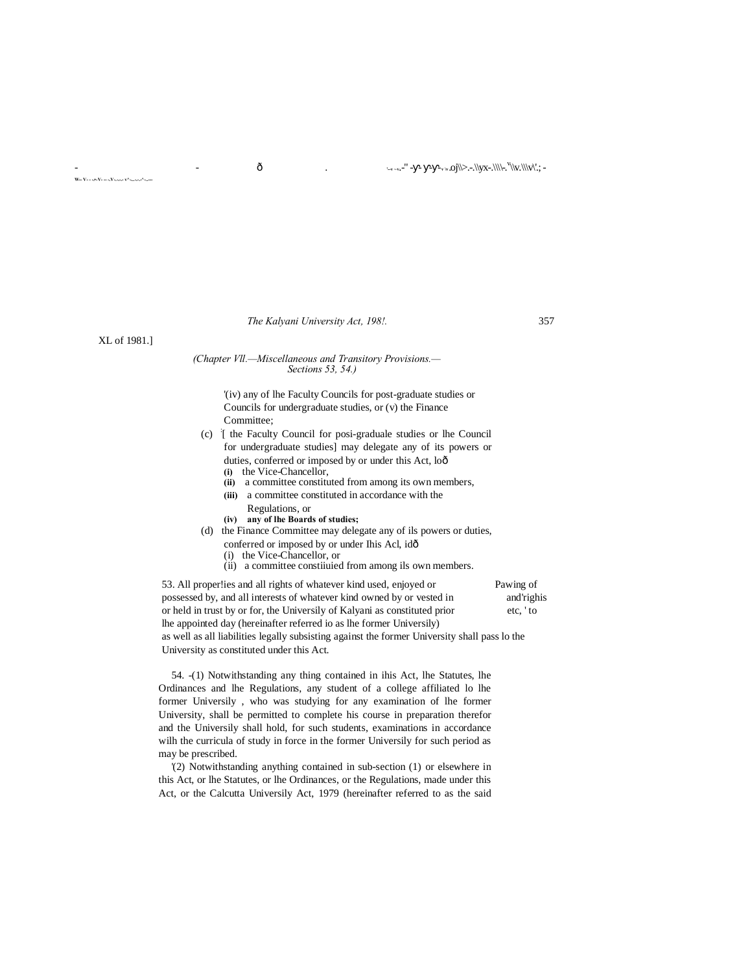*The Kalyani University Act, 198!.* 357

XL of 1981.]

**W-- V- - -.•-V- -- -.V-.-.-.- v^-...-.-.-^-..---**

# *(Chapter Vll.—Miscellaneous and Transitory Provisions.— Sections 53, 54.)*

'(iv) any of lhe Faculty Councils for post-graduate studies or Councils for undergraduate studies, or (v) the Finance Committee;

- (c) : [ the Faculty Council for posi-graduale studies or lhe Council for undergraduate studies] may delegate any of its powers or duties, conferred or imposed by or under this Act, loô
	- **(i)** the Vice-Chancellor,
	- **(ii)** a committee constituted from among its own members,
	- **(iii)** a committee constituted in accordance with the
	- Regulations, or
	- **(iv) any of lhe Boards of studies;**
- (d) the Finance Committee may delegate any of ils powers or duties, conferred or imposed by or under Ihis Acl, idô
	- (i) the Vice-Chancellor, or
	- (ii) a committee constiiuied from among ils own members.

53. All proper!ies and all rights of whatever kind used, enjoyed or Pawing of possessed by, and all interests of whatever kind owned by or vested in and'righis or held in trust by or for, the Universily of Kalyani as constituted prior etc, ' to lhe appointed day (hereinafter referred io as lhe former Universily) as well as all liabilities legally subsisting against the former University shall pass lo the University as constituted under this Act.

54. -(1) Notwithstanding any thing contained in ihis Act, lhe Statutes, lhe Ordinances and lhe Regulations, any student of a college affiliated lo lhe former Universily , who was studying for any examination of lhe former University, shall be permitted to complete his course in preparation therefor and the Universily shall hold, for such students, examinations in accordance wilh the curricula of study in force in the former Universily for such period as may be prescribed.

'(2) Notwithstanding anything contained in sub-section (1) or elsewhere in this Act, or lhe Statutes, or lhe Ordinances, or the Regulations, made under this Act, or the Calcutta Universily Act, 1979 (hereinafter referred to as the said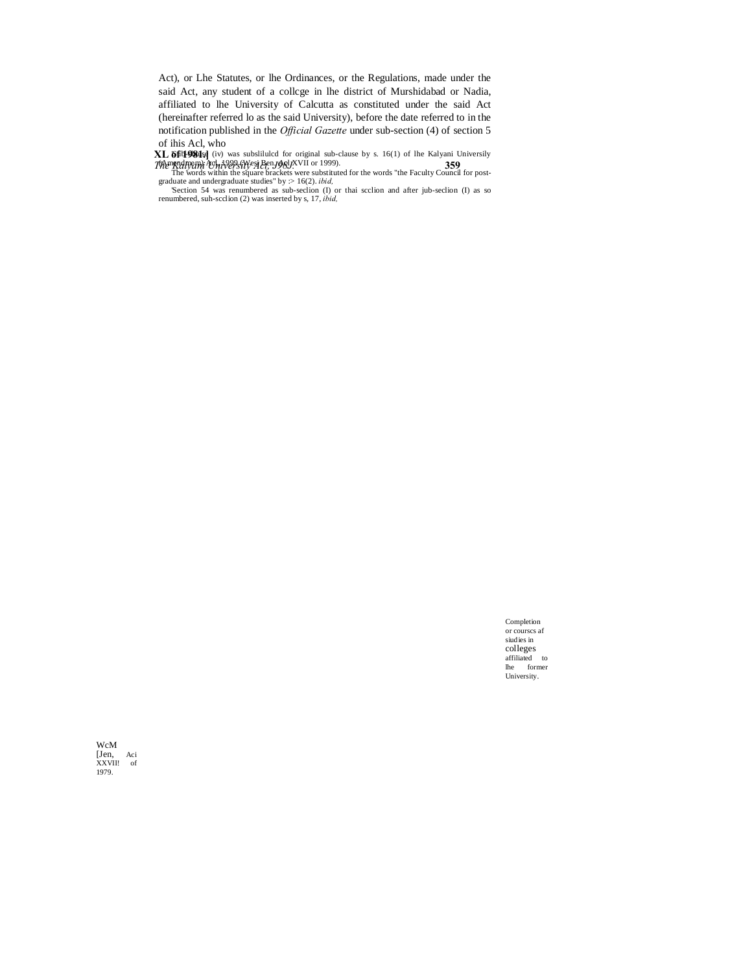Act), or Lhe Statutes, or lhe Ordinances, or the Regulations, made under the said Act, any student of a collcge in lhe district of Murshidabad or Nadia, affiliated to lhe University of Calcutta as constituted under the said Act (hereinafter referred lo as the said University), before the date referred to in the notification published in the *Official Gazette* under sub-section (4) of section 5

**XL of 1981.]** *The Kalyani University Act, J98J.* **359** of ihis Acl, who<br>
XL **66t498ds** (iv) was subsliluted for original sub-clause by s. 16(1) of the Kalyani University<br>
Were the Summer of the Words within the square brackets were substituted for the words "the Faculty Counc

Completion or courscs af siudies in colleges affiliated to lhe former University.

WcM [Jen, Aci XXVII! of 1979.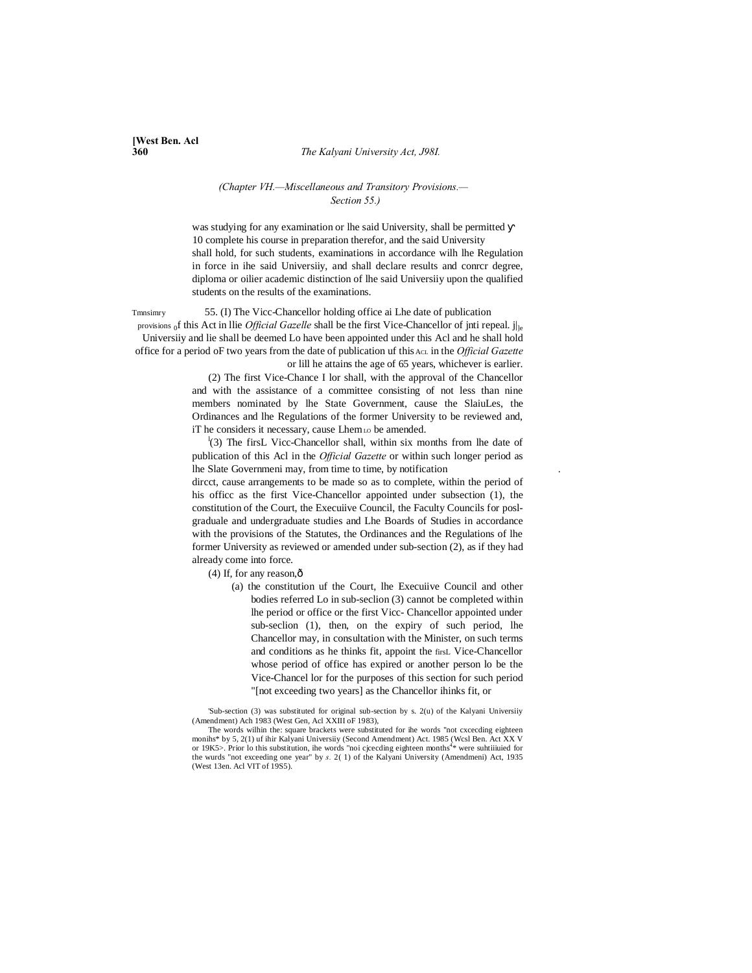#### **360** *The Kalyani University Act, J98I.*

# **[West Ben. Acl**

#### *(Chapter VH.—Miscellaneous and Transitory Provisions.— Section 55.)*

was studying for any examination or lhe said University, shall be permitted 10 complete his course in preparation therefor, and the said University shall hold, for such students, examinations in accordance wilh lhe Regulation in force in ihe said Universiiy, and shall declare results and conrcr degree, diploma or oilier academic distinction of lhe said Universiiy upon the qualified students on the results of the examinations.

Tmnsimry 55. (I) The Vicc-Chancellor holding office ai Lhe date of publication provisions of this Act in Ilie *Official Gazelle* shall be the first Vice-Chancellor of jnti repeal. j|le Universiiy and lie shall be deemed Lo have been appointed under this Acl and he shall hold office for a period oF two years from the date of publication uf this ACL in the *Official Gazette*

or lill he attains the age of 65 years, whichever is earlier. (2) The first Vice-Chance I lor shall, with the approval of the Chancellor and with the assistance of a committee consisting of not less than nine members nominated by lhe State Government, cause the SlaiuLes, the Ordinances and lhe Regulations of the former University to be reviewed and, iT he considers it necessary, cause Lhem<sub>LO</sub> be amended.

<sup>1</sup>(3) The firsL Vicc-Chancellor shall, within six months from lhe date of publication of this Acl in the *Official Gazette* or within such longer period as lhe Slate Governmeni may, from time to time, by notification .

dircct, cause arrangements to be made so as to complete, within the period of his officc as the first Vice-Chancellor appointed under subsection (1), the constitution of the Court, the Execuiive Council, the Faculty Councils for poslgraduale and undergraduate studies and Lhe Boards of Studies in accordance with the provisions of the Statutes, the Ordinances and the Regulations of lhe former University as reviewed or amended under sub-section (2), as if they had already come into force.

 $(4)$  If, for any reason, $\hat{0}$ 

(a) the constitution uf the Court, lhe Execuiive Council and other bodies referred Lo in sub-seclion (3) cannot be completed within lhe period or office or the first Vicc- Chancellor appointed under sub-seclion (1), then, on the expiry of such period, lhe Chancellor may, in consultation with the Minister, on such terms and conditions as he thinks fit, appoint the firsL Vice-Chancellor whose period of office has expired or another person lo be the Vice-Chancel lor for the purposes of this section for such period "[not exceeding two years] as the Chancellor ihinks fit, or

'Sub-section (3) was substituted for original sub-section by s. 2(u) of the Kalyani Universiiy (Amendment) Ach 1983 (West Gen, Acl XXIII oF 1983),

The words wilhin the: square brackets were substituted for ihe words "not cxcecding eighteen monihs\* by 5, 2(1) uf ihir Kalyani Universiiy (Second Amendment) Act. 1985 (Wcsl Ben. Act XX V or 19K5>. Prior lo this substitution, ihe words "noi cjcecding eighteen months<sup>4</sup>\* were suhtiiiuied for the wurds "not exceeding one year" by *s.* 2( 1) of the Kalyani University (Amendmeni) Act, 1935 (West 13en. Acl VIT of 19S5).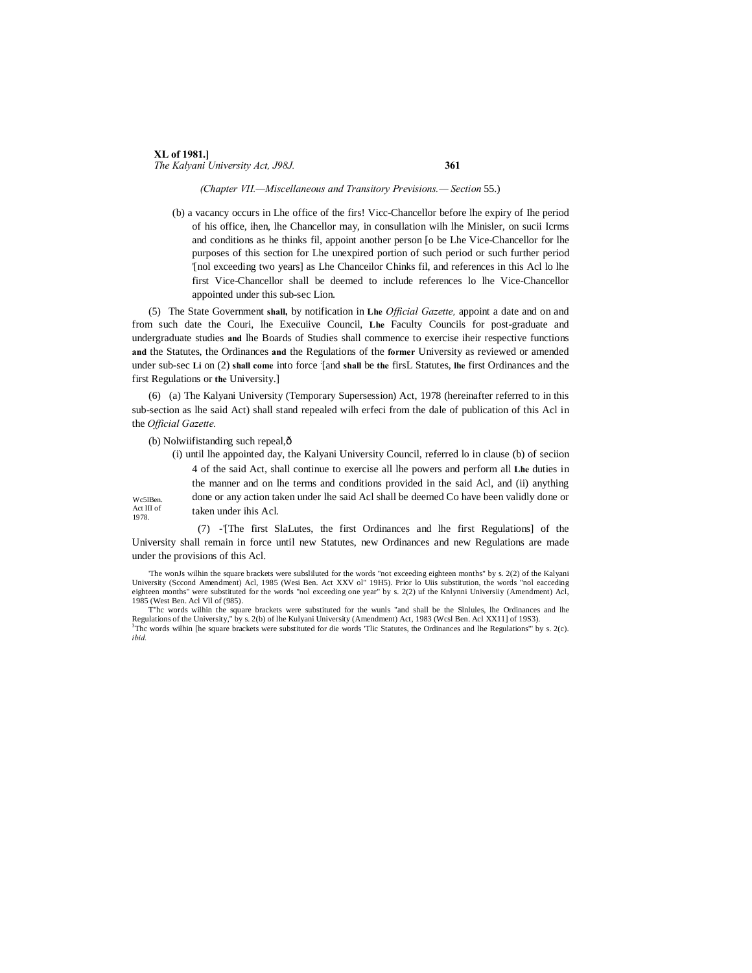#### **XL of 1981.]** *The Kalyani University Act, J98J.* **361**

#### *(Chapter VII.—Miscellaneous and Transitory Previsions.— Section* 55.)

(b) a vacancy occurs in Lhe office of the firs! Vicc-Chancellor before lhe expiry of Ihe period of his office, ihen, lhe Chancellor may, in consullation wilh lhe Minisler, on sucii Icrms and conditions as he thinks fil, appoint another person [o be Lhe Vice-Chancellor for lhe purposes of this section for Lhe unexpired portion of such period or such further period '[nol exceeding two years] as Lhe Chanceilor Chinks fil, and references in this Acl lo lhe first Vice-Chancellor shall be deemed to include references lo lhe Vice-Chancellor appointed under this sub-sec Lion.

(5) The State Government **shall,** by notification in **Lhe** *Official Gazette,* appoint a date and on and from such date the Couri, lhe Execuiive Council, **Lhe** Faculty Councils for post-graduate and undergraduate studies **and** lhe Boards of Studies shall commence to exercise iheir respective functions **and** the Statutes, the Ordinances **and** the Regulations of the **former** University as reviewed or amended under sub-sec **Li** on (2) **shall come** into force : [and **shall** be **the** firsL Statutes, **lhe** first Ordinances and the first Regulations or **the** University.]

(6) (a) The Kalyani University (Temporary Supersession) Act, 1978 (hereinafter referred to in this sub-section as lhe said Act) shall stand repealed wilh erfeci from the dale of publication of this Acl in the *Official Gazette.*

(b) Nolwiifistanding such repeal, $\hat{o}$ 

| (i) until the appointed day, the Kalyani University Council, referred to in clause (b) of section |
|---------------------------------------------------------------------------------------------------|
| 4 of the said Act, shall continue to exercise all lhe powers and perform all Lhe duties in        |
| the manner and on lhe terms and conditions provided in the said Acl, and (ii) anything            |
| done or any action taken under the said Act shall be deemed Co have been validly done or          |
| taken under ihis Acl.                                                                             |
|                                                                                                   |

(7) -'[The first SlaLutes, the first Ordinances and lhe first Regulations] of the University shall remain in force until new Statutes, new Ordinances and new Regulations are made under the provisions of this Acl.

'The wonJs wilhin the square brackets were subsliluted for the words "not exceeding eighteen months" by s. 2(2) of the Kalyani University (Sccond Amendment) Acl, 1985 (Wesi Ben. Act XXV ol" 19H5). Prior lo Uiis substitution, the words "nol eacceding eighteen months" were substituted for the words "nol exceeding one year" by s. 2(2) uf the Knlynni Universiiy (Amendment) Acl, 1985 (West Ben. Acl Vll of (985).

T"hc words wilhin the square brackets were substituted for the wunls "and shall be the Slnlules, lhe Ordinances and lhe Regulations of the University," by s. 2(b) of lhe Kulyani University (Amendment) Act, 1983 (Wcsl Ben. Acl XX11] of 19S3). 3 Thc words wilhin [he square brackets were substituted for die words 'Tlic Statutes, the Ordinances and lhe Regulations'" by s. 2(c). *ibid.*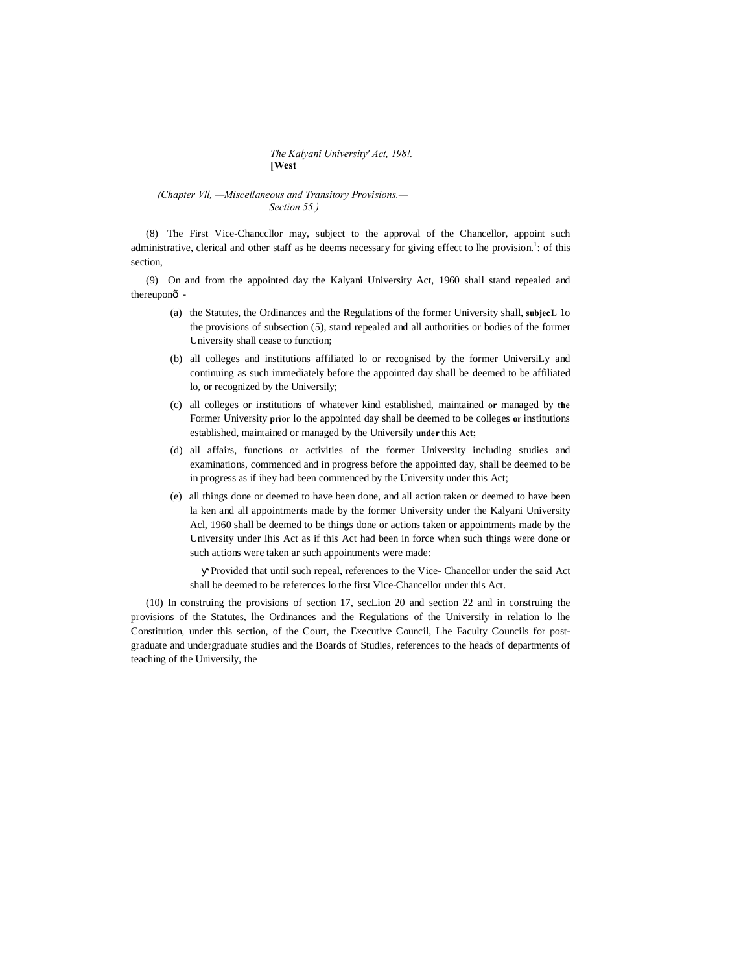#### *The Kalyani University' Act, 198!.* **[West**

#### *(Chapter Vll, —Miscellaneous and Transitory Provisions.— Section 55.)*

(8) The First Vice-Chanccllor may, subject to the approval of the Chancellor, appoint such administrative, clerical and other staff as he deems necessary for giving effect to lhe provision.<sup>1</sup>: of this section,

(9) On and from the appointed day the Kalyani University Act, 1960 shall stand repealed and thereuponô -

- (a) the Statutes, the Ordinances and the Regulations of the former University shall, **subjecL** 1o the provisions of subsection (5), stand repealed and all authorities or bodies of the former University shall cease to function;
- (b) all colleges and institutions affiliated lo or recognised by the former UniversiLy and continuing as such immediately before the appointed day shall be deemed to be affiliated lo, or recognized by the Universily;
- (c) all colleges or institutions of whatever kind established, maintained **or** managed by **the** Former University **prior** lo the appointed day shall be deemed to be colleges **or** institutions established, maintained or managed by the Universily **under** this **Act;**
- (d) all affairs, functions or activities of the former University including studies and examinations, commenced and in progress before the appointed day, shall be deemed to be in progress as if ihey had been commenced by the University under this Act;
- (e) all things done or deemed to have been done, and all action taken or deemed to have been la ken and all appointments made by the former University under the Kalyani University Acl, 1960 shall be deemed to be things done or actions taken or appointments made by the University under Ihis Act as if this Act had been in force when such things were done or such actions were taken ar such appointments were made:

Provided that until such repeal, references to the Vice- Chancellor under the said Act shall be deemed to be references lo the first Vice-Chancellor under this Act.

(10) In construing the provisions of section 17, secLion 20 and section 22 and in construing the provisions of the Statutes, lhe Ordinances and the Regulations of the Universily in relation lo lhe Constitution, under this section, of the Court, the Executive Council, Lhe Faculty Councils for postgraduate and undergraduate studies and the Boards of Studies, references to the heads of departments of teaching of the Universily, the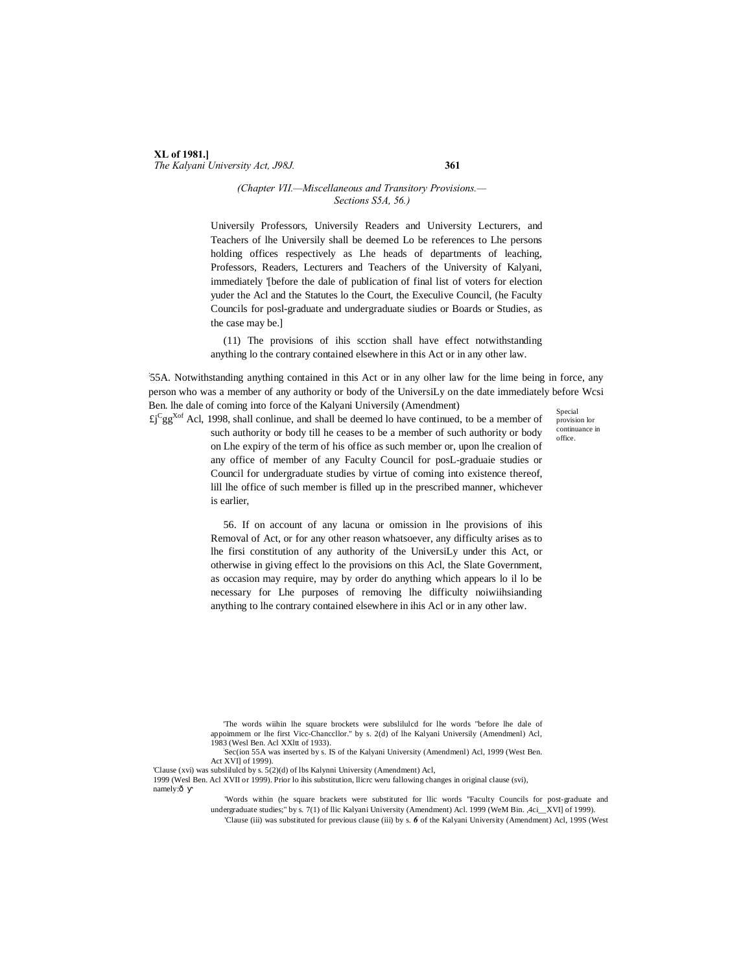### **XL of 1981.]** *The Kalyani University Act, J98J.* **361**

#### *(Chapter VII.—Miscellaneous and Transitory Provisions.— Sections S5A, 56.)*

Universily Professors, Universily Readers and University Lecturers, and Teachers of lhe Universily shall be deemed Lo be references to Lhe persons holding offices respectively as Lhe heads of departments of leaching, Professors, Readers, Lecturers and Teachers of the University of Kalyani, immediately '[before the dale of publication of final list of voters for election yuder the Acl and the Statutes lo the Court, the Execulive Council, (he Faculty Councils for posl-graduate and undergraduate siudies or Boards or Studies, as the case may be.]

(11) The provisions of ihis scction shall have effect notwithstanding anything lo the contrary contained elsewhere in this Act or in any other law.

: 55A. Notwithstanding anything contained in this Act or in any olher law for the lime being in force, any person who was a member of any authority or body of the UniversiLy on the date immediately before Wcsi Ben. lhe dale of coming into force of the Kalyani Universily (Amendment)

Special provision lor continuance in office.

 $\mathfrak{L}^{\mathfrak{C}}$ gg<sup>Xof</sup> Acl, 1998, shall conlinue, and shall be deemed lo have continued, to be a member of such authority or body till he ceases to be a member of such authority or body on Lhe expiry of the term of his office as such member or, upon lhe crealion of any office of member of any Faculty Council for posL-graduaie studies or Council for undergraduate studies by virtue of coming into existence thereof, lill lhe office of such member is filled up in the prescribed manner, whichever is earlier,

> 56. If on account of any lacuna or omission in lhe provisions of ihis Removal of Act, or for any other reason whatsoever, any difficulty arises as to lhe firsi constitution of any authority of the UniversiLy under this Act, or otherwise in giving effect lo the provisions on this Acl, the Slate Government, as occasion may require, may by order do anything which appears lo il lo be necessary for Lhe purposes of removing lhe difficulty noiwiihsianding anything to lhe contrary contained elsewhere in ihis Acl or in any other law.

Sec(ion 55A was inserted by s. IS of the Kalyani University (Amendmenl) Acl, 1999 (West Ben. Act XVI] of 1999).

'Clause (xvi) was subslilulcd by s. 5(2)(d) of lbs Kalynni University (Amendment) Acl,

1999 (Wesl Ben. Acl XVII or 1999). Prior lo ihis substitution, llicrc weru fallowing changes in original clause (svi), namely:ô

> 'Words within (he square brackets were substituted for llic words "Faculty Councils for post-graduate and undergraduate studies;" by s. 7(1) of llic Kalyani University (Amendment) Acl. 1999 (WeM Bin. ,4ci\_\_XVI] of 1999). 'Clause (iii) was substituted for previous clause (iii) by s. *6* of the Kalyani University (Amendment) Acl, 199S (West

<sup>&#</sup>x27;The words wiihin lhe square brockets were subslilulcd for lhe words "before lhe dale of appoimmem or lhe first Vicc-Chanccllor." by s. 2(d) of lhe Kalyani Universily (Amendmenl) Acl, 1983 (Wesl Ben. Acl XXltt of 1933).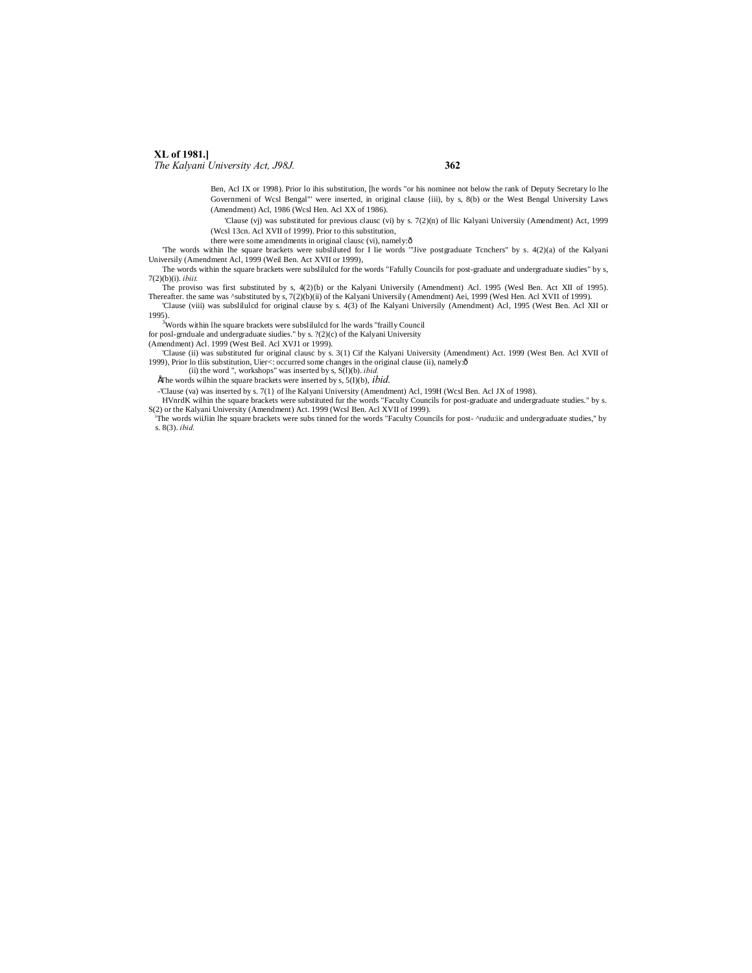## **XL of 1981.]**

*The Kalyani University Act, J98J.* **362**

Ben, Acl IX or 1998). Prior lo ihis substitution, [he words "or his nominee not below the rank of Deputy Secretary lo lhe Governmeni of Wcsl Bengal"' were inserted, in original clause {iii), by s, 8(b) or the West Bengal University Laws (Amendment) Acl, 1986 (Wcsl Hen. Acl XX of 1986).

'Clause (vj) was substituted for previous clausc (vi) by s. 7(2)(n) of llic Kalyani Universiiy (Amendment) Act, 1999 (Wcsl 13cn. Acl XVII of 1999). Prior to this substitution,

there were some amendments in original clausc (vi), namely: $\hat{o}$ 

'The words within lhe square brackets were subsliluted for I lie words '"Jive postgraduate Tcnchers" by s. 4(2)(a) of the Kalyani

Universily (Amendment Acl, 1999 (Weil Ben. Act XVII or 1999), The words within the square brackets were subslilulcd for the words "Fafully Councils for post-graduate and undergraduate siudies" by s,

7(2)(b)(i). *ibiit.*

The proviso was first substituted by s, 4(2){b) or the Kalyani Universily (Amendment) Acl. 1995 (Wesl Ben. Act XII of 1995). Thereafter. the same was ^substituted by s, 7(2)(b)(ii) of the Kalyani Universily (Amendment) Aei, 1999 (Wesl Hen. Acl XVII of 1999).<br>Clause (viii) was subsliluled for original clause by s. 4(3) of lhe Kalyani Universily (

1995).

<sup>3</sup>Words within lhe square brackets were subslilulcd for lhe wards "frailly Council for posl-grnduale and undergraduate siudies." by s. ?(2)(c) of the Kalyani University

(Amendment) Acl. 1999 (West Beil. Acl XVJ1 or 1999).

'Clause (ii) was substituted fur original clausc by s. 3(1) Cif the Kalyani University (Amendment) Act. 1999 (West Ben. Acl XVII of 1999), Prior lo tliis substitution, Uier<: occurred some changes in the original clause (ii), namely: ô (ii) the word ", workshops" was inserted by s, S(l)(b). *ibid.* 

EThe words wilhin the square brackets were inserted by s,  $5(I)(b)$ ,  $ibid$ .

-'Clause (va) was inserted by s. 7(1} of lhe Kalyani University (Amendment) Acl, 199H (Wcsl Ben. Acl JX of 1998).

HVnrdK wilhin the square brackets were substituted fur the words "Faculty Councils for post-graduate and undergraduate studies." by s. S(2) or the Kalyani University (Amendment) Act. 1999 (Wcsl Ben. Acl XVII of 1999).

The words wiiJiin lhe square brackets were subs tinned for the words "Faculty Councils for post- ^rudu:iic and undergraduate studies," by s. 8(3). *ibid.*